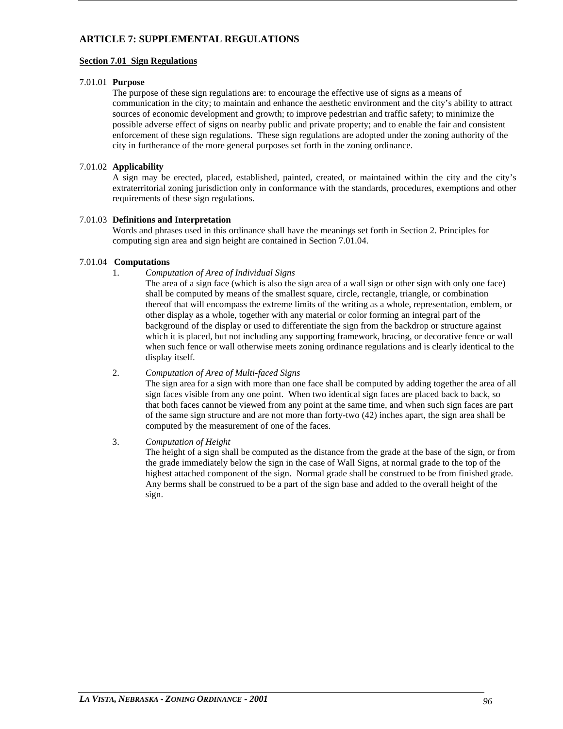# **ARTICLE 7: SUPPLEMENTAL REGULATIONS**

# **Section 7.01 Sign Regulations**

# 7.01.01 **Purpose**

The purpose of these sign regulations are: to encourage the effective use of signs as a means of communication in the city; to maintain and enhance the aesthetic environment and the city's ability to attract sources of economic development and growth; to improve pedestrian and traffic safety; to minimize the possible adverse effect of signs on nearby public and private property; and to enable the fair and consistent enforcement of these sign regulations. These sign regulations are adopted under the zoning authority of the city in furtherance of the more general purposes set forth in the zoning ordinance.

# 7.01.02 **Applicability**

A sign may be erected, placed, established, painted, created, or maintained within the city and the city's extraterritorial zoning jurisdiction only in conformance with the standards, procedures, exemptions and other requirements of these sign regulations.

# 7.01.03 **Definitions and Interpretation**

Words and phrases used in this ordinance shall have the meanings set forth in Section 2. Principles for computing sign area and sign height are contained in Section 7.01.04.

# 7.01.04 **Computations**

1. *Computation of Area of Individual Signs*

The area of a sign face (which is also the sign area of a wall sign or other sign with only one face) shall be computed by means of the smallest square, circle, rectangle, triangle, or combination thereof that will encompass the extreme limits of the writing as a whole, representation, emblem, or other display as a whole, together with any material or color forming an integral part of the background of the display or used to differentiate the sign from the backdrop or structure against which it is placed, but not including any supporting framework, bracing, or decorative fence or wall when such fence or wall otherwise meets zoning ordinance regulations and is clearly identical to the display itself.

# 2. *Computation of Area of Multi-faced Signs*

The sign area for a sign with more than one face shall be computed by adding together the area of all sign faces visible from any one point. When two identical sign faces are placed back to back, so that both faces cannot be viewed from any point at the same time, and when such sign faces are part of the same sign structure and are not more than forty-two (42) inches apart, the sign area shall be computed by the measurement of one of the faces.

# 3. *Computation of Height*

The height of a sign shall be computed as the distance from the grade at the base of the sign, or from the grade immediately below the sign in the case of Wall Signs, at normal grade to the top of the highest attached component of the sign. Normal grade shall be construed to be from finished grade. Any berms shall be construed to be a part of the sign base and added to the overall height of the sign.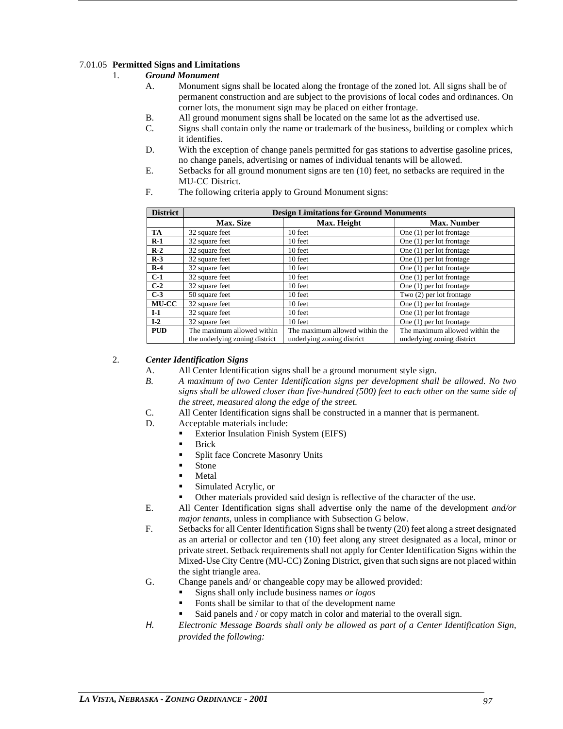# 7.01.05 **Permitted Signs and Limitations**

# 1. *Ground Monument*

- A. Monument signs shall be located along the frontage of the zoned lot. All signs shall be of permanent construction and are subject to the provisions of local codes and ordinances. On corner lots, the monument sign may be placed on either frontage.
- B. All ground monument signs shall be located on the same lot as the advertised use.
- C. Signs shall contain only the name or trademark of the business, building or complex which it identifies.
- D. With the exception of change panels permitted for gas stations to advertise gasoline prices, no change panels, advertising or names of individual tenants will be allowed.
- E. Setbacks for all ground monument signs are ten (10) feet, no setbacks are required in the MU-CC District.
- F. The following criteria apply to Ground Monument signs:

| <b>District</b> | <b>Design Limitations for Ground Monuments</b> |                                |                                |  |  |  |  |  |
|-----------------|------------------------------------------------|--------------------------------|--------------------------------|--|--|--|--|--|
|                 | <b>Max. Size</b>                               | Max. Height                    | <b>Max. Number</b>             |  |  |  |  |  |
| TA              | 32 square feet                                 | 10 feet                        | One $(1)$ per lot frontage     |  |  |  |  |  |
| $R-1$           | 32 square feet                                 | 10 feet                        | One $(1)$ per lot frontage     |  |  |  |  |  |
| $R-2$           | 32 square feet                                 | 10 feet                        | One $(1)$ per lot frontage     |  |  |  |  |  |
| $R-3$           | 32 square feet                                 | 10 feet                        | One $(1)$ per lot frontage     |  |  |  |  |  |
| $R-4$           | 32 square feet                                 | 10 feet                        | One $(1)$ per lot frontage     |  |  |  |  |  |
| $C-1$           | 32 square feet                                 | 10 feet                        | One $(1)$ per lot frontage     |  |  |  |  |  |
| $C-2$           | 32 square feet                                 | 10 feet                        | One $(1)$ per lot frontage     |  |  |  |  |  |
| $C-3$           | 50 square feet                                 | 10 feet                        | Two $(2)$ per lot frontage     |  |  |  |  |  |
| <b>MU-CC</b>    | 32 square feet                                 | 10 feet                        | One $(1)$ per lot frontage     |  |  |  |  |  |
| $I-1$           | 32 square feet                                 | 10 feet                        | One $(1)$ per lot frontage     |  |  |  |  |  |
| $I-2$           | 32 square feet                                 | 10 feet                        | One $(1)$ per lot frontage     |  |  |  |  |  |
| <b>PUD</b>      | The maximum allowed within                     | The maximum allowed within the | The maximum allowed within the |  |  |  |  |  |
|                 | the underlying zoning district                 | underlying zoning district     | underlying zoning district     |  |  |  |  |  |

# 2. *Center Identification Signs*

- A. All Center Identification signs shall be a ground monument style sign.
- *B. A maximum of two Center Identification signs per development shall be allowed. No two signs shall be allowed closer than five-hundred (500) feet to each other on the same side of the street, measured along the edge of the street.*
- C. All Center Identification signs shall be constructed in a manner that is permanent.
- D. Acceptable materials include:
	- **Exterior Insulation Finish System (EIFS)** 
		- **Brick**
		- Split face Concrete Masonry Units
		- Stone
		- Metal
		- Simulated Acrylic, or
	- Other materials provided said design is reflective of the character of the use.
- E. All Center Identification signs shall advertise only the name of the development *and/or major tenants*, unless in compliance with Subsection G below.
- F. Setbacks for all Center Identification Signs shall be twenty (20) feet along a street designated as an arterial or collector and ten (10) feet along any street designated as a local, minor or private street. Setback requirements shall not apply for Center Identification Signs within the Mixed-Use City Centre (MU-CC) Zoning District, given that such signs are not placed within the sight triangle area.
- G. Change panels and/ or changeable copy may be allowed provided:
	- Signs shall only include business names *or logos*
	- Fonts shall be similar to that of the development name
	- Said panels and / or copy match in color and material to the overall sign.
- *H. Electronic Message Boards shall only be allowed as part of a Center Identification Sign, provided the following:*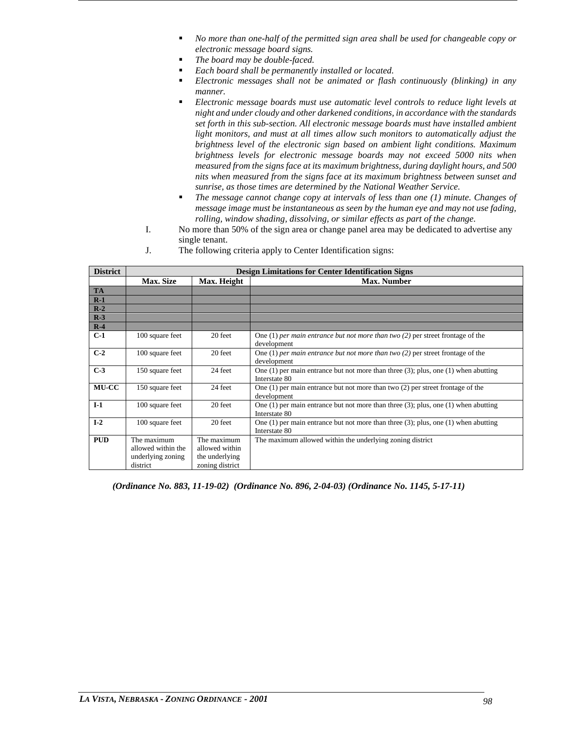- *No more than one-half of the permitted sign area shall be used for changeable copy or electronic message board signs.*
- *The board may be double-faced.*
- *Each board shall be permanently installed or located.*
- *Electronic messages shall not be animated or flash continuously (blinking) in any manner.*
- *Electronic message boards must use automatic level controls to reduce light levels at night and under cloudy and other darkened conditions, in accordance with the standards set forth in this sub-section. All electronic message boards must have installed ambient light monitors, and must at all times allow such monitors to automatically adjust the brightness level of the electronic sign based on ambient light conditions. Maximum brightness levels for electronic message boards may not exceed 5000 nits when measured from the signs face at its maximum brightness, during daylight hours, and 500 nits when measured from the signs face at its maximum brightness between sunset and sunrise, as those times are determined by the National Weather Service.*
- *The message cannot change copy at intervals of less than one (1) minute. Changes of message image must be instantaneous as seen by the human eye and may not use fading, rolling, window shading, dissolving, or similar effects as part of the change.*
- I. No more than 50% of the sign area or change panel area may be dedicated to advertise any single tenant.
- J. The following criteria apply to Center Identification signs:

| <b>District</b> |                    | <b>Design Limitations for Center Identification Signs</b> |                                                                                           |  |  |  |  |  |
|-----------------|--------------------|-----------------------------------------------------------|-------------------------------------------------------------------------------------------|--|--|--|--|--|
|                 | <b>Max. Size</b>   | Max. Height                                               | <b>Max. Number</b>                                                                        |  |  |  |  |  |
| <b>TA</b>       |                    |                                                           |                                                                                           |  |  |  |  |  |
| $R-1$           |                    |                                                           |                                                                                           |  |  |  |  |  |
| $R-2$           |                    |                                                           |                                                                                           |  |  |  |  |  |
| $R-3$           |                    |                                                           |                                                                                           |  |  |  |  |  |
| $R-4$           |                    |                                                           |                                                                                           |  |  |  |  |  |
| $C-1$           | 100 square feet    | 20 feet                                                   | One (1) per main entrance but not more than two $(2)$ per street frontage of the          |  |  |  |  |  |
|                 |                    |                                                           | development                                                                               |  |  |  |  |  |
| $C-2$           | 100 square feet    | 20 feet                                                   | One (1) per main entrance but not more than two $(2)$ per street frontage of the          |  |  |  |  |  |
|                 |                    |                                                           | development                                                                               |  |  |  |  |  |
| $C-3$           | 150 square feet    | 24 feet                                                   | One (1) per main entrance but not more than three $(3)$ ; plus, one (1) when abutting     |  |  |  |  |  |
|                 |                    |                                                           | Interstate 80                                                                             |  |  |  |  |  |
| MU-CC           | 150 square feet    | 24 feet                                                   | One $(1)$ per main entrance but not more than two $(2)$ per street frontage of the        |  |  |  |  |  |
|                 |                    |                                                           | development                                                                               |  |  |  |  |  |
| $I-1$           | 100 square feet    | 20 feet                                                   | One $(1)$ per main entrance but not more than three $(3)$ ; plus, one $(1)$ when abutting |  |  |  |  |  |
|                 |                    |                                                           | Interstate 80                                                                             |  |  |  |  |  |
| $I-2$           | 100 square feet    | 20 feet                                                   | One $(1)$ per main entrance but not more than three $(3)$ ; plus, one $(1)$ when abutting |  |  |  |  |  |
|                 |                    |                                                           | Interstate 80                                                                             |  |  |  |  |  |
| <b>PUD</b>      | The maximum        | The maximum                                               | The maximum allowed within the underlying zoning district                                 |  |  |  |  |  |
|                 | allowed within the | allowed within                                            |                                                                                           |  |  |  |  |  |
|                 | underlying zoning  | the underlying                                            |                                                                                           |  |  |  |  |  |
|                 | district           | zoning district                                           |                                                                                           |  |  |  |  |  |

*(Ordinance No. 883, 11-19-02) (Ordinance No. 896, 2-04-03) (Ordinance No. 1145, 5-17-11)*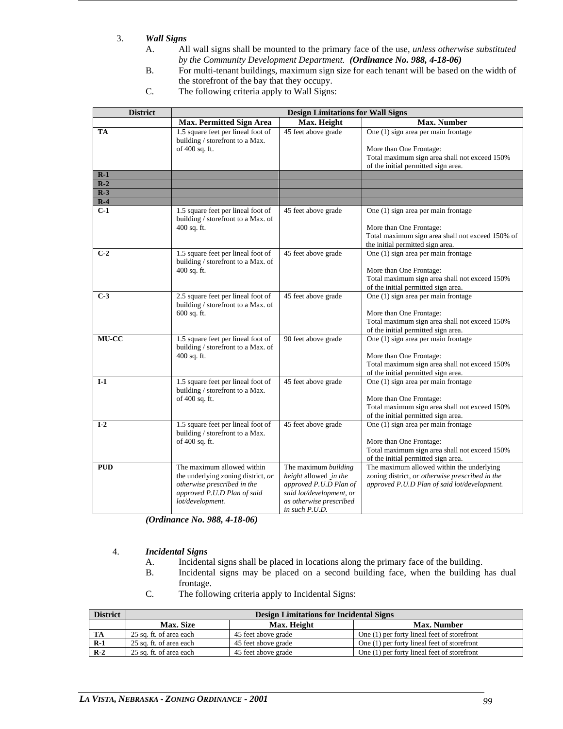# 3. *Wall Signs*

- A. All wall signs shall be mounted to the primary face of the use, *unless otherwise substituted by the Community Development Department. (Ordinance No. 988, 4-18-06)*
- B. For multi-tenant buildings, maximum sign size for each tenant will be based on the width of the storefront of the bay that they occupy.
- C. The following criteria apply to Wall Signs:

| <b>District</b> | <b>Design Limitations for Wall Signs</b>                                 |                                                     |                                                                                      |  |  |  |  |  |  |
|-----------------|--------------------------------------------------------------------------|-----------------------------------------------------|--------------------------------------------------------------------------------------|--|--|--|--|--|--|
|                 | <b>Max. Permitted Sign Area</b>                                          | Max. Height                                         | <b>Max. Number</b>                                                                   |  |  |  |  |  |  |
| TA              | 1.5 square feet per lineal foot of                                       | 45 feet above grade                                 | One (1) sign area per main frontage                                                  |  |  |  |  |  |  |
|                 | building / storefront to a Max.                                          |                                                     |                                                                                      |  |  |  |  |  |  |
|                 | of 400 sq. ft.                                                           |                                                     | More than One Frontage:                                                              |  |  |  |  |  |  |
|                 |                                                                          |                                                     | Total maximum sign area shall not exceed 150%<br>of the initial permitted sign area. |  |  |  |  |  |  |
| $R-1$           |                                                                          |                                                     |                                                                                      |  |  |  |  |  |  |
| $R-2$           |                                                                          |                                                     |                                                                                      |  |  |  |  |  |  |
| $R-3$           |                                                                          |                                                     |                                                                                      |  |  |  |  |  |  |
| $R-4$           |                                                                          |                                                     |                                                                                      |  |  |  |  |  |  |
| $C-1$           | 1.5 square feet per lineal foot of                                       | 45 feet above grade                                 | One (1) sign area per main frontage                                                  |  |  |  |  |  |  |
|                 | building / storefront to a Max. of                                       |                                                     |                                                                                      |  |  |  |  |  |  |
|                 | 400 sq. ft.                                                              |                                                     | More than One Frontage:                                                              |  |  |  |  |  |  |
|                 |                                                                          |                                                     | Total maximum sign area shall not exceed 150% of                                     |  |  |  |  |  |  |
| $C-2$           |                                                                          | 45 feet above grade                                 | the initial permitted sign area.<br>One (1) sign area per main frontage              |  |  |  |  |  |  |
|                 | 1.5 square feet per lineal foot of<br>building / storefront to a Max. of |                                                     |                                                                                      |  |  |  |  |  |  |
|                 | 400 sq. ft.                                                              |                                                     | More than One Frontage:                                                              |  |  |  |  |  |  |
|                 |                                                                          |                                                     | Total maximum sign area shall not exceed 150%                                        |  |  |  |  |  |  |
|                 |                                                                          |                                                     | of the initial permitted sign area.                                                  |  |  |  |  |  |  |
| $C-3$           | 2.5 square feet per lineal foot of                                       | 45 feet above grade                                 | One (1) sign area per main frontage                                                  |  |  |  |  |  |  |
|                 | building / storefront to a Max. of                                       |                                                     |                                                                                      |  |  |  |  |  |  |
|                 | 600 sq. ft.                                                              |                                                     | More than One Frontage:                                                              |  |  |  |  |  |  |
|                 |                                                                          |                                                     | Total maximum sign area shall not exceed 150%                                        |  |  |  |  |  |  |
| MU-CC           | 1.5 square feet per lineal foot of                                       | 90 feet above grade                                 | of the initial permitted sign area.<br>One (1) sign area per main frontage           |  |  |  |  |  |  |
|                 | building / storefront to a Max. of                                       |                                                     |                                                                                      |  |  |  |  |  |  |
|                 | 400 sq. ft.                                                              |                                                     | More than One Frontage:                                                              |  |  |  |  |  |  |
|                 |                                                                          |                                                     | Total maximum sign area shall not exceed 150%                                        |  |  |  |  |  |  |
|                 |                                                                          |                                                     | of the initial permitted sign area.                                                  |  |  |  |  |  |  |
| $I-1$           | 1.5 square feet per lineal foot of                                       | 45 feet above grade                                 | One (1) sign area per main frontage                                                  |  |  |  |  |  |  |
|                 | building / storefront to a Max.                                          |                                                     |                                                                                      |  |  |  |  |  |  |
|                 | of 400 sq. ft.                                                           |                                                     | More than One Frontage:                                                              |  |  |  |  |  |  |
|                 |                                                                          |                                                     | Total maximum sign area shall not exceed 150%<br>of the initial permitted sign area. |  |  |  |  |  |  |
| $I-2$           | 1.5 square feet per lineal foot of                                       | 45 feet above grade                                 | One (1) sign area per main frontage                                                  |  |  |  |  |  |  |
|                 | building / storefront to a Max.                                          |                                                     |                                                                                      |  |  |  |  |  |  |
|                 | of 400 sq. ft.                                                           |                                                     | More than One Frontage:                                                              |  |  |  |  |  |  |
|                 |                                                                          |                                                     | Total maximum sign area shall not exceed 150%                                        |  |  |  |  |  |  |
|                 |                                                                          |                                                     | of the initial permitted sign area.                                                  |  |  |  |  |  |  |
| <b>PUD</b>      | The maximum allowed within                                               | The maximum building                                | The maximum allowed within the underlying                                            |  |  |  |  |  |  |
|                 | the underlying zoning district, or                                       | height allowed in the                               | zoning district, or otherwise prescribed in the                                      |  |  |  |  |  |  |
|                 | otherwise prescribed in the                                              | approved P.U.D Plan of                              | approved P.U.D Plan of said lot/development.                                         |  |  |  |  |  |  |
|                 | approved P.U.D Plan of said<br>lot/development.                          | said lot/development, or<br>as otherwise prescribed |                                                                                      |  |  |  |  |  |  |
|                 |                                                                          | in such P.U.D.                                      |                                                                                      |  |  |  |  |  |  |

*(Ordinance No. 988, 4-18-06)*

# 4. *Incidental Signs*

- A. Incidental signs shall be placed in locations along the primary face of the building.
- B. Incidental signs may be placed on a second building face, when the building has dual frontage.
- C. The following criteria apply to Incidental Signs:

| <b>District</b> | <b>Design Limitations for Incidental Signs</b> |                     |                                             |  |  |  |  |
|-----------------|------------------------------------------------|---------------------|---------------------------------------------|--|--|--|--|
|                 | <b>Max. Size</b>                               | Max. Height         | <b>Max. Number</b>                          |  |  |  |  |
| TA              | 25 sq. ft. of area each                        | 45 feet above grade | One (1) per forty lineal feet of storefront |  |  |  |  |
| $R-1$           | 25 sq. ft. of area each                        | 45 feet above grade | One (1) per forty lineal feet of storefront |  |  |  |  |
| $R-2$           | 25 sq. ft. of area each                        | 45 feet above grade | One (1) per forty lineal feet of storefront |  |  |  |  |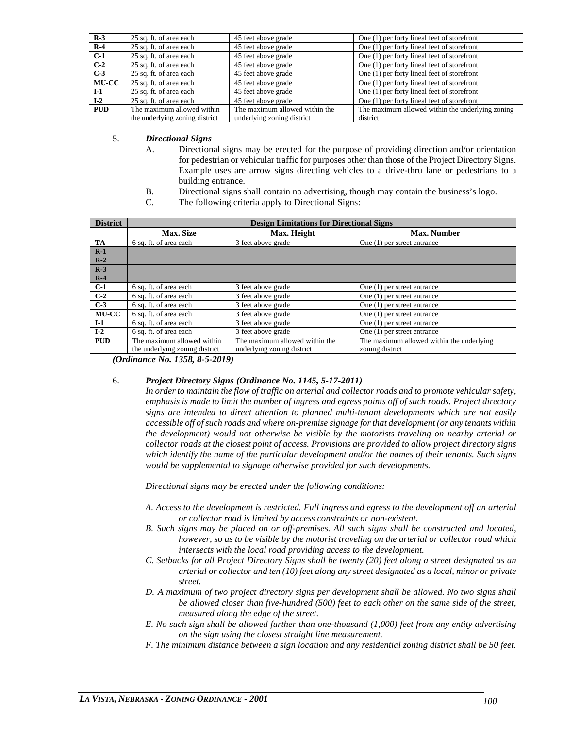| $R-3$        | 25 sq. ft. of area each        | 45 feet above grade            | One (1) per forty lineal feet of storefront      |
|--------------|--------------------------------|--------------------------------|--------------------------------------------------|
| $R-4$        | 25 sq. ft. of area each        | 45 feet above grade            | One (1) per forty lineal feet of storefront      |
| $C-1$        | 25 sq. ft. of area each        | 45 feet above grade            | One (1) per forty lineal feet of storefront      |
| $C-2$        | 25 sq. ft. of area each        | 45 feet above grade            | One (1) per forty lineal feet of storefront      |
| $C-3$        | 25 sq. ft. of area each        | 45 feet above grade            | One (1) per forty lineal feet of storefront      |
| <b>MU-CC</b> | 25 sq. ft. of area each        | 45 feet above grade            | One (1) per forty lineal feet of storefront      |
| $I-1$        | 25 sq. ft. of area each        | 45 feet above grade            | One (1) per forty lineal feet of storefront      |
| $I-2$        | 25 sq. ft. of area each        | 45 feet above grade            | One (1) per forty lineal feet of storefront      |
| <b>PUD</b>   | The maximum allowed within     | The maximum allowed within the | The maximum allowed within the underlying zoning |
|              | the underlying zoning district | underlying zoning district     | district                                         |

5. *Directional Signs* 

- A. Directional signs may be erected for the purpose of providing direction and/or orientation for pedestrian or vehicular traffic for purposes other than those of the Project Directory Signs. Example uses are arrow signs directing vehicles to a drive-thru lane or pedestrians to a building entrance.
- B. Directional signs shall contain no advertising, though may contain the business's logo.
- C. The following criteria apply to Directional Signs:

| <b>District</b> | <b>Design Limitations for Directional Signs</b> |                                |                                           |  |  |  |  |  |  |
|-----------------|-------------------------------------------------|--------------------------------|-------------------------------------------|--|--|--|--|--|--|
|                 | <b>Max. Size</b>                                | Max. Height                    | <b>Max. Number</b>                        |  |  |  |  |  |  |
| <b>TA</b>       | 6 sq. ft. of area each                          | 3 feet above grade             | One $(1)$ per street entrance             |  |  |  |  |  |  |
| $R-1$           |                                                 |                                |                                           |  |  |  |  |  |  |
| $R-2$           |                                                 |                                |                                           |  |  |  |  |  |  |
| $R-3$           |                                                 |                                |                                           |  |  |  |  |  |  |
| $R-4$           |                                                 |                                |                                           |  |  |  |  |  |  |
| $C-1$           | 6 sq. ft. of area each                          | 3 feet above grade             | One $(1)$ per street entrance             |  |  |  |  |  |  |
| $C-2$           | 6 sq. ft. of area each                          | 3 feet above grade             | One $(1)$ per street entrance             |  |  |  |  |  |  |
| $C-3$           | 6 sq. ft. of area each                          | 3 feet above grade             | One (1) per street entrance               |  |  |  |  |  |  |
| <b>MU-CC</b>    | 6 sq. ft. of area each                          | 3 feet above grade             | One $(1)$ per street entrance             |  |  |  |  |  |  |
| $I-1$           | 6 sq. ft. of area each                          | 3 feet above grade             | One $(1)$ per street entrance             |  |  |  |  |  |  |
| $I-2$           | 6 sq. ft. of area each                          | 3 feet above grade             | One $(1)$ per street entrance             |  |  |  |  |  |  |
| <b>PUD</b>      | The maximum allowed within                      | The maximum allowed within the | The maximum allowed within the underlying |  |  |  |  |  |  |
|                 | the underlying zoning district                  | underlying zoning district     | zoning district                           |  |  |  |  |  |  |

*(Ordinance No. 1358, 8-5-2019)*

# 6. *Project Directory Signs (Ordinance No. 1145, 5-17-2011)*

*In order to maintain the flow of traffic on arterial and collector roads and to promote vehicular safety, emphasis is made to limit the number of ingress and egress points off of such roads. Project directory signs are intended to direct attention to planned multi-tenant developments which are not easily accessible off of such roads and where on-premise signage for that development (or any tenants within the development) would not otherwise be visible by the motorists traveling on nearby arterial or collector roads at the closest point of access. Provisions are provided to allow project directory signs which identify the name of the particular development and/or the names of their tenants. Such signs would be supplemental to signage otherwise provided for such developments.* 

*Directional signs may be erected under the following conditions:* 

- *A. Access to the development is restricted. Full ingress and egress to the development off an arterial or collector road is limited by access constraints or non-existent.*
- *B. Such signs may be placed on or off-premises. All such signs shall be constructed and located, however, so as to be visible by the motorist traveling on the arterial or collector road which intersects with the local road providing access to the development.*
- *C. Setbacks for all Project Directory Signs shall be twenty (20) feet along a street designated as an arterial or collector and ten (10) feet along any street designated as a local, minor or private street.*
- *D. A maximum of two project directory signs per development shall be allowed. No two signs shall be allowed closer than five-hundred (500) feet to each other on the same side of the street, measured along the edge of the street.*
- *E. No such sign shall be allowed further than one-thousand (1,000) feet from any entity advertising on the sign using the closest straight line measurement.*
- *F. The minimum distance between a sign location and any residential zoning district shall be 50 feet.*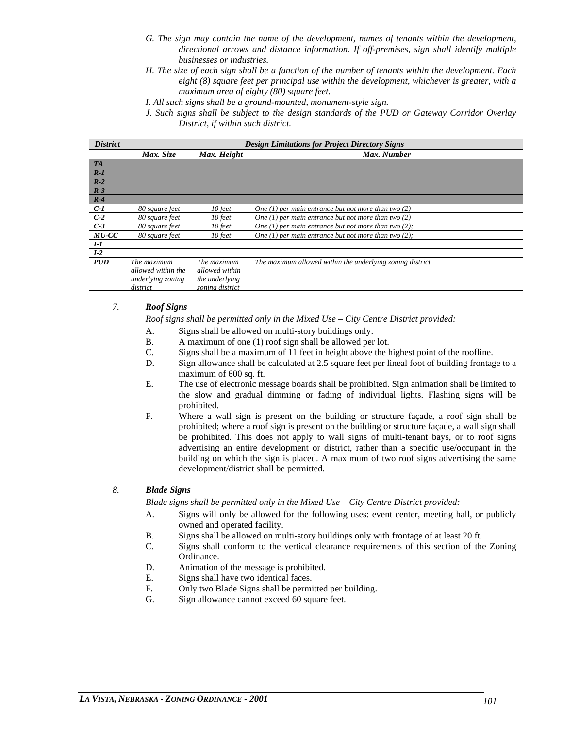- *G. The sign may contain the name of the development, names of tenants within the development, directional arrows and distance information. If off-premises, sign shall identify multiple businesses or industries.*
- *H. The size of each sign shall be a function of the number of tenants within the development. Each eight (8) square feet per principal use within the development, whichever is greater, with a maximum area of eighty (80) square feet.*
- *I. All such signs shall be a ground-mounted, monument-style sign.*
- *J. Such signs shall be subject to the design standards of the PUD or Gateway Corridor Overlay District, if within such district.*

| <b>District</b> | <b>Design Limitations for Project Directory Signs</b> |                 |                                                           |  |  |  |
|-----------------|-------------------------------------------------------|-----------------|-----------------------------------------------------------|--|--|--|
|                 | Max. Size                                             | Max. Height     | Max. Number                                               |  |  |  |
| <b>TA</b>       |                                                       |                 |                                                           |  |  |  |
| $R-1$           |                                                       |                 |                                                           |  |  |  |
| $R-2$           |                                                       |                 |                                                           |  |  |  |
| $R-3$           |                                                       |                 |                                                           |  |  |  |
| $R-4$           |                                                       |                 |                                                           |  |  |  |
| $C-I$           | 80 square feet                                        | 10 feet         | One (1) per main entrance but not more than two $(2)$     |  |  |  |
| $C-2$           | 80 square feet                                        | 10 feet         | One (1) per main entrance but not more than two $(2)$     |  |  |  |
| $C-3$           | 80 square feet                                        | $10$ feet       | One (1) per main entrance but not more than two $(2)$ ;   |  |  |  |
| $MU$ - $CC$     | 80 square feet                                        | $10$ feet       | One (1) per main entrance but not more than two $(2)$ ;   |  |  |  |
| $I-I$           |                                                       |                 |                                                           |  |  |  |
| $I-2$           |                                                       |                 |                                                           |  |  |  |
| <b>PUD</b>      | The maximum                                           | The maximum     | The maximum allowed within the underlying zoning district |  |  |  |
|                 | allowed within the                                    | allowed within  |                                                           |  |  |  |
|                 | underlying zoning                                     | the underlying  |                                                           |  |  |  |
|                 | district                                              | zoning district |                                                           |  |  |  |

# *7. Roof Signs*

*Roof signs shall be permitted only in the Mixed Use – City Centre District provided:*

- A. Signs shall be allowed on multi-story buildings only.
- B. A maximum of one (1) roof sign shall be allowed per lot.
- C. Signs shall be a maximum of 11 feet in height above the highest point of the roofline.
- D. Sign allowance shall be calculated at 2.5 square feet per lineal foot of building frontage to a maximum of 600 sq. ft.
- E. The use of electronic message boards shall be prohibited. Sign animation shall be limited to the slow and gradual dimming or fading of individual lights. Flashing signs will be prohibited.
- F. Where a wall sign is present on the building or structure façade, a roof sign shall be prohibited; where a roof sign is present on the building or structure façade, a wall sign shall be prohibited. This does not apply to wall signs of multi-tenant bays, or to roof signs advertising an entire development or district, rather than a specific use/occupant in the building on which the sign is placed. A maximum of two roof signs advertising the same development/district shall be permitted.

# *8. Blade Signs*

*Blade signs shall be permitted only in the Mixed Use – City Centre District provided:*

- A. Signs will only be allowed for the following uses: event center, meeting hall, or publicly owned and operated facility.
- B. Signs shall be allowed on multi-story buildings only with frontage of at least 20 ft.
- C. Signs shall conform to the vertical clearance requirements of this section of the Zoning Ordinance.
- D. Animation of the message is prohibited.
- E. Signs shall have two identical faces.
- F. Only two Blade Signs shall be permitted per building.
- G. Sign allowance cannot exceed 60 square feet.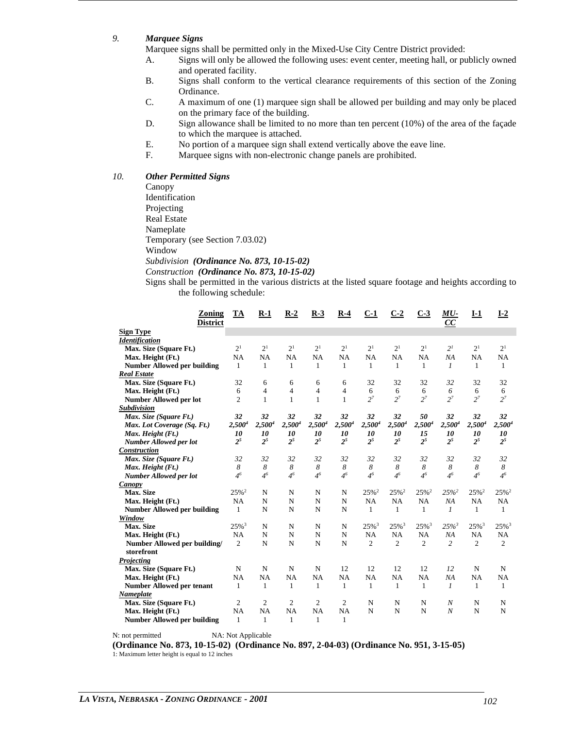# *9. Marquee Signs*

Marquee signs shall be permitted only in the Mixed-Use City Centre District provided:

- A. Signs will only be allowed the following uses: event center, meeting hall, or publicly owned and operated facility.
- B. Signs shall conform to the vertical clearance requirements of this section of the Zoning Ordinance.
- C. A maximum of one (1) marquee sign shall be allowed per building and may only be placed on the primary face of the building.
- D. Sign allowance shall be limited to no more than ten percent (10%) of the area of the façade to which the marquee is attached.
- E. No portion of a marquee sign shall extend vertically above the eave line.
- F. Marquee signs with non-electronic change panels are prohibited.

# *10. Other Permitted Signs*

Canopy Identification Projecting Real Estate Nameplate Temporary (see Section 7.03.02) Window *Subdivision (Ordinance No. 873, 10-15-02)*

*Construction (Ordinance No. 873, 10-15-02)*

Signs shall be permitted in the various districts at the listed square footage and heights according to the following schedule:

| Zoning<br><b>District</b>          | TA                  | $R-1$          | $R-2$          | $R-3$              | $R-4$          | $C-1$               | $C-2$               | $C-3$               | MU-<br>CC          | $I-1$               | $I-2$               |
|------------------------------------|---------------------|----------------|----------------|--------------------|----------------|---------------------|---------------------|---------------------|--------------------|---------------------|---------------------|
| <b>Sign Type</b>                   |                     |                |                |                    |                |                     |                     |                     |                    |                     |                     |
| <b>Identification</b>              |                     |                |                |                    |                |                     |                     |                     |                    |                     |                     |
| Max. Size (Square Ft.)             | 2 <sup>1</sup>      | 2 <sup>1</sup> | 2 <sup>1</sup> | 2 <sup>1</sup>     | 2 <sup>1</sup> | 2 <sup>1</sup>      | 2 <sup>1</sup>      | 2 <sup>1</sup>      | 2 <sup>I</sup>     | 2 <sup>1</sup>      | 2 <sup>1</sup>      |
| Max. Height (Ft.)                  | NA                  | <b>NA</b>      | NA             | NA                 | NA             | NA                  | NA                  | NA                  | NA                 | NA                  | NA                  |
| <b>Number Allowed per building</b> | $\mathbf{1}$        | $\mathbf{1}$   | $\mathbf{1}$   | 1                  | $\mathbf{1}$   | $\mathbf{1}$        | 1                   | 1                   | $\mathfrak{1}$     | 1                   | 1                   |
| <b>Real Estate</b>                 |                     |                |                |                    |                |                     |                     |                     |                    |                     |                     |
| Max. Size (Square Ft.)             | 32                  | 6              | 6              | 6                  | 6              | 32                  | 32                  | 32                  | 32                 | 32                  | 32                  |
| Max. Height (Ft.)                  | 6                   | $\overline{4}$ | $\overline{4}$ | $\overline{4}$     | $\overline{4}$ | 6                   | 6                   | 6                   | 6                  | 6                   | 6                   |
| <b>Number Allowed per lot</b>      | $\overline{c}$      | $\mathbf{1}$   | $\mathbf{1}$   | $\mathbf{1}$       | $\mathbf{1}$   | $2^7$               | $2^7$               | $2^7$               | $2^7$              | $2^7$               | $2^7$               |
| <b>Subdivision</b>                 |                     |                |                |                    |                |                     |                     |                     |                    |                     |                     |
| Max. Size (Square Ft.)             | 32                  | 32             | 32             | 32                 | 32             | 32                  | 32                  | 50                  | 32                 | 32                  | 32                  |
| Max. Lot Coverage (Sq. Ft.)        | $2,500^4$           | $2,500^4$      | $2,500^4$      | 2,500 <sup>4</sup> | $2,500^4$      | $2,500^4$           | $2,500^4$           | $2,500^4$           | 2,500 <sup>4</sup> | $2,500^4$           | $2,500^4$           |
| Max. Height (Ft.)                  | 10                  | 10             | 10             | 10                 | 10             | 10                  | 10                  | 15                  | 10                 | 10                  | 10                  |
| Number Allowed per lot             | 2 <sup>5</sup>      | 2 <sup>5</sup> | 2 <sup>5</sup> | 2 <sup>5</sup>     | $2^5$          | 2 <sup>5</sup>      | $2^5$               | 2 <sup>5</sup>      | $2^5$              | 2 <sup>5</sup>      | $2^5$               |
| <b>Construction</b>                |                     |                |                |                    |                |                     |                     |                     |                    |                     |                     |
| Max. Size (Square Ft.)             | 32                  | 32             | 32             | 32                 | 32             | 32                  | 32                  | 32                  | 32                 | 32                  | 32                  |
| Max. Height (Ft.)                  | 8                   | 8              | 8              | 8                  | 8              | 8                   | 8                   | 8                   | 8                  | 8                   | 8                   |
| Number Allowed per lot             | 4 <sup>6</sup>      | 4 <sup>6</sup> | 4 <sup>6</sup> | 4 <sup>6</sup>     | 4 <sup>6</sup> | 4 <sup>6</sup>      | 4 <sup>6</sup>      | 4 <sup>6</sup>      | 4 <sup>6</sup>     | 4 <sup>6</sup>      | 4 <sup>6</sup>      |
| Canopy                             |                     |                |                |                    |                |                     |                     |                     |                    |                     |                     |
| Max. Size                          | $25%^2$             | N              | N              | N                  | N              | 25% <sup>2</sup>    | $25%^2$             | $25%^2$             | $25%^{2}$          | $25%^2$             | $25%^2$             |
| Max. Height (Ft.)                  | NA                  | N              | $\mathbf N$    | N                  | $\mathbf N$    | <b>NA</b>           | <b>NA</b>           | <b>NA</b>           | NA                 | NA                  | NA                  |
| <b>Number Allowed per building</b> | $\mathbf{1}$        | N              | N              | N                  | $\mathbf N$    | $\mathbf{1}$        | 1                   | $\mathbf{1}$        | 1                  | 1                   | $\mathbf{1}$        |
| Window                             |                     |                |                |                    |                |                     |                     |                     |                    |                     |                     |
| Max. Size                          | $25\%$ <sup>3</sup> | N              | N              | N                  | N              | $25\%$ <sup>3</sup> | $25\%$ <sup>3</sup> | $25\%$ <sup>3</sup> | $25\%$             | $25\%$ <sup>3</sup> | $25\%$ <sup>3</sup> |
| Max. Height (Ft.)                  | <b>NA</b>           | N              | $\mathbf N$    | N                  | $\mathbf N$    | <b>NA</b>           | <b>NA</b>           | NA                  | NA                 | NA                  | NA                  |
| Number Allowed per building/       | $\overline{c}$      | N              | $\mathbf N$    | N                  | $\mathbf N$    | $\overline{c}$      | $\overline{c}$      | $\overline{2}$      | $\overline{c}$     | $\overline{c}$      | $\overline{c}$      |
| storefront                         |                     |                |                |                    |                |                     |                     |                     |                    |                     |                     |
| Projecting                         |                     |                |                |                    |                |                     |                     |                     |                    |                     |                     |
| Max. Size (Square Ft.)             | N                   | N              | N              | N                  | 12             | 12                  | 12                  | 12                  | 12                 | N                   | N                   |
| Max. Height (Ft.)                  | NA                  | <b>NA</b>      | NA             | NA                 | NA             | <b>NA</b>           | <b>NA</b>           | <b>NA</b>           | NA                 | NA                  | NA                  |
| <b>Number Allowed per tenant</b>   | $\mathbf{1}$        | $\mathbf{1}$   | 1              | $\mathbf{1}$       | $\mathbf{1}$   | 1                   | 1                   | 1                   | $\mathcal{I}$      | 1                   | $\mathbf{1}$        |
| Nameplate                          |                     |                |                |                    |                |                     |                     |                     |                    |                     |                     |
| Max. Size (Square Ft.)             | $\overline{c}$      | 2              | $\overline{c}$ | $\overline{c}$     | 2              | N                   | N                   | N                   | N                  | N                   | N                   |
| Max. Height (Ft.)                  | <b>NA</b>           | <b>NA</b>      | <b>NA</b>      | NA                 | NA             | N                   | N                   | N                   | $\boldsymbol{N}$   | N                   | N                   |
| <b>Number Allowed per building</b> | $\mathbf{1}$        | 1              | 1              | 1                  | 1              |                     |                     |                     |                    |                     |                     |

N: not permitted NA: Not Applicable

**(Ordinance No. 873, 10-15-02) (Ordinance No. 897, 2-04-03) (Ordinance No. 951, 3-15-05)** 1: Maximum letter height is equal to 12 inches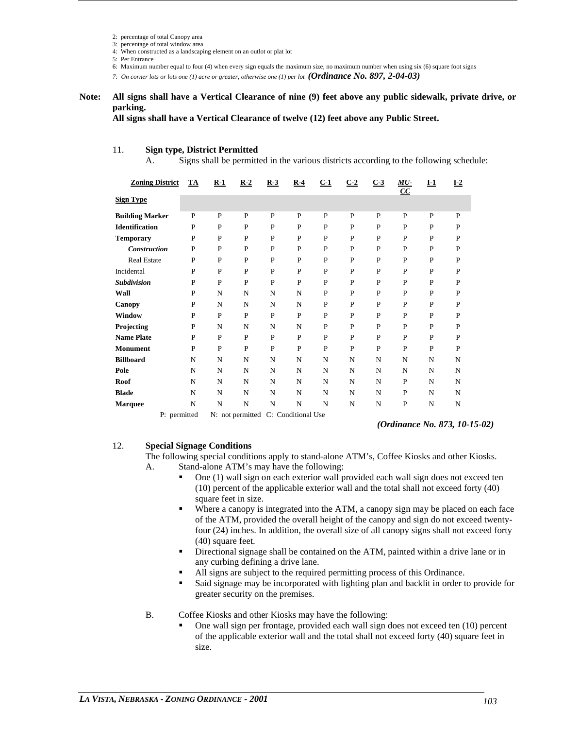2: percentage of total Canopy area

3: percentage of total window area

4: When constructed as a landscaping element on an outlot or plat lot

5: Per Entrance

6: Maximum number equal to four (4) when every sign equals the maximum size, no maximum number when using six (6) square foot signs

*7: On corner lots or lots one (1) acre or greater, otherwise one (1) per lot (Ordinance No. 897, 2-04-03)*

#### **Note: All signs shall have a Vertical Clearance of nine (9) feet above any public sidewalk, private drive, or parking.**

**All signs shall have a Vertical Clearance of twelve (12) feet above any Public Street.**

# 11. **Sign type, District Permitted**

A. Signs shall be permitted in the various districts according to the following schedule:

| <b>Zoning District</b> | <b>TA</b>   | $R-1$ | $R-2$                               | $R-3$ | $R-4$ | $C-1$       | $C-2$ | $C-3$ | MU-<br>$\overline{CC}$ | $I-1$        | $I-2$        |
|------------------------|-------------|-------|-------------------------------------|-------|-------|-------------|-------|-------|------------------------|--------------|--------------|
| <b>Sign Type</b>       |             |       |                                     |       |       |             |       |       |                        |              |              |
| <b>Building Marker</b> | P           | P     | P                                   | P     | P     | P           | P     | P     | P                      | P            | P            |
| <b>Identification</b>  | $\mathbf P$ | P     | P                                   | P     | P     | $\mathbf P$ | P     | P     | P                      | $\mathbf{P}$ | $\mathbf P$  |
| <b>Temporary</b>       | P           | P     | P                                   | P     | P     | P           | P     | P     | P                      | $\mathbf{P}$ | P            |
| <b>Construction</b>    | P           | P     | P                                   | P     | P     | P           | P     | P     | P                      | P            | $\mathbf P$  |
| <b>Real Estate</b>     | P           | P     | P                                   | P     | P     | $\mathbf P$ | P     | P     | P                      | $\mathbf{P}$ | P            |
| Incidental             | $\mathbf P$ | P     | P                                   | P     | P     | $\mathbf P$ | P     | P     | P                      | $\mathbf{P}$ | $\mathbf P$  |
| <b>Subdivision</b>     | P           | P     | P                                   | P     | P     | $\mathbf P$ | P     | P     | P                      | $\mathbf{P}$ | $\mathbf P$  |
| Wall                   | P           | N     | N                                   | N     | N     | $\mathbf P$ | P     | P     | P                      | $\mathbf{P}$ | P            |
| Canopy                 | P           | N     | $\mathbf N$                         | N     | N     | P           | P     | P     | P                      | P            | P            |
| Window                 | $\mathbf P$ | P     | P                                   | P     | P     | P           | P     | P     | P                      | P            | $\mathbf P$  |
| Projecting             | P           | N     | N                                   | N     | N     | P           | P     | P     | P                      | P            | P            |
| <b>Name Plate</b>      | P           | P     | P                                   | P     | P     | P           | P     | P     | P                      | P            | P            |
| <b>Monument</b>        | $\mathbf P$ | P     | P                                   | P     | P     | $\mathbf P$ | P     | P     | P                      | $\mathbf{P}$ | $\mathbf{P}$ |
| <b>Billboard</b>       | N           | N     | N                                   | N     | N     | N           | N     | N     | N                      | N            | N            |
| Pole                   | N           | N     | N                                   | N     | N     | N           | N     | N     | N                      | N            | N            |
| Roof                   | N           | N     | N                                   | N     | N     | N           | N     | N     | P                      | N            | N            |
| <b>Blade</b>           | N           | N     | N                                   | N     | N     | N           | N     | N     | P                      | N            | N            |
| <b>Marquee</b>         | N           | N     | N                                   | N     | N     | N           | N     | N     | P                      | N            | N            |
| P: permitted           |             |       | N: not permitted C: Conditional Use |       |       |             |       |       |                        |              |              |

*(Ordinance No. 873, 10-15-02)*

# 12. **Special Signage Conditions**

The following special conditions apply to stand-alone ATM's, Coffee Kiosks and other Kiosks. A. Stand-alone ATM's may have the following:

- One (1) wall sign on each exterior wall provided each wall sign does not exceed ten (10) percent of the applicable exterior wall and the total shall not exceed forty (40) square feet in size.
- Where a canopy is integrated into the ATM, a canopy sign may be placed on each face of the ATM, provided the overall height of the canopy and sign do not exceed twentyfour (24) inches. In addition, the overall size of all canopy signs shall not exceed forty (40) square feet.
- Directional signage shall be contained on the ATM, painted within a drive lane or in any curbing defining a drive lane.
- All signs are subject to the required permitting process of this Ordinance.
- Said signage may be incorporated with lighting plan and backlit in order to provide for greater security on the premises.

# B. Coffee Kiosks and other Kiosks may have the following:

 One wall sign per frontage, provided each wall sign does not exceed ten (10) percent of the applicable exterior wall and the total shall not exceed forty (40) square feet in size.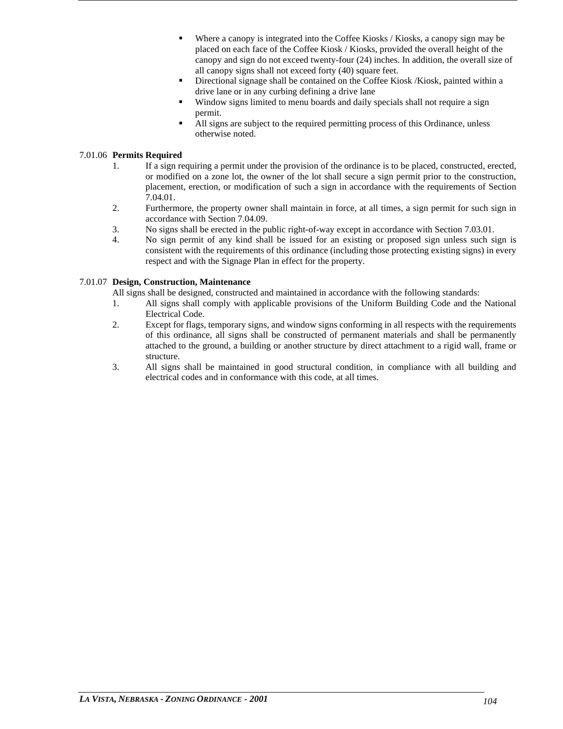- Where a canopy is integrated into the Coffee Kiosks / Kiosks, a canopy sign may be placed on each face of the Coffee Kiosk / Kiosks, provided the overall height of the canopy and sign do not exceed twenty-four (24) inches. In addition, the overall size of all canopy signs shall not exceed forty (40) square feet.
- Directional signage shall be contained on the Coffee Kiosk /Kiosk, painted within a drive lane or in any curbing defining a drive lane
- Window signs limited to menu boards and daily specials shall not require a sign permit.
- All signs are subject to the required permitting process of this Ordinance, unless otherwise noted.

# 7.01.06 **Permits Required**

- 1. If a sign requiring a permit under the provision of the ordinance is to be placed, constructed, erected, or modified on a zone lot, the owner of the lot shall secure a sign permit prior to the construction, placement, erection, or modification of such a sign in accordance with the requirements of Section 7.04.01.
- 2. Furthermore, the property owner shall maintain in force, at all times, a sign permit for such sign in accordance with Section 7.04.09.
- 3. No signs shall be erected in the public right-of-way except in accordance with Section 7.03.01.
- 4. No sign permit of any kind shall be issued for an existing or proposed sign unless such sign is consistent with the requirements of this ordinance (including those protecting existing signs) in every respect and with the Signage Plan in effect for the property.

# 7.01.07 **Design, Construction, Maintenance**

All signs shall be designed, constructed and maintained in accordance with the following standards:

- 1. All signs shall comply with applicable provisions of the Uniform Building Code and the National Electrical Code.
- 2. Except for flags, temporary signs, and window signs conforming in all respects with the requirements of this ordinance, all signs shall be constructed of permanent materials and shall be permanently attached to the ground, a building or another structure by direct attachment to a rigid wall, frame or structure.
- 3. All signs shall be maintained in good structural condition, in compliance with all building and electrical codes and in conformance with this code, at all times.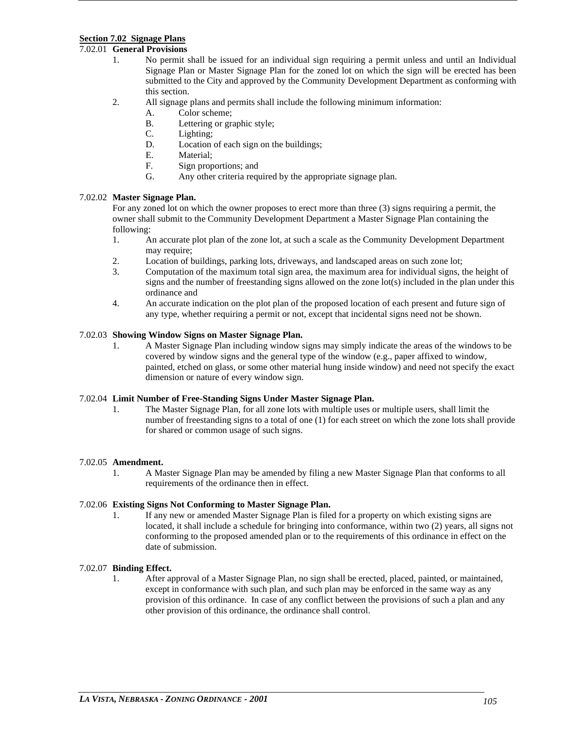# **Section 7.02 Signage Plans**

# 7.02.01 **General Provisions**

- 1. No permit shall be issued for an individual sign requiring a permit unless and until an Individual Signage Plan or Master Signage Plan for the zoned lot on which the sign will be erected has been submitted to the City and approved by the Community Development Department as conforming with this section.
- 2. All signage plans and permits shall include the following minimum information:
	- A. Color scheme;
	- B. Lettering or graphic style;<br>C. Lighting:
	- Lighting:
	- D. Location of each sign on the buildings;
	- E. Material;
	- F. Sign proportions; and
	- G. Any other criteria required by the appropriate signage plan.

# 7.02.02 **Master Signage Plan.**

For any zoned lot on which the owner proposes to erect more than three (3) signs requiring a permit, the owner shall submit to the Community Development Department a Master Signage Plan containing the following:

- 1. An accurate plot plan of the zone lot, at such a scale as the Community Development Department may require:
- 2. Location of buildings, parking lots, driveways, and landscaped areas on such zone lot;
- 3. Computation of the maximum total sign area, the maximum area for individual signs, the height of signs and the number of freestanding signs allowed on the zone lot(s) included in the plan under this ordinance and
- 4. An accurate indication on the plot plan of the proposed location of each present and future sign of any type, whether requiring a permit or not, except that incidental signs need not be shown.

# 7.02.03 **Showing Window Signs on Master Signage Plan.**

1. A Master Signage Plan including window signs may simply indicate the areas of the windows to be covered by window signs and the general type of the window (e.g., paper affixed to window, painted, etched on glass, or some other material hung inside window) and need not specify the exact dimension or nature of every window sign.

# 7.02.04 **Limit Number of Free-Standing Signs Under Master Signage Plan.**

The Master Signage Plan, for all zone lots with multiple uses or multiple users, shall limit the number of freestanding signs to a total of one (1) for each street on which the zone lots shall provide for shared or common usage of such signs.

# 7.02.05 **Amendment.**

1. A Master Signage Plan may be amended by filing a new Master Signage Plan that conforms to all requirements of the ordinance then in effect.

# 7.02.06 **Existing Signs Not Conforming to Master Signage Plan.**

1. If any new or amended Master Signage Plan is filed for a property on which existing signs are located, it shall include a schedule for bringing into conformance, within two (2) years, all signs not conforming to the proposed amended plan or to the requirements of this ordinance in effect on the date of submission.

# 7.02.07 **Binding Effect.**

1. After approval of a Master Signage Plan, no sign shall be erected, placed, painted, or maintained, except in conformance with such plan, and such plan may be enforced in the same way as any provision of this ordinance. In case of any conflict between the provisions of such a plan and any other provision of this ordinance, the ordinance shall control.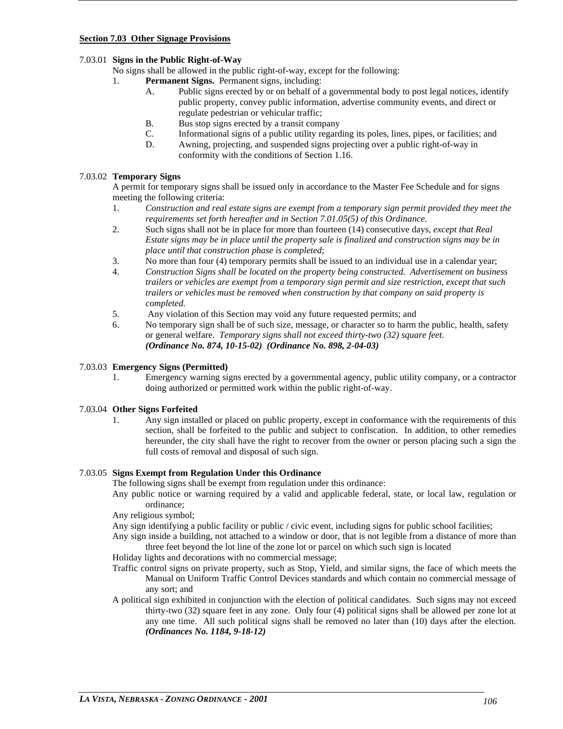# **Section 7.03 Other Signage Provisions**

# 7.03.01 **Signs in the Public Right-of-Way**

No signs shall be allowed in the public right-of-way, except for the following:

- 1. **Permanent Signs.** Permanent signs, including:
	- A. Public signs erected by or on behalf of a governmental body to post legal notices, identify public property, convey public information, advertise community events, and direct or regulate pedestrian or vehicular traffic;
	- B. Bus stop signs erected by a transit company
	- C. Informational signs of a public utility regarding its poles, lines, pipes, or facilities; and
	- D. Awning, projecting, and suspended signs projecting over a public right-of-way in conformity with the conditions of Section 1.16.

# 7.03.02 **Temporary Signs**

A permit for temporary signs shall be issued only in accordance to the Master Fee Schedule and for signs meeting the following criteria:

- 1. *Construction and real estate signs are exempt from a temporary sign permit provided they meet the requirements set forth hereafter and in Section 7.01.05(5) of this Ordinance.*
- 2. Such signs shall not be in place for more than fourteen (14) consecutive days, *except that Real Estate signs may be in place until the property sale is finalized and construction signs may be in place until that construction phase is completed*;
- 3. No more than four (4) temporary permits shall be issued to an individual use in a calendar year;
- 4. *Construction Signs shall be located on the property being constructed. Advertisement on business trailers or vehicles are exempt from a temporary sign permit and size restriction, except that such trailers or vehicles must be removed when construction by that company on said property is completed.*
- 5. Any violation of this Section may void any future requested permits; and
- 6. No temporary sign shall be of such size, message, or character so to harm the public, health, safety or general welfare. *Temporary signs shall not exceed thirty-two (32) square feet. (Ordinance No. 874, 10-15-02) (Ordinance No. 898, 2-04-03)*

# 7.03.03 **Emergency Signs (Permitted)**

1. Emergency warning signs erected by a governmental agency, public utility company, or a contractor doing authorized or permitted work within the public right-of-way.

# 7.03.04 **Other Signs Forfeited**

1. Any sign installed or placed on public property, except in conformance with the requirements of this section, shall be forfeited to the public and subject to confiscation. In addition, to other remedies hereunder, the city shall have the right to recover from the owner or person placing such a sign the full costs of removal and disposal of such sign.

# 7.03.05 **Signs Exempt from Regulation Under this Ordinance**

The following signs shall be exempt from regulation under this ordinance:

Any public notice or warning required by a valid and applicable federal, state, or local law, regulation or ordinance;

Any religious symbol;

Any sign identifying a public facility or public / civic event, including signs for public school facilities;

Any sign inside a building, not attached to a window or door, that is not legible from a distance of more than three feet beyond the lot line of the zone lot or parcel on which such sign is located

Holiday lights and decorations with no commercial message;

- Traffic control signs on private property, such as Stop, Yield, and similar signs, the face of which meets the Manual on Uniform Traffic Control Devices standards and which contain no commercial message of any sort; and
- A political sign exhibited in conjunction with the election of political candidates. Such signs may not exceed thirty-two (32) square feet in any zone. Only four (4) political signs shall be allowed per zone lot at any one time. All such political signs shall be removed no later than (10) days after the election. *(Ordinances No. 1184, 9-18-12)*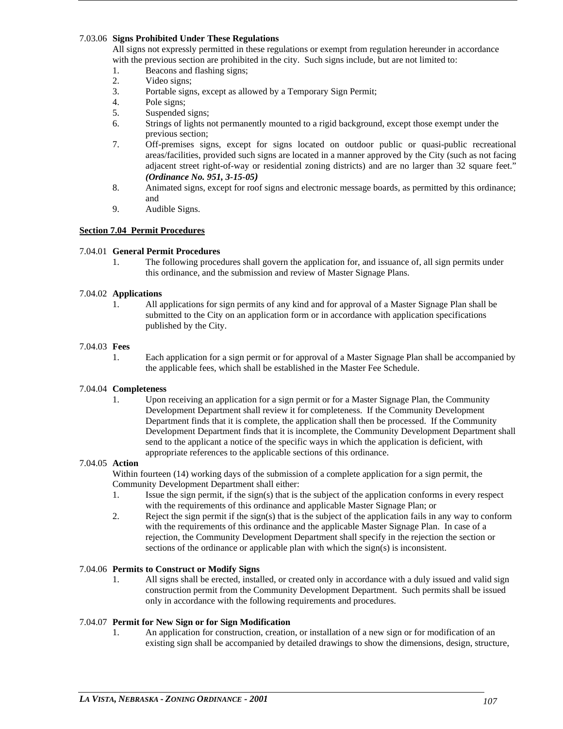# 7.03.06 **Signs Prohibited Under These Regulations**

All signs not expressly permitted in these regulations or exempt from regulation hereunder in accordance with the previous section are prohibited in the city. Such signs include, but are not limited to:

- 1. Beacons and flashing signs;<br>2. Video signs;
- 2. Video signs;<br>3. Portable sign
- Portable signs, except as allowed by a Temporary Sign Permit;
- 4. Pole signs;
- 5. Suspended signs;
- 6. Strings of lights not permanently mounted to a rigid background, except those exempt under the previous section;
- 7. Off-premises signs, except for signs located on outdoor public or quasi-public recreational areas/facilities, provided such signs are located in a manner approved by the City (such as not facing adjacent street right-of-way or residential zoning districts) and are no larger than 32 square feet." *(Ordinance No. 951, 3-15-05)*
- 8. Animated signs, except for roof signs and electronic message boards, as permitted by this ordinance; and
- 9. Audible Signs.

# **Section 7.04 Permit Procedures**

# 7.04.01 **General Permit Procedures**

1. The following procedures shall govern the application for, and issuance of, all sign permits under this ordinance, and the submission and review of Master Signage Plans.

# 7.04.02 **Applications**

1. All applications for sign permits of any kind and for approval of a Master Signage Plan shall be submitted to the City on an application form or in accordance with application specifications published by the City.

# 7.04.03 **Fees**

1. Each application for a sign permit or for approval of a Master Signage Plan shall be accompanied by the applicable fees, which shall be established in the Master Fee Schedule.

# 7.04.04 **Completeness**

1. Upon receiving an application for a sign permit or for a Master Signage Plan, the Community Development Department shall review it for completeness. If the Community Development Department finds that it is complete, the application shall then be processed. If the Community Development Department finds that it is incomplete, the Community Development Department shall send to the applicant a notice of the specific ways in which the application is deficient, with appropriate references to the applicable sections of this ordinance.

#### 7.04.05 **Action**

Within fourteen (14) working days of the submission of a complete application for a sign permit, the Community Development Department shall either:

- 1. Issue the sign permit, if the sign(s) that is the subject of the application conforms in every respect with the requirements of this ordinance and applicable Master Signage Plan; or
- 2. Reject the sign permit if the sign(s) that is the subject of the application fails in any way to conform with the requirements of this ordinance and the applicable Master Signage Plan. In case of a rejection, the Community Development Department shall specify in the rejection the section or sections of the ordinance or applicable plan with which the sign(s) is inconsistent.

# 7.04.06 **Permits to Construct or Modify Signs**

1. All signs shall be erected, installed, or created only in accordance with a duly issued and valid sign construction permit from the Community Development Department. Such permits shall be issued only in accordance with the following requirements and procedures.

# 7.04.07 **Permit for New Sign or for Sign Modification**

1. An application for construction, creation, or installation of a new sign or for modification of an existing sign shall be accompanied by detailed drawings to show the dimensions, design, structure,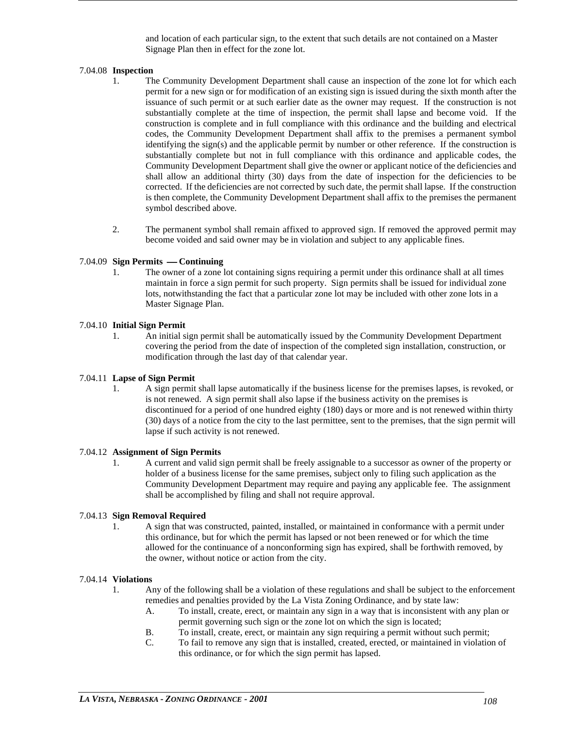and location of each particular sign, to the extent that such details are not contained on a Master Signage Plan then in effect for the zone lot.

# 7.04.08 **Inspection**

- 1. The Community Development Department shall cause an inspection of the zone lot for which each permit for a new sign or for modification of an existing sign is issued during the sixth month after the issuance of such permit or at such earlier date as the owner may request. If the construction is not substantially complete at the time of inspection, the permit shall lapse and become void. If the construction is complete and in full compliance with this ordinance and the building and electrical codes, the Community Development Department shall affix to the premises a permanent symbol identifying the sign(s) and the applicable permit by number or other reference. If the construction is substantially complete but not in full compliance with this ordinance and applicable codes, the Community Development Department shall give the owner or applicant notice of the deficiencies and shall allow an additional thirty (30) days from the date of inspection for the deficiencies to be corrected. If the deficiencies are not corrected by such date, the permit shall lapse. If the construction is then complete, the Community Development Department shall affix to the premises the permanent symbol described above.
- 2. The permanent symbol shall remain affixed to approved sign. If removed the approved permit may become voided and said owner may be in violation and subject to any applicable fines.

# 7.04.09 **Sign Permits — Continuing**

1. The owner of a zone lot containing signs requiring a permit under this ordinance shall at all times maintain in force a sign permit for such property. Sign permits shall be issued for individual zone lots, notwithstanding the fact that a particular zone lot may be included with other zone lots in a Master Signage Plan.

# 7.04.10 **Initial Sign Permit**

1. An initial sign permit shall be automatically issued by the Community Development Department covering the period from the date of inspection of the completed sign installation, construction, or modification through the last day of that calendar year.

# 7.04.11 **Lapse of Sign Permit**

1. A sign permit shall lapse automatically if the business license for the premises lapses, is revoked, or is not renewed. A sign permit shall also lapse if the business activity on the premises is discontinued for a period of one hundred eighty (180) days or more and is not renewed within thirty (30) days of a notice from the city to the last permittee, sent to the premises, that the sign permit will lapse if such activity is not renewed.

#### 7.04.12 **Assignment of Sign Permits**

1. A current and valid sign permit shall be freely assignable to a successor as owner of the property or holder of a business license for the same premises, subject only to filing such application as the Community Development Department may require and paying any applicable fee. The assignment shall be accomplished by filing and shall not require approval.

# 7.04.13 **Sign Removal Required**

1. A sign that was constructed, painted, installed, or maintained in conformance with a permit under this ordinance, but for which the permit has lapsed or not been renewed or for which the time allowed for the continuance of a nonconforming sign has expired, shall be forthwith removed, by the owner, without notice or action from the city.

# 7.04.14 **Violations**

- 1. Any of the following shall be a violation of these regulations and shall be subject to the enforcement remedies and penalties provided by the La Vista Zoning Ordinance, and by state law:
	- A. To install, create, erect, or maintain any sign in a way that is inconsistent with any plan or permit governing such sign or the zone lot on which the sign is located;
	- B. To install, create, erect, or maintain any sign requiring a permit without such permit;
	- C. To fail to remove any sign that is installed, created, erected, or maintained in violation of this ordinance, or for which the sign permit has lapsed.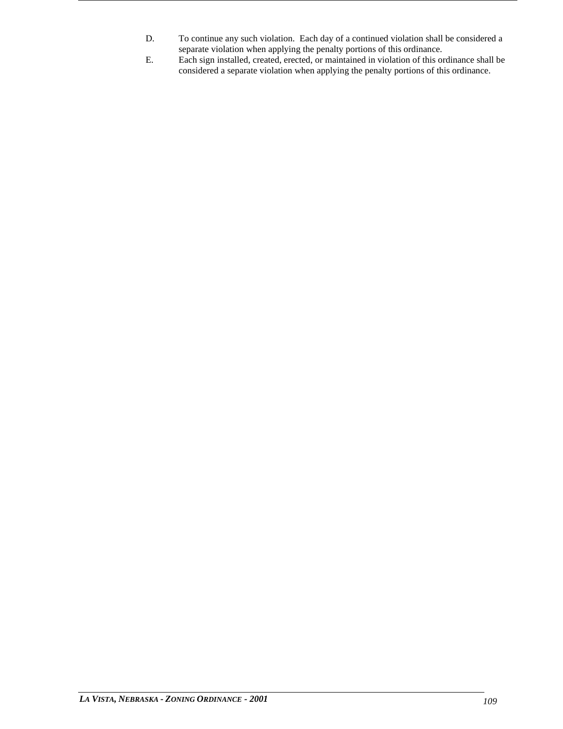- D. To continue any such violation. Each day of a continued violation shall be considered a separate violation when applying the penalty portions of this ordinance.
- E. Each sign installed, created, erected, or maintained in violation of this ordinance shall be considered a separate violation when applying the penalty portions of this ordinance.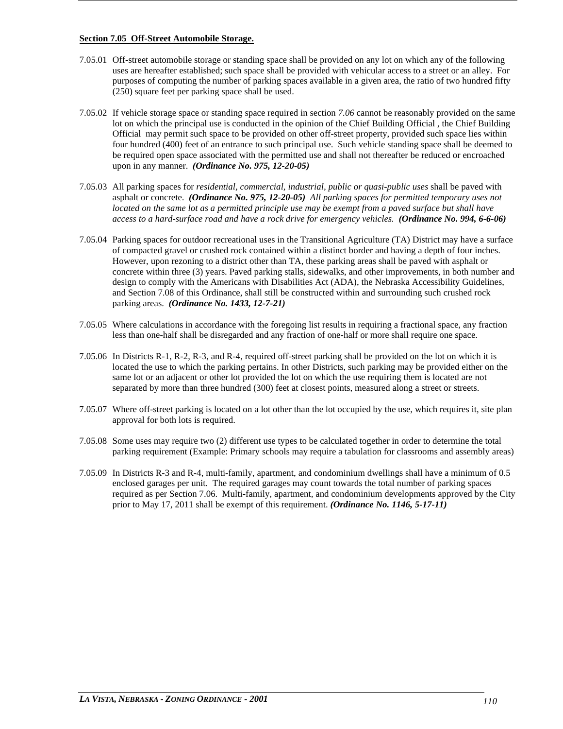# **Section 7.05 Off-Street Automobile Storage.**

- 7.05.01 Off-street automobile storage or standing space shall be provided on any lot on which any of the following uses are hereafter established; such space shall be provided with vehicular access to a street or an alley. For purposes of computing the number of parking spaces available in a given area, the ratio of two hundred fifty (250) square feet per parking space shall be used.
- 7.05.02 If vehicle storage space or standing space required in section *7.06* cannot be reasonably provided on the same lot on which the principal use is conducted in the opinion of the Chief Building Official , the Chief Building Official may permit such space to be provided on other off-street property, provided such space lies within four hundred (400) feet of an entrance to such principal use. Such vehicle standing space shall be deemed to be required open space associated with the permitted use and shall not thereafter be reduced or encroached upon in any manner. *(Ordinance No. 975, 12-20-05)*
- 7.05.03 All parking spaces for *residential, commercial, industrial, public or quasi-public uses* shall be paved with asphalt or concrete. *(Ordinance No. 975, 12-20-05) All parking spaces for permitted temporary uses not located on the same lot as a permitted principle use may be exempt from a paved surface but shall have access to a hard-surface road and have a rock drive for emergency vehicles. (Ordinance No. 994, 6-6-06)*
- 7.05.04 Parking spaces for outdoor recreational uses in the Transitional Agriculture (TA) District may have a surface of compacted gravel or crushed rock contained within a distinct border and having a depth of four inches. However, upon rezoning to a district other than TA, these parking areas shall be paved with asphalt or concrete within three (3) years. Paved parking stalls, sidewalks, and other improvements, in both number and design to comply with the Americans with Disabilities Act (ADA), the Nebraska Accessibility Guidelines, and Section 7.08 of this Ordinance, shall still be constructed within and surrounding such crushed rock parking areas. *(Ordinance No. 1433, 12-7-21)*
- 7.05.05 Where calculations in accordance with the foregoing list results in requiring a fractional space, any fraction less than one-half shall be disregarded and any fraction of one-half or more shall require one space.
- 7.05.06 In Districts R-1, R-2, R-3, and R-4, required off-street parking shall be provided on the lot on which it is located the use to which the parking pertains. In other Districts, such parking may be provided either on the same lot or an adjacent or other lot provided the lot on which the use requiring them is located are not separated by more than three hundred (300) feet at closest points, measured along a street or streets.
- 7.05.07 Where off-street parking is located on a lot other than the lot occupied by the use, which requires it, site plan approval for both lots is required.
- 7.05.08 Some uses may require two (2) different use types to be calculated together in order to determine the total parking requirement (Example: Primary schools may require a tabulation for classrooms and assembly areas)
- 7.05.09 In Districts R-3 and R-4, multi-family, apartment, and condominium dwellings shall have a minimum of 0.5 enclosed garages per unit. The required garages may count towards the total number of parking spaces required as per Section 7.06. Multi-family, apartment, and condominium developments approved by the City prior to May 17, 2011 shall be exempt of this requirement. *(Ordinance No. 1146, 5-17-11)*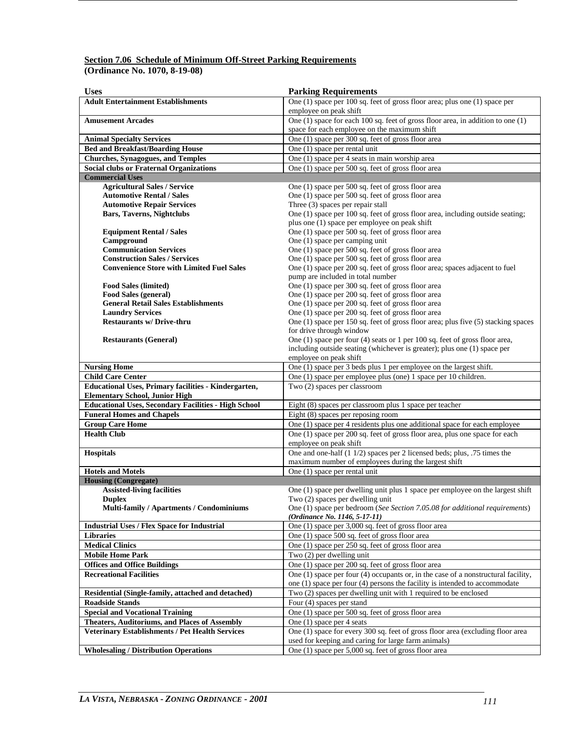# **Section 7.06 Schedule of Minimum Off-Street Parking Requirements (Ordinance No. 1070, 8-19-08)**

| <b>Uses</b>                                                           | <b>Parking Requirements</b>                                                                                                                       |
|-----------------------------------------------------------------------|---------------------------------------------------------------------------------------------------------------------------------------------------|
| <b>Adult Entertainment Establishments</b>                             | One (1) space per 100 sq. feet of gross floor area; plus one (1) space per                                                                        |
|                                                                       | employee on peak shift                                                                                                                            |
| <b>Amusement Arcades</b>                                              | One (1) space for each 100 sq. feet of gross floor area, in addition to one (1)                                                                   |
|                                                                       | space for each employee on the maximum shift                                                                                                      |
| <b>Animal Specialty Services</b>                                      | One (1) space per 300 sq. feet of gross floor area                                                                                                |
| <b>Bed and Breakfast/Boarding House</b>                               | One (1) space per rental unit                                                                                                                     |
| <b>Churches, Synagogues, and Temples</b>                              | One (1) space per 4 seats in main worship area                                                                                                    |
| <b>Social clubs or Fraternal Organizations</b>                        | One (1) space per 500 sq. feet of gross floor area                                                                                                |
| <b>Commercial Uses</b>                                                |                                                                                                                                                   |
| <b>Agricultural Sales / Service</b>                                   | One (1) space per 500 sq. feet of gross floor area                                                                                                |
| <b>Automotive Rental / Sales</b>                                      | One (1) space per 500 sq. feet of gross floor area                                                                                                |
| <b>Automotive Repair Services</b>                                     | Three (3) spaces per repair stall                                                                                                                 |
| <b>Bars, Taverns, Nightclubs</b>                                      | One (1) space per 100 sq. feet of gross floor area, including outside seating;                                                                    |
|                                                                       | plus one (1) space per employee on peak shift                                                                                                     |
| <b>Equipment Rental / Sales</b>                                       | One (1) space per 500 sq. feet of gross floor area                                                                                                |
| Campground                                                            | One (1) space per camping unit                                                                                                                    |
| <b>Communication Services</b>                                         | One (1) space per 500 sq. feet of gross floor area                                                                                                |
| <b>Construction Sales / Services</b>                                  | One (1) space per 500 sq. feet of gross floor area                                                                                                |
| <b>Convenience Store with Limited Fuel Sales</b>                      | One (1) space per 200 sq. feet of gross floor area; spaces adjacent to fuel                                                                       |
|                                                                       | pump are included in total number                                                                                                                 |
| <b>Food Sales (limited)</b>                                           | One (1) space per 300 sq. feet of gross floor area                                                                                                |
| <b>Food Sales (general)</b>                                           | One (1) space per 200 sq. feet of gross floor area                                                                                                |
| <b>General Retail Sales Establishments</b>                            | One (1) space per 200 sq. feet of gross floor area                                                                                                |
| <b>Laundry Services</b><br><b>Restaurants w/ Drive-thru</b>           | One (1) space per 200 sq. feet of gross floor area                                                                                                |
|                                                                       | One (1) space per 150 sq. feet of gross floor area; plus five (5) stacking spaces                                                                 |
| <b>Restaurants (General)</b>                                          | for drive through window<br>One $(1)$ space per four $(4)$ seats or 1 per 100 sq. feet of gross floor area,                                       |
|                                                                       | including outside seating (whichever is greater); plus one (1) space per                                                                          |
|                                                                       | employee on peak shift                                                                                                                            |
| <b>Nursing Home</b>                                                   | One (1) space per 3 beds plus 1 per employee on the largest shift.                                                                                |
| <b>Child Care Center</b>                                              | One (1) space per employee plus (one) 1 space per 10 children.                                                                                    |
| <b>Educational Uses, Primary facilities - Kindergarten,</b>           | Two (2) spaces per classroom                                                                                                                      |
| <b>Elementary School, Junior High</b>                                 |                                                                                                                                                   |
| <b>Educational Uses, Secondary Facilities - High School</b>           | Eight (8) spaces per classroom plus 1 space per teacher                                                                                           |
| <b>Funeral Homes and Chapels</b>                                      | Eight (8) spaces per reposing room                                                                                                                |
| <b>Group Care Home</b>                                                | One (1) space per 4 residents plus one additional space for each employee                                                                         |
| <b>Health Club</b>                                                    | One (1) space per 200 sq. feet of gross floor area, plus one space for each                                                                       |
|                                                                       | employee on peak shift                                                                                                                            |
| <b>Hospitals</b>                                                      | One and one-half (1 1/2) spaces per 2 licensed beds; plus, .75 times the                                                                          |
|                                                                       | maximum number of employees during the largest shift                                                                                              |
| <b>Hotels and Motels</b>                                              | One (1) space per rental unit                                                                                                                     |
| <b>Housing (Congregate)</b>                                           |                                                                                                                                                   |
| <b>Assisted-living facilities</b>                                     | One (1) space per dwelling unit plus 1 space per employee on the largest shift                                                                    |
| <b>Duplex</b>                                                         | Two (2) spaces per dwelling unit                                                                                                                  |
| Multi-family / Apartments / Condominiums                              | One (1) space per bedroom (See Section 7.05.08 for additional requirements)                                                                       |
|                                                                       | (Ordinance No. 1146, 5-17-11)                                                                                                                     |
| <b>Industrial Uses / Flex Space for Industrial</b>                    | One (1) space per 3,000 sq. feet of gross floor area                                                                                              |
| <b>Libraries</b><br><b>Medical Clinics</b>                            | One (1) space 500 sq. feet of gross floor area<br>One (1) space per 250 sq. feet of gross floor area                                              |
| <b>Mobile Home Park</b>                                               | Two (2) per dwelling unit                                                                                                                         |
|                                                                       |                                                                                                                                                   |
| <b>Offices and Office Buildings</b><br><b>Recreational Facilities</b> | One (1) space per 200 sq. feet of gross floor area<br>One $(1)$ space per four $(4)$ occupants or, in the case of a nonstructural facility,       |
|                                                                       |                                                                                                                                                   |
| Residential (Single-family, attached and detached)                    | one $(1)$ space per four $(4)$ persons the facility is intended to accommodate<br>Two (2) spaces per dwelling unit with 1 required to be enclosed |
| <b>Roadside Stands</b>                                                | Four (4) spaces per stand                                                                                                                         |
|                                                                       |                                                                                                                                                   |
| <b>Special and Vocational Training</b>                                | One (1) space per 500 sq. feet of gross floor area                                                                                                |
| <b>Theaters, Auditoriums, and Places of Assembly</b>                  | One (1) space per 4 seats<br>One (1) space for every 300 sq. feet of gross floor area (excluding floor area                                       |
| Veterinary Establishments / Pet Health Services                       |                                                                                                                                                   |
|                                                                       | used for keeping and caring for large farm animals)                                                                                               |
| <b>Wholesaling / Distribution Operations</b>                          | One (1) space per 5,000 sq. feet of gross floor area                                                                                              |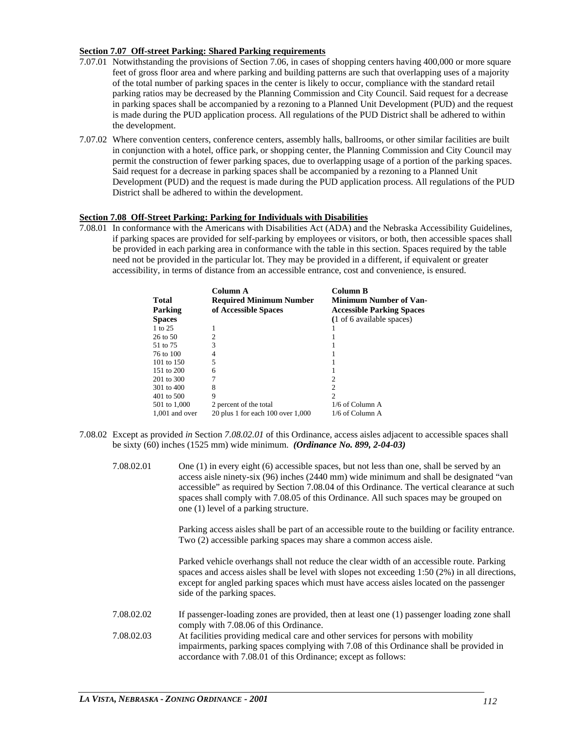# **Section 7.07 Off-street Parking: Shared Parking requirements**

- 7.07.01 Notwithstanding the provisions of Section 7.06, in cases of shopping centers having 400,000 or more square feet of gross floor area and where parking and building patterns are such that overlapping uses of a majority of the total number of parking spaces in the center is likely to occur, compliance with the standard retail parking ratios may be decreased by the Planning Commission and City Council. Said request for a decrease in parking spaces shall be accompanied by a rezoning to a Planned Unit Development (PUD) and the request is made during the PUD application process. All regulations of the PUD District shall be adhered to within the development.
- 7.07.02 Where convention centers, conference centers, assembly halls, ballrooms, or other similar facilities are built in conjunction with a hotel, office park, or shopping center, the Planning Commission and City Council may permit the construction of fewer parking spaces, due to overlapping usage of a portion of the parking spaces. Said request for a decrease in parking spaces shall be accompanied by a rezoning to a Planned Unit Development (PUD) and the request is made during the PUD application process. All regulations of the PUD District shall be adhered to within the development.

# **Section 7.08 Off-Street Parking: Parking for Individuals with Disabilities**

7.08.01 In conformance with the Americans with Disabilities Act (ADA) and the Nebraska Accessibility Guidelines, if parking spaces are provided for self-parking by employees or visitors, or both, then accessible spaces shall be provided in each parking area in conformance with the table in this section. Spaces required by the table need not be provided in the particular lot. They may be provided in a different, if equivalent or greater accessibility, in terms of distance from an accessible entrance, cost and convenience, is ensured.

| <b>Total</b><br>Parking<br><b>Spaces</b> | Column A<br><b>Required Minimum Number</b><br>of Accessible Spaces | Column B<br><b>Minimum Number of Van-</b><br><b>Accessible Parking Spaces</b><br>(1 of 6 available spaces) |
|------------------------------------------|--------------------------------------------------------------------|------------------------------------------------------------------------------------------------------------|
| 1 to 25                                  |                                                                    |                                                                                                            |
| 26 to 50                                 |                                                                    |                                                                                                            |
| 51 to 75                                 | 3                                                                  |                                                                                                            |
| 76 to 100                                | 4                                                                  |                                                                                                            |
| 101 to 150                               | 5                                                                  |                                                                                                            |
| 151 to 200                               | 6                                                                  |                                                                                                            |
| 201 to 300                               |                                                                    | 2                                                                                                          |
| 301 to 400                               | 8                                                                  | 2                                                                                                          |
| $401$ to $500$                           | 9                                                                  | $\mathcal{D}$                                                                                              |
| 501 to 1,000                             | 2 percent of the total                                             | $1/6$ of Column A                                                                                          |
| $1.001$ and over                         | 20 plus 1 for each $100$ over $1,000$                              | $1/6$ of Column A                                                                                          |

- 7.08.02 Except as provided *in* Section *7.08.02.01* of this Ordinance, access aisles adjacent to accessible spaces shall be sixty (60) inches (1525 mm) wide minimum. *(Ordinance No. 899, 2-04-03)*
	- 7.08.02.01 One (1) in every eight (6) accessible spaces, but not less than one, shall be served by an access aisle ninety-six (96) inches (2440 mm) wide minimum and shall be designated "van accessible" as required by Section 7.08.04 of this Ordinance. The vertical clearance at such spaces shall comply with 7.08.05 of this Ordinance. All such spaces may be grouped on one (1) level of a parking structure.

Parking access aisles shall be part of an accessible route to the building or facility entrance. Two (2) accessible parking spaces may share a common access aisle.

Parked vehicle overhangs shall not reduce the clear width of an accessible route. Parking spaces and access aisles shall be level with slopes not exceeding 1:50 (2%) in all directions, except for angled parking spaces which must have access aisles located on the passenger side of the parking spaces.

- 7.08.02.02 If passenger-loading zones are provided, then at least one (1) passenger loading zone shall comply with 7.08.06 of this Ordinance.
- 7.08.02.03 At facilities providing medical care and other services for persons with mobility impairments, parking spaces complying with 7.08 of this Ordinance shall be provided in accordance with 7.08.01 of this Ordinance; except as follows: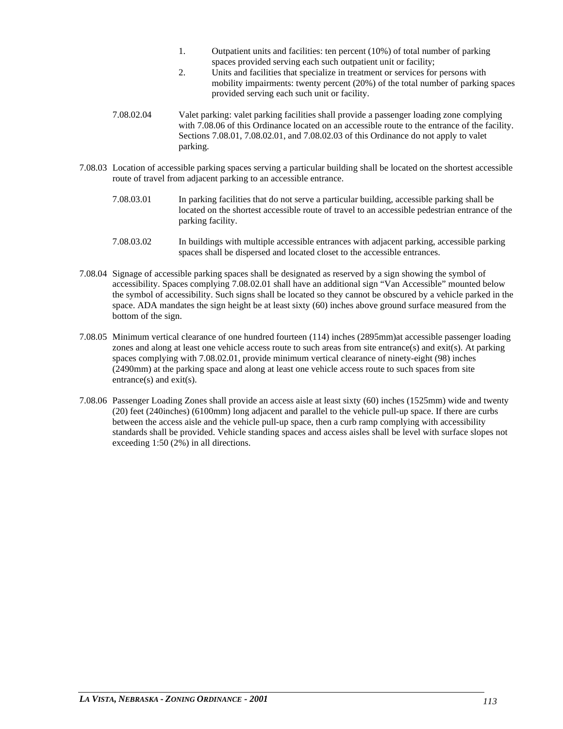- 1. Outpatient units and facilities: ten percent (10%) of total number of parking spaces provided serving each such outpatient unit or facility;
- 2. Units and facilities that specialize in treatment or services for persons with mobility impairments: twenty percent (20%) of the total number of parking spaces provided serving each such unit or facility.
- 7.08.02.04 Valet parking: valet parking facilities shall provide a passenger loading zone complying with 7.08.06 of this Ordinance located on an accessible route to the entrance of the facility. Sections 7.08.01, 7.08.02.01, and 7.08.02.03 of this Ordinance do not apply to valet parking.
- 7.08.03 Location of accessible parking spaces serving a particular building shall be located on the shortest accessible route of travel from adjacent parking to an accessible entrance.
	- 7.08.03.01 In parking facilities that do not serve a particular building, accessible parking shall be located on the shortest accessible route of travel to an accessible pedestrian entrance of the parking facility.
	- 7.08.03.02 In buildings with multiple accessible entrances with adjacent parking, accessible parking spaces shall be dispersed and located closet to the accessible entrances.
- 7.08.04 Signage of accessible parking spaces shall be designated as reserved by a sign showing the symbol of accessibility. Spaces complying 7.08.02.01 shall have an additional sign "Van Accessible" mounted below the symbol of accessibility. Such signs shall be located so they cannot be obscured by a vehicle parked in the space. ADA mandates the sign height be at least sixty (60) inches above ground surface measured from the bottom of the sign.
- 7.08.05 Minimum vertical clearance of one hundred fourteen (114) inches (2895mm)at accessible passenger loading zones and along at least one vehicle access route to such areas from site entrance(s) and exit(s). At parking spaces complying with 7.08.02.01, provide minimum vertical clearance of ninety-eight (98) inches (2490mm) at the parking space and along at least one vehicle access route to such spaces from site entrance(s) and exit(s).
- 7.08.06 Passenger Loading Zones shall provide an access aisle at least sixty (60) inches (1525mm) wide and twenty (20) feet (240inches) (6100mm) long adjacent and parallel to the vehicle pull-up space. If there are curbs between the access aisle and the vehicle pull-up space, then a curb ramp complying with accessibility standards shall be provided. Vehicle standing spaces and access aisles shall be level with surface slopes not exceeding 1:50 (2%) in all directions.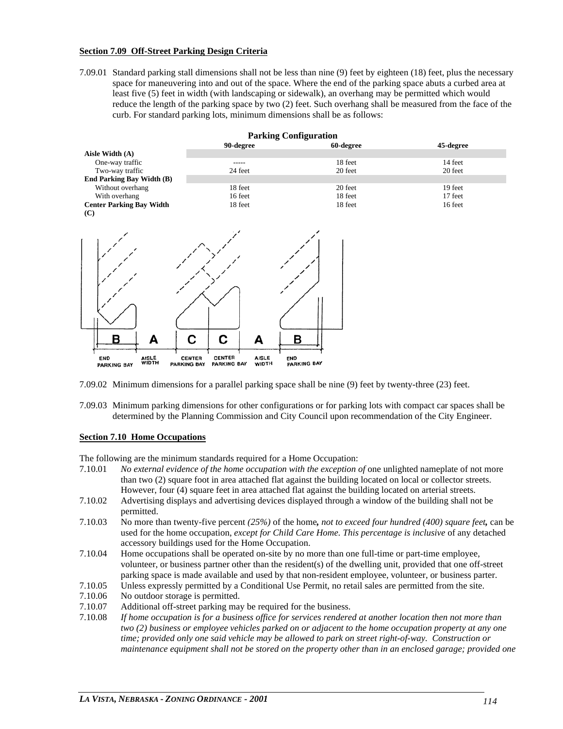#### **Section 7.09 Off-Street Parking Design Criteria**

7.09.01 Standard parking stall dimensions shall not be less than nine (9) feet by eighteen (18) feet, plus the necessary space for maneuvering into and out of the space. Where the end of the parking space abuts a curbed area at least five (5) feet in width (with landscaping or sidewalk), an overhang may be permitted which would reduce the length of the parking space by two (2) feet. Such overhang shall be measured from the face of the curb. For standard parking lots, minimum dimensions shall be as follows:



7.09.02 Minimum dimensions for a parallel parking space shall be nine (9) feet by twenty-three (23) feet.

7.09.03 Minimum parking dimensions for other configurations or for parking lots with compact car spaces shall be determined by the Planning Commission and City Council upon recommendation of the City Engineer.

#### **Section 7.10 Home Occupations**

The following are the minimum standards required for a Home Occupation:

- 7.10.01 No external evidence of the home occupation with the exception of one unlighted nameplate of not more than two (2) square foot in area attached flat against the building located on local or collector streets. However, four (4) square feet in area attached flat against the building located on arterial streets.
- 7.10.02 Advertising displays and advertising devices displayed through a window of the building shall not be permitted.
- 7.10.03 No more than twenty-five percent *(25%)* of the home*, not to exceed four hundred (400) square feet,* can be used for the home occupation, *except for Child Care Home. This percentage is inclusive* of any detached accessory buildings used for the Home Occupation.
- 7.10.04 Home occupations shall be operated on-site by no more than one full-time or part-time employee, volunteer, or business partner other than the resident(s) of the dwelling unit, provided that one off-street parking space is made available and used by that non-resident employee, volunteer, or business parter.
- 7.10.05 Unless expressly permitted by a Conditional Use Permit, no retail sales are permitted from the site.
- 7.10.06 No outdoor storage is permitted.
- 7.10.07 Additional off-street parking may be required for the business.
- 7.10.08 *If home occupation is for a business office for services rendered at another location then not more than two (2) business or employee vehicles parked on or adjacent to the home occupation property at any one time; provided only one said vehicle may be allowed to park on street right-of-way. Construction or maintenance equipment shall not be stored on the property other than in an enclosed garage; provided one*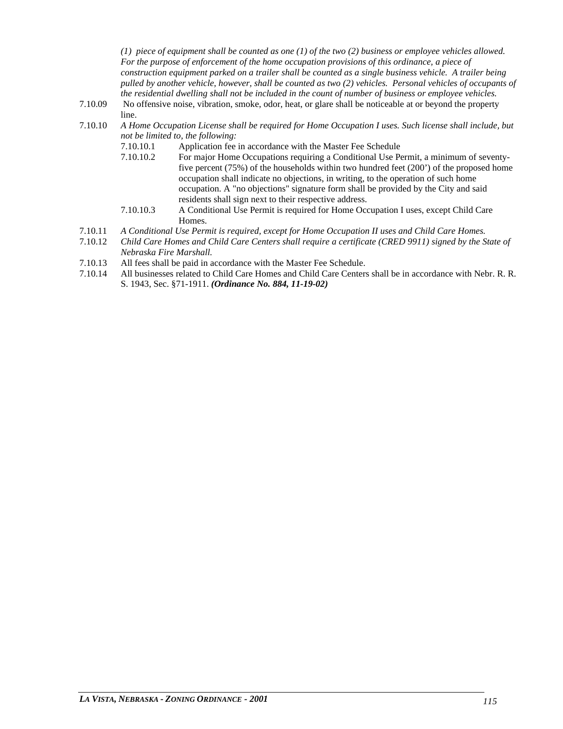*(1) piece of equipment shall be counted as one (1) of the two (2) business or employee vehicles allowed. For the purpose of enforcement of the home occupation provisions of this ordinance, a piece of construction equipment parked on a trailer shall be counted as a single business vehicle. A trailer being pulled by another vehicle, however, shall be counted as two (2) vehicles. Personal vehicles of occupants of the residential dwelling shall not be included in the count of number of business or employee vehicles.*

- 7.10.09 No offensive noise, vibration, smoke, odor, heat, or glare shall be noticeable at or beyond the property line.
- 7.10.10 *A Home Occupation License shall be required for Home Occupation I uses. Such license shall include, but not be limited to, the following:*
	- 7.10.10.1 Application fee in accordance with the Master Fee Schedule<br>7.10.10.2 For maior Home Occupations requiring a Conditional Use Pe
	- For major Home Occupations requiring a Conditional Use Permit, a minimum of seventyfive percent (75%) of the households within two hundred feet (200') of the proposed home occupation shall indicate no objections, in writing, to the operation of such home occupation. A "no objections" signature form shall be provided by the City and said residents shall sign next to their respective address.
	- 7.10.10.3 A Conditional Use Permit is required for Home Occupation I uses, except Child Care Homes.
- 7.10.11 *A Conditional Use Permit is required, except for Home Occupation II uses and Child Care Homes.*
- 7.10.12 *Child Care Homes and Child Care Centers shall require a certificate (CRED 9911) signed by the State of Nebraska Fire Marshall.*
- 7.10.13 All fees shall be paid in accordance with the Master Fee Schedule.
- 7.10.14 All businesses related to Child Care Homes and Child Care Centers shall be in accordance with Nebr. R. R. S. 1943, Sec. §71-1911. *(Ordinance No. 884, 11-19-02)*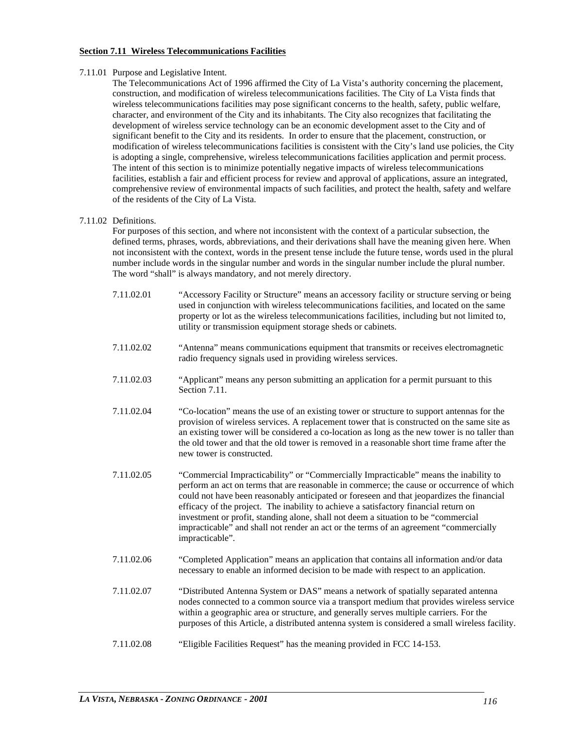# **Section 7.11 Wireless Telecommunications Facilities**

#### 7.11.01 Purpose and Legislative Intent.

The Telecommunications Act of 1996 affirmed the City of La Vista's authority concerning the placement, construction, and modification of wireless telecommunications facilities. The City of La Vista finds that wireless telecommunications facilities may pose significant concerns to the health, safety, public welfare, character, and environment of the City and its inhabitants. The City also recognizes that facilitating the development of wireless service technology can be an economic development asset to the City and of significant benefit to the City and its residents. In order to ensure that the placement, construction, or modification of wireless telecommunications facilities is consistent with the City's land use policies, the City is adopting a single, comprehensive, wireless telecommunications facilities application and permit process. The intent of this section is to minimize potentially negative impacts of wireless telecommunications facilities, establish a fair and efficient process for review and approval of applications, assure an integrated, comprehensive review of environmental impacts of such facilities, and protect the health, safety and welfare of the residents of the City of La Vista.

# 7.11.02 Definitions.

For purposes of this section, and where not inconsistent with the context of a particular subsection, the defined terms, phrases, words, abbreviations, and their derivations shall have the meaning given here. When not inconsistent with the context, words in the present tense include the future tense, words used in the plural number include words in the singular number and words in the singular number include the plural number. The word "shall" is always mandatory, and not merely directory.

- 7.11.02.01 "Accessory Facility or Structure" means an accessory facility or structure serving or being used in conjunction with wireless telecommunications facilities, and located on the same property or lot as the wireless telecommunications facilities, including but not limited to, utility or transmission equipment storage sheds or cabinets.
- 7.11.02.02 "Antenna" means communications equipment that transmits or receives electromagnetic radio frequency signals used in providing wireless services.
- 7.11.02.03 "Applicant" means any person submitting an application for a permit pursuant to this Section 7.11
- 7.11.02.04 "Co-location" means the use of an existing tower or structure to support antennas for the provision of wireless services. A replacement tower that is constructed on the same site as an existing tower will be considered a co-location as long as the new tower is no taller than the old tower and that the old tower is removed in a reasonable short time frame after the new tower is constructed.
- 7.11.02.05 "Commercial Impracticability" or "Commercially Impracticable" means the inability to perform an act on terms that are reasonable in commerce; the cause or occurrence of which could not have been reasonably anticipated or foreseen and that jeopardizes the financial efficacy of the project. The inability to achieve a satisfactory financial return on investment or profit, standing alone, shall not deem a situation to be "commercial impracticable" and shall not render an act or the terms of an agreement "commercially impracticable".
- 7.11.02.06 "Completed Application" means an application that contains all information and/or data necessary to enable an informed decision to be made with respect to an application.
- 7.11.02.07 "Distributed Antenna System or DAS" means a network of spatially separated antenna nodes connected to a common source via a transport medium that provides wireless service within a geographic area or structure, and generally serves multiple carriers. For the purposes of this Article, a distributed antenna system is considered a small wireless facility.
- 7.11.02.08 "Eligible Facilities Request" has the meaning provided in FCC 14-153.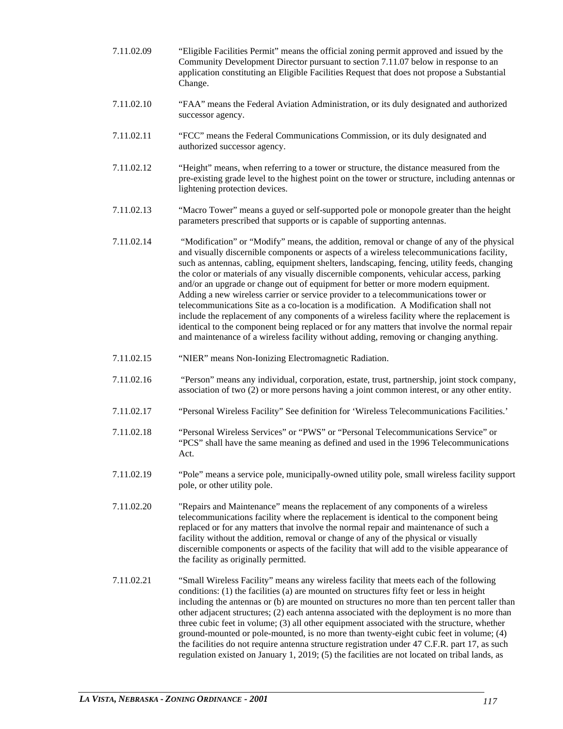- 7.11.02.09 "Eligible Facilities Permit" means the official zoning permit approved and issued by the Community Development Director pursuant to section 7.11.07 below in response to an application constituting an Eligible Facilities Request that does not propose a Substantial Change.
- 7.11.02.10 "FAA" means the Federal Aviation Administration, or its duly designated and authorized successor agency.
- 7.11.02.11 "FCC" means the Federal Communications Commission, or its duly designated and authorized successor agency.
- 7.11.02.12 "Height" means, when referring to a tower or structure, the distance measured from the pre-existing grade level to the highest point on the tower or structure, including antennas or lightening protection devices.
- 7.11.02.13 "Macro Tower" means a guyed or self-supported pole or monopole greater than the height parameters prescribed that supports or is capable of supporting antennas.
- 7.11.02.14 "Modification" or "Modify" means, the addition, removal or change of any of the physical and visually discernible components or aspects of a wireless telecommunications facility, such as antennas, cabling, equipment shelters, landscaping, fencing, utility feeds, changing the color or materials of any visually discernible components, vehicular access, parking and/or an upgrade or change out of equipment for better or more modern equipment. Adding a new wireless carrier or service provider to a telecommunications tower or telecommunications Site as a co-location is a modification. A Modification shall not include the replacement of any components of a wireless facility where the replacement is identical to the component being replaced or for any matters that involve the normal repair and maintenance of a wireless facility without adding, removing or changing anything.
- 7.11.02.15 "NIER" means Non-Ionizing Electromagnetic Radiation.
- 7.11.02.16 "Person" means any individual, corporation, estate, trust, partnership, joint stock company, association of two (2) or more persons having a joint common interest, or any other entity.
- 7.11.02.17 "Personal Wireless Facility" See definition for 'Wireless Telecommunications Facilities.'
- 7.11.02.18 "Personal Wireless Services" or "PWS" or "Personal Telecommunications Service" or "PCS" shall have the same meaning as defined and used in the 1996 Telecommunications Act.
- 7.11.02.19 "Pole" means a service pole, municipally-owned utility pole, small wireless facility support pole, or other utility pole.
- 7.11.02.20 "Repairs and Maintenance" means the replacement of any components of a wireless telecommunications facility where the replacement is identical to the component being replaced or for any matters that involve the normal repair and maintenance of such a facility without the addition, removal or change of any of the physical or visually discernible components or aspects of the facility that will add to the visible appearance of the facility as originally permitted.
- 7.11.02.21 "Small Wireless Facility" means any wireless facility that meets each of the following conditions: (1) the facilities (a) are mounted on structures fifty feet or less in height including the antennas or (b) are mounted on structures no more than ten percent taller than other adjacent structures; (2) each antenna associated with the deployment is no more than three cubic feet in volume; (3) all other equipment associated with the structure, whether ground-mounted or pole-mounted, is no more than twenty-eight cubic feet in volume; (4) the facilities do not require antenna structure registration under 47 C.F.R. part 17, as such regulation existed on January 1, 2019; (5) the facilities are not located on tribal lands, as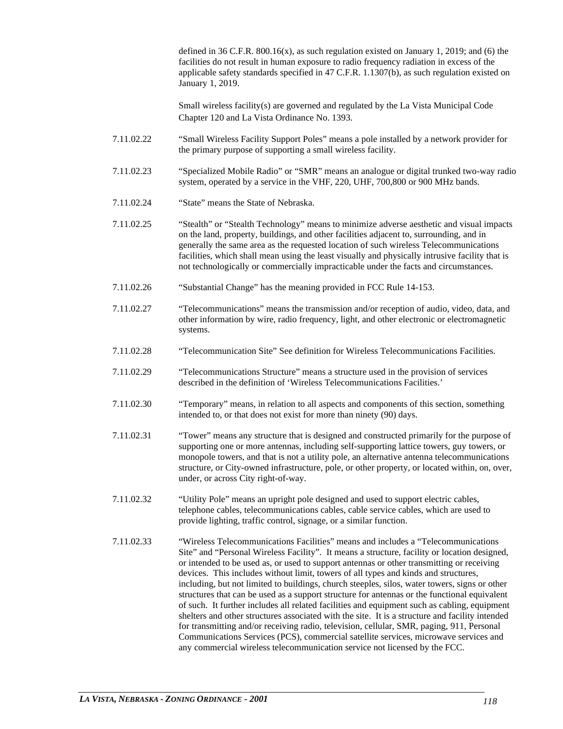defined in 36 C.F.R. 800.16(x), as such regulation existed on January 1, 2019; and (6) the facilities do not result in human exposure to radio frequency radiation in excess of the applicable safety standards specified in 47 C.F.R. 1.1307(b), as such regulation existed on January 1, 2019.

Small wireless facility(s) are governed and regulated by the La Vista Municipal Code Chapter 120 and La Vista Ordinance No. 1393.

- 7.11.02.22 "Small Wireless Facility Support Poles" means a pole installed by a network provider for the primary purpose of supporting a small wireless facility.
- 7.11.02.23 "Specialized Mobile Radio" or "SMR" means an analogue or digital trunked two-way radio system, operated by a service in the VHF, 220, UHF, 700,800 or 900 MHz bands.
- 7.11.02.24 "State" means the State of Nebraska.
- 7.11.02.25 "Stealth" or "Stealth Technology" means to minimize adverse aesthetic and visual impacts on the land, property, buildings, and other facilities adjacent to, surrounding, and in generally the same area as the requested location of such wireless Telecommunications facilities, which shall mean using the least visually and physically intrusive facility that is not technologically or commercially impracticable under the facts and circumstances.
- 7.11.02.26 "Substantial Change" has the meaning provided in FCC Rule 14-153.
- 7.11.02.27 "Telecommunications" means the transmission and/or reception of audio, video, data, and other information by wire, radio frequency, light, and other electronic or electromagnetic systems.
- 7.11.02.28 "Telecommunication Site" See definition for Wireless Telecommunications Facilities.
- 7.11.02.29 "Telecommunications Structure" means a structure used in the provision of services described in the definition of 'Wireless Telecommunications Facilities.'
- 7.11.02.30 "Temporary" means, in relation to all aspects and components of this section, something intended to, or that does not exist for more than ninety (90) days.
- 7.11.02.31 "Tower" means any structure that is designed and constructed primarily for the purpose of supporting one or more antennas, including self-supporting lattice towers, guy towers, or monopole towers, and that is not a utility pole, an alternative antenna telecommunications structure, or City-owned infrastructure, pole, or other property, or located within, on, over, under, or across City right-of-way.
- 7.11.02.32 "Utility Pole" means an upright pole designed and used to support electric cables, telephone cables, telecommunications cables, cable service cables, which are used to provide lighting, traffic control, signage, or a similar function.
- 7.11.02.33 "Wireless Telecommunications Facilities" means and includes a "Telecommunications Site" and "Personal Wireless Facility". It means a structure, facility or location designed, or intended to be used as, or used to support antennas or other transmitting or receiving devices. This includes without limit, towers of all types and kinds and structures, including, but not limited to buildings, church steeples, silos, water towers, signs or other structures that can be used as a support structure for antennas or the functional equivalent of such. It further includes all related facilities and equipment such as cabling, equipment shelters and other structures associated with the site. It is a structure and facility intended for transmitting and/or receiving radio, television, cellular, SMR, paging, 911, Personal Communications Services (PCS), commercial satellite services, microwave services and any commercial wireless telecommunication service not licensed by the FCC.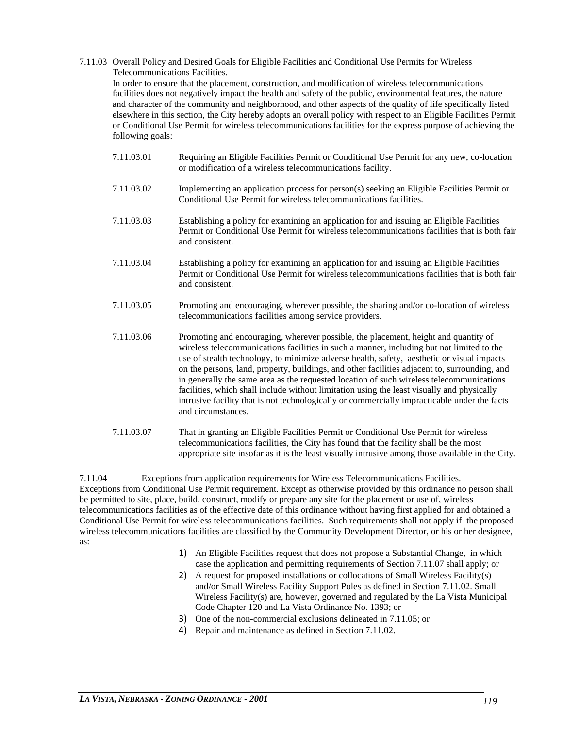#### 7.11.03 Overall Policy and Desired Goals for Eligible Facilities and Conditional Use Permits for Wireless Telecommunications Facilities.

In order to ensure that the placement, construction, and modification of wireless telecommunications facilities does not negatively impact the health and safety of the public, environmental features, the nature and character of the community and neighborhood, and other aspects of the quality of life specifically listed elsewhere in this section, the City hereby adopts an overall policy with respect to an Eligible Facilities Permit or Conditional Use Permit for wireless telecommunications facilities for the express purpose of achieving the following goals:

- 7.11.03.01 Requiring an Eligible Facilities Permit or Conditional Use Permit for any new, co-location or modification of a wireless telecommunications facility.
- 7.11.03.02 Implementing an application process for person(s) seeking an Eligible Facilities Permit or Conditional Use Permit for wireless telecommunications facilities.
- 7.11.03.03 Establishing a policy for examining an application for and issuing an Eligible Facilities Permit or Conditional Use Permit for wireless telecommunications facilities that is both fair and consistent.
- 7.11.03.04 Establishing a policy for examining an application for and issuing an Eligible Facilities Permit or Conditional Use Permit for wireless telecommunications facilities that is both fair and consistent.
- 7.11.03.05 Promoting and encouraging, wherever possible, the sharing and/or co-location of wireless telecommunications facilities among service providers.
- 7.11.03.06 Promoting and encouraging, wherever possible, the placement, height and quantity of wireless telecommunications facilities in such a manner, including but not limited to the use of stealth technology, to minimize adverse health, safety, aesthetic or visual impacts on the persons, land, property, buildings, and other facilities adjacent to, surrounding, and in generally the same area as the requested location of such wireless telecommunications facilities, which shall include without limitation using the least visually and physically intrusive facility that is not technologically or commercially impracticable under the facts and circumstances.
- 7.11.03.07 That in granting an Eligible Facilities Permit or Conditional Use Permit for wireless telecommunications facilities, the City has found that the facility shall be the most appropriate site insofar as it is the least visually intrusive among those available in the City.

7.11.04 Exceptions from application requirements for Wireless Telecommunications Facilities. Exceptions from Conditional Use Permit requirement. Except as otherwise provided by this ordinance no person shall be permitted to site, place, build, construct, modify or prepare any site for the placement or use of, wireless telecommunications facilities as of the effective date of this ordinance without having first applied for and obtained a Conditional Use Permit for wireless telecommunications facilities. Such requirements shall not apply if the proposed wireless telecommunications facilities are classified by the Community Development Director, or his or her designee, as:

- 1) An Eligible Facilities request that does not propose a Substantial Change, in which case the application and permitting requirements of Section 7.11.07 shall apply; or
- 2) A request for proposed installations or collocations of Small Wireless Facility(s) and/or Small Wireless Facility Support Poles as defined in Section 7.11.02. Small Wireless Facility(s) are, however, governed and regulated by the La Vista Municipal Code Chapter 120 and La Vista Ordinance No. 1393; or
- 3) One of the non-commercial exclusions delineated in 7.11.05; or
- 4) Repair and maintenance as defined in Section 7.11.02.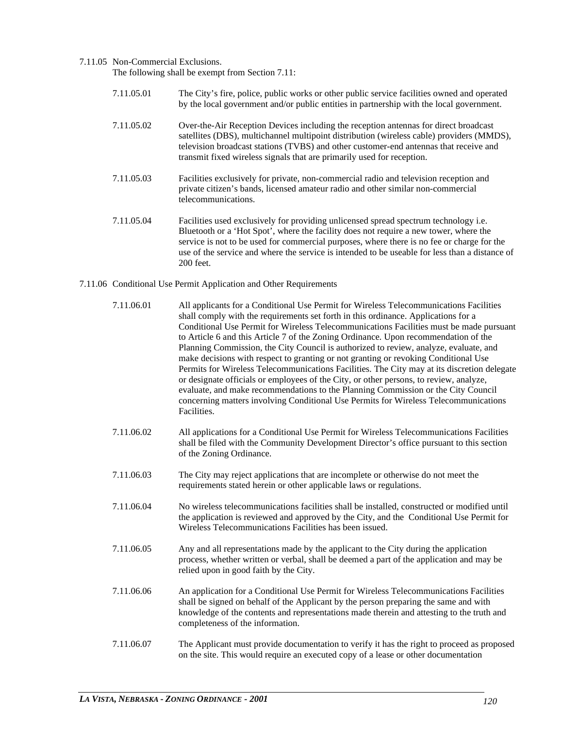#### 7.11.05 Non-Commercial Exclusions.

The following shall be exempt from Section 7.11:

- 7.11.05.01 The City's fire, police, public works or other public service facilities owned and operated by the local government and/or public entities in partnership with the local government.
- 7.11.05.02 Over-the-Air Reception Devices including the reception antennas for direct broadcast satellites (DBS), multichannel multipoint distribution (wireless cable) providers (MMDS), television broadcast stations (TVBS) and other customer-end antennas that receive and transmit fixed wireless signals that are primarily used for reception.
- 7.11.05.03 Facilities exclusively for private, non-commercial radio and television reception and private citizen's bands, licensed amateur radio and other similar non-commercial telecommunications.
- 7.11.05.04 Facilities used exclusively for providing unlicensed spread spectrum technology i.e. Bluetooth or a 'Hot Spot', where the facility does not require a new tower, where the service is not to be used for commercial purposes, where there is no fee or charge for the use of the service and where the service is intended to be useable for less than a distance of 200 feet.

#### 7.11.06 Conditional Use Permit Application and Other Requirements

- 7.11.06.01 All applicants for a Conditional Use Permit for Wireless Telecommunications Facilities shall comply with the requirements set forth in this ordinance. Applications for a Conditional Use Permit for Wireless Telecommunications Facilities must be made pursuant to Article 6 and this Article 7 of the Zoning Ordinance. Upon recommendation of the Planning Commission, the City Council is authorized to review, analyze, evaluate, and make decisions with respect to granting or not granting or revoking Conditional Use Permits for Wireless Telecommunications Facilities. The City may at its discretion delegate or designate officials or employees of the City, or other persons, to review, analyze, evaluate, and make recommendations to the Planning Commission or the City Council concerning matters involving Conditional Use Permits for Wireless Telecommunications Facilities. 7.11.06.02 All applications for a Conditional Use Permit for Wireless Telecommunications Facilities shall be filed with the Community Development Director's office pursuant to this section of the Zoning Ordinance. 7.11.06.03 The City may reject applications that are incomplete or otherwise do not meet the requirements stated herein or other applicable laws or regulations. 7.11.06.04 No wireless telecommunications facilities shall be installed, constructed or modified until the application is reviewed and approved by the City, and the Conditional Use Permit for Wireless Telecommunications Facilities has been issued. 7.11.06.05 Any and all representations made by the applicant to the City during the application process, whether written or verbal, shall be deemed a part of the application and may be relied upon in good faith by the City. 7.11.06.06 An application for a Conditional Use Permit for Wireless Telecommunications Facilities shall be signed on behalf of the Applicant by the person preparing the same and with knowledge of the contents and representations made therein and attesting to the truth and completeness of the information.
- 7.11.06.07 The Applicant must provide documentation to verify it has the right to proceed as proposed on the site. This would require an executed copy of a lease or other documentation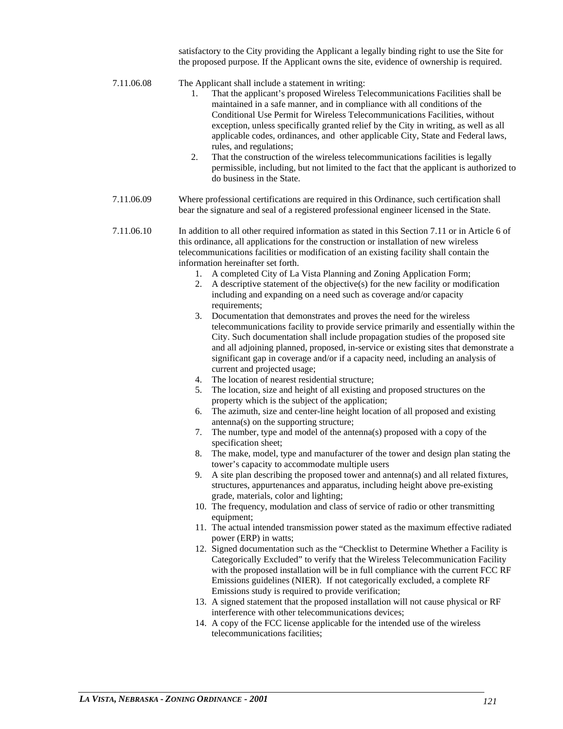satisfactory to the City providing the Applicant a legally binding right to use the Site for the proposed purpose. If the Applicant owns the site, evidence of ownership is required.

- 7.11.06.08 The Applicant shall include a statement in writing:
	- 1. That the applicant's proposed Wireless Telecommunications Facilities shall be maintained in a safe manner, and in compliance with all conditions of the Conditional Use Permit for Wireless Telecommunications Facilities, without exception, unless specifically granted relief by the City in writing, as well as all applicable codes, ordinances, and other applicable City, State and Federal laws, rules, and regulations;
	- 2. That the construction of the wireless telecommunications facilities is legally permissible, including, but not limited to the fact that the applicant is authorized to do business in the State.
- 7.11.06.09 Where professional certifications are required in this Ordinance, such certification shall bear the signature and seal of a registered professional engineer licensed in the State.

7.11.06.10 In addition to all other required information as stated in this Section 7.11 or in Article 6 of this ordinance, all applications for the construction or installation of new wireless telecommunications facilities or modification of an existing facility shall contain the information hereinafter set forth.

- 1. A completed City of La Vista Planning and Zoning Application Form;
- 2. A descriptive statement of the objective(s) for the new facility or modification including and expanding on a need such as coverage and/or capacity requirements;
- 3. Documentation that demonstrates and proves the need for the wireless telecommunications facility to provide service primarily and essentially within the City. Such documentation shall include propagation studies of the proposed site and all adjoining planned, proposed, in-service or existing sites that demonstrate a significant gap in coverage and/or if a capacity need, including an analysis of current and projected usage;
- 4. The location of nearest residential structure;
- 5. The location, size and height of all existing and proposed structures on the property which is the subject of the application;
- 6. The azimuth, size and center-line height location of all proposed and existing antenna(s) on the supporting structure;
- 7. The number, type and model of the antenna(s) proposed with a copy of the specification sheet;
- 8. The make, model, type and manufacturer of the tower and design plan stating the tower's capacity to accommodate multiple users
- 9. A site plan describing the proposed tower and antenna(s) and all related fixtures, structures, appurtenances and apparatus, including height above pre-existing grade, materials, color and lighting;
- 10. The frequency, modulation and class of service of radio or other transmitting equipment;
- 11. The actual intended transmission power stated as the maximum effective radiated power (ERP) in watts;
- 12. Signed documentation such as the "Checklist to Determine Whether a Facility is Categorically Excluded" to verify that the Wireless Telecommunication Facility with the proposed installation will be in full compliance with the current FCC RF Emissions guidelines (NIER). If not categorically excluded, a complete RF Emissions study is required to provide verification;
- 13. A signed statement that the proposed installation will not cause physical or RF interference with other telecommunications devices;
- 14. A copy of the FCC license applicable for the intended use of the wireless telecommunications facilities;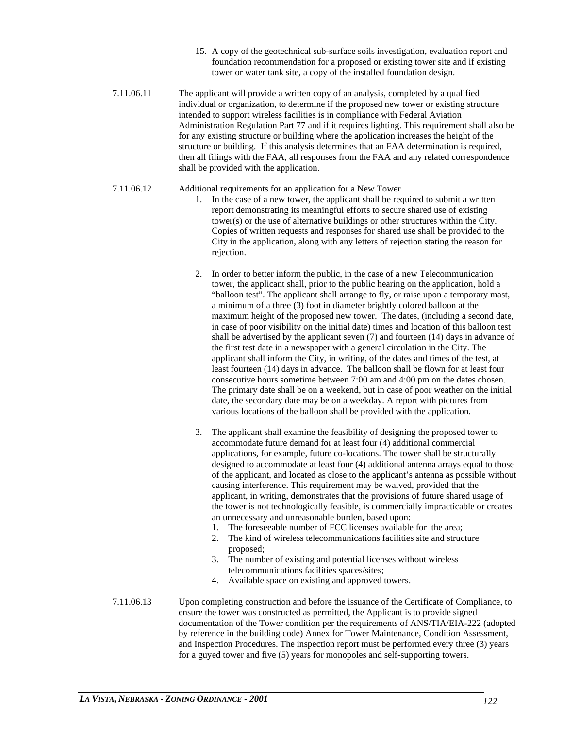- 15. A copy of the geotechnical sub-surface soils investigation, evaluation report and foundation recommendation for a proposed or existing tower site and if existing tower or water tank site, a copy of the installed foundation design.
- 7.11.06.11 The applicant will provide a written copy of an analysis, completed by a qualified individual or organization, to determine if the proposed new tower or existing structure intended to support wireless facilities is in compliance with Federal Aviation Administration Regulation Part 77 and if it requires lighting. This requirement shall also be for any existing structure or building where the application increases the height of the structure or building. If this analysis determines that an FAA determination is required, then all filings with the FAA, all responses from the FAA and any related correspondence shall be provided with the application.

# 7.11.06.12 Additional requirements for an application for a New Tower

- 1. In the case of a new tower, the applicant shall be required to submit a written report demonstrating its meaningful efforts to secure shared use of existing tower(s) or the use of alternative buildings or other structures within the City. Copies of written requests and responses for shared use shall be provided to the City in the application, along with any letters of rejection stating the reason for rejection.
- 2. In order to better inform the public, in the case of a new Telecommunication tower, the applicant shall, prior to the public hearing on the application, hold a "balloon test". The applicant shall arrange to fly, or raise upon a temporary mast, a minimum of a three (3) foot in diameter brightly colored balloon at the maximum height of the proposed new tower. The dates, (including a second date, in case of poor visibility on the initial date) times and location of this balloon test shall be advertised by the applicant seven (7) and fourteen (14) days in advance of the first test date in a newspaper with a general circulation in the City. The applicant shall inform the City, in writing, of the dates and times of the test, at least fourteen (14) days in advance. The balloon shall be flown for at least four consecutive hours sometime between 7:00 am and 4:00 pm on the dates chosen. The primary date shall be on a weekend, but in case of poor weather on the initial date, the secondary date may be on a weekday. A report with pictures from various locations of the balloon shall be provided with the application.
- 3. The applicant shall examine the feasibility of designing the proposed tower to accommodate future demand for at least four (4) additional commercial applications, for example, future co-locations. The tower shall be structurally designed to accommodate at least four (4) additional antenna arrays equal to those of the applicant, and located as close to the applicant's antenna as possible without causing interference. This requirement may be waived, provided that the applicant, in writing, demonstrates that the provisions of future shared usage of the tower is not technologically feasible, is commercially impracticable or creates an unnecessary and unreasonable burden, based upon:
	- 1. The foreseeable number of FCC licenses available for the area;
	- 2. The kind of wireless telecommunications facilities site and structure proposed;
	- 3. The number of existing and potential licenses without wireless telecommunications facilities spaces/sites;
	- 4. Available space on existing and approved towers.
- 7.11.06.13 Upon completing construction and before the issuance of the Certificate of Compliance, to ensure the tower was constructed as permitted, the Applicant is to provide signed documentation of the Tower condition per the requirements of ANS/TIA/EIA-222 (adopted by reference in the building code) Annex for Tower Maintenance, Condition Assessment, and Inspection Procedures. The inspection report must be performed every three (3) years for a guyed tower and five (5) years for monopoles and self-supporting towers.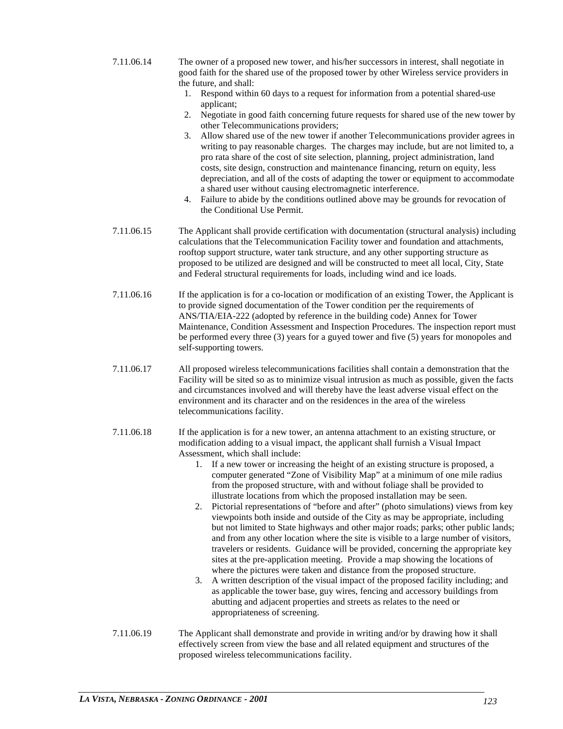- 7.11.06.14 The owner of a proposed new tower, and his/her successors in interest, shall negotiate in good faith for the shared use of the proposed tower by other Wireless service providers in the future, and shall:
	- 1. Respond within 60 days to a request for information from a potential shared-use applicant;
	- 2. Negotiate in good faith concerning future requests for shared use of the new tower by other Telecommunications providers;
	- 3. Allow shared use of the new tower if another Telecommunications provider agrees in writing to pay reasonable charges. The charges may include, but are not limited to, a pro rata share of the cost of site selection, planning, project administration, land costs, site design, construction and maintenance financing, return on equity, less depreciation, and all of the costs of adapting the tower or equipment to accommodate a shared user without causing electromagnetic interference.
	- 4. Failure to abide by the conditions outlined above may be grounds for revocation of the Conditional Use Permit.
- 7.11.06.15 The Applicant shall provide certification with documentation (structural analysis) including calculations that the Telecommunication Facility tower and foundation and attachments, rooftop support structure, water tank structure, and any other supporting structure as proposed to be utilized are designed and will be constructed to meet all local, City, State and Federal structural requirements for loads, including wind and ice loads.
- 7.11.06.16 If the application is for a co-location or modification of an existing Tower, the Applicant is to provide signed documentation of the Tower condition per the requirements of ANS/TIA/EIA-222 (adopted by reference in the building code) Annex for Tower Maintenance, Condition Assessment and Inspection Procedures. The inspection report must be performed every three (3) years for a guyed tower and five (5) years for monopoles and self-supporting towers.
- 7.11.06.17 All proposed wireless telecommunications facilities shall contain a demonstration that the Facility will be sited so as to minimize visual intrusion as much as possible, given the facts and circumstances involved and will thereby have the least adverse visual effect on the environment and its character and on the residences in the area of the wireless telecommunications facility.
- 7.11.06.18 If the application is for a new tower, an antenna attachment to an existing structure, or modification adding to a visual impact, the applicant shall furnish a Visual Impact Assessment, which shall include:
	- 1. If a new tower or increasing the height of an existing structure is proposed, a computer generated "Zone of Visibility Map" at a minimum of one mile radius from the proposed structure, with and without foliage shall be provided to illustrate locations from which the proposed installation may be seen.
	- 2. Pictorial representations of "before and after" (photo simulations) views from key viewpoints both inside and outside of the City as may be appropriate, including but not limited to State highways and other major roads; parks; other public lands; and from any other location where the site is visible to a large number of visitors, travelers or residents. Guidance will be provided, concerning the appropriate key sites at the pre-application meeting. Provide a map showing the locations of where the pictures were taken and distance from the proposed structure.
	- 3. A written description of the visual impact of the proposed facility including; and as applicable the tower base, guy wires, fencing and accessory buildings from abutting and adjacent properties and streets as relates to the need or appropriateness of screening.
- 7.11.06.19 The Applicant shall demonstrate and provide in writing and/or by drawing how it shall effectively screen from view the base and all related equipment and structures of the proposed wireless telecommunications facility.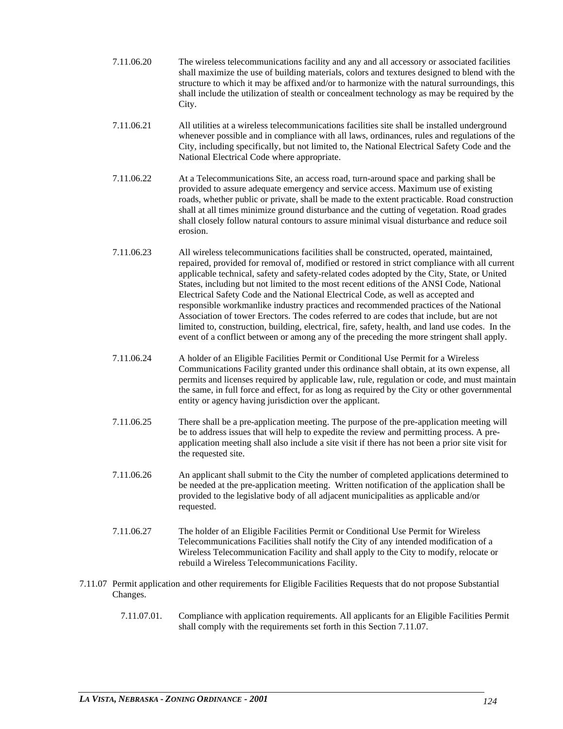- 7.11.06.20 The wireless telecommunications facility and any and all accessory or associated facilities shall maximize the use of building materials, colors and textures designed to blend with the structure to which it may be affixed and/or to harmonize with the natural surroundings, this shall include the utilization of stealth or concealment technology as may be required by the City.
- 7.11.06.21 All utilities at a wireless telecommunications facilities site shall be installed underground whenever possible and in compliance with all laws, ordinances, rules and regulations of the City, including specifically, but not limited to, the National Electrical Safety Code and the National Electrical Code where appropriate.
- 7.11.06.22 At a Telecommunications Site, an access road, turn-around space and parking shall be provided to assure adequate emergency and service access. Maximum use of existing roads, whether public or private, shall be made to the extent practicable. Road construction shall at all times minimize ground disturbance and the cutting of vegetation. Road grades shall closely follow natural contours to assure minimal visual disturbance and reduce soil erosion.
- 7.11.06.23 All wireless telecommunications facilities shall be constructed, operated, maintained, repaired, provided for removal of, modified or restored in strict compliance with all current applicable technical, safety and safety-related codes adopted by the City, State, or United States, including but not limited to the most recent editions of the ANSI Code, National Electrical Safety Code and the National Electrical Code, as well as accepted and responsible workmanlike industry practices and recommended practices of the National Association of tower Erectors. The codes referred to are codes that include, but are not limited to, construction, building, electrical, fire, safety, health, and land use codes. In the event of a conflict between or among any of the preceding the more stringent shall apply.
- 7.11.06.24 A holder of an Eligible Facilities Permit or Conditional Use Permit for a Wireless Communications Facility granted under this ordinance shall obtain, at its own expense, all permits and licenses required by applicable law, rule, regulation or code, and must maintain the same, in full force and effect, for as long as required by the City or other governmental entity or agency having jurisdiction over the applicant.
- 7.11.06.25 There shall be a pre-application meeting. The purpose of the pre-application meeting will be to address issues that will help to expedite the review and permitting process. A preapplication meeting shall also include a site visit if there has not been a prior site visit for the requested site.
- 7.11.06.26 An applicant shall submit to the City the number of completed applications determined to be needed at the pre-application meeting. Written notification of the application shall be provided to the legislative body of all adjacent municipalities as applicable and/or requested.
- 7.11.06.27 The holder of an Eligible Facilities Permit or Conditional Use Permit for Wireless Telecommunications Facilities shall notify the City of any intended modification of a Wireless Telecommunication Facility and shall apply to the City to modify, relocate or rebuild a Wireless Telecommunications Facility.
- 7.11.07 Permit application and other requirements for Eligible Facilities Requests that do not propose Substantial Changes.
	- 7.11.07.01. Compliance with application requirements. All applicants for an Eligible Facilities Permit shall comply with the requirements set forth in this Section 7.11.07.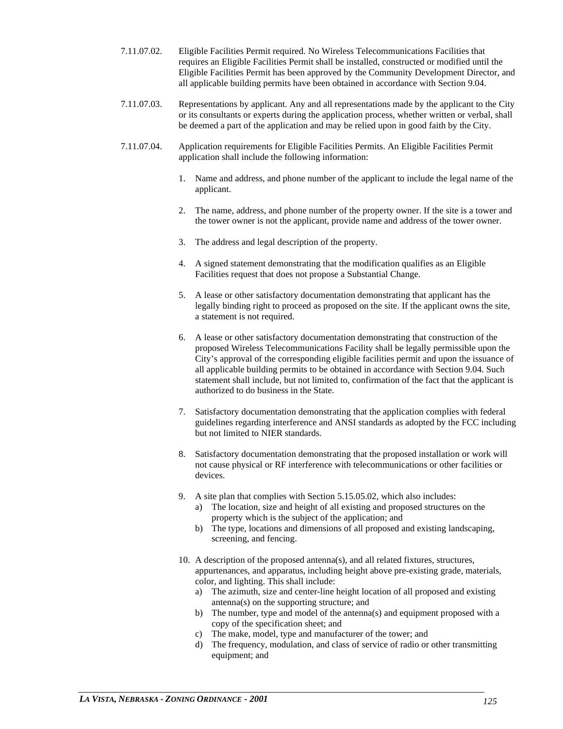- 7.11.07.02. Eligible Facilities Permit required. No Wireless Telecommunications Facilities that requires an Eligible Facilities Permit shall be installed, constructed or modified until the Eligible Facilities Permit has been approved by the Community Development Director, and all applicable building permits have been obtained in accordance with Section 9.04.
- 7.11.07.03. Representations by applicant. Any and all representations made by the applicant to the City or its consultants or experts during the application process, whether written or verbal, shall be deemed a part of the application and may be relied upon in good faith by the City.
- 7.11.07.04. Application requirements for Eligible Facilities Permits. An Eligible Facilities Permit application shall include the following information:
	- 1. Name and address, and phone number of the applicant to include the legal name of the applicant.
	- 2. The name, address, and phone number of the property owner. If the site is a tower and the tower owner is not the applicant, provide name and address of the tower owner.
	- 3. The address and legal description of the property.
	- 4. A signed statement demonstrating that the modification qualifies as an Eligible Facilities request that does not propose a Substantial Change.
	- 5. A lease or other satisfactory documentation demonstrating that applicant has the legally binding right to proceed as proposed on the site. If the applicant owns the site, a statement is not required.
	- 6. A lease or other satisfactory documentation demonstrating that construction of the proposed Wireless Telecommunications Facility shall be legally permissible upon the City's approval of the corresponding eligible facilities permit and upon the issuance of all applicable building permits to be obtained in accordance with Section 9.04. Such statement shall include, but not limited to, confirmation of the fact that the applicant is authorized to do business in the State.
	- 7. Satisfactory documentation demonstrating that the application complies with federal guidelines regarding interference and ANSI standards as adopted by the FCC including but not limited to NIER standards.
	- 8. Satisfactory documentation demonstrating that the proposed installation or work will not cause physical or RF interference with telecommunications or other facilities or devices.
	- 9. A site plan that complies with Section 5.15.05.02, which also includes:
		- a) The location, size and height of all existing and proposed structures on the property which is the subject of the application; and
		- b) The type, locations and dimensions of all proposed and existing landscaping, screening, and fencing.
	- 10. A description of the proposed antenna(s), and all related fixtures, structures, appurtenances, and apparatus, including height above pre-existing grade, materials, color, and lighting. This shall include:
		- a) The azimuth, size and center-line height location of all proposed and existing antenna(s) on the supporting structure; and
		- b) The number, type and model of the antenna(s) and equipment proposed with a copy of the specification sheet; and
		- c) The make, model, type and manufacturer of the tower; and
		- d) The frequency, modulation, and class of service of radio or other transmitting equipment; and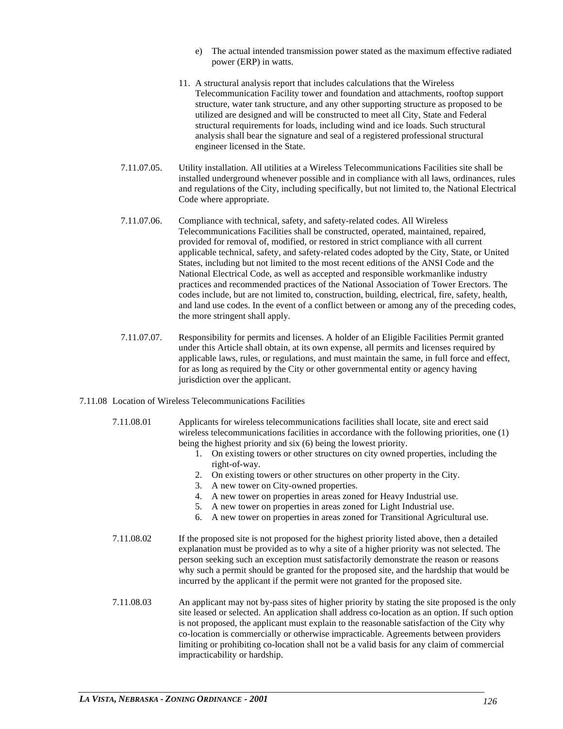- e) The actual intended transmission power stated as the maximum effective radiated power (ERP) in watts.
- 11. A structural analysis report that includes calculations that the Wireless Telecommunication Facility tower and foundation and attachments, rooftop support structure, water tank structure, and any other supporting structure as proposed to be utilized are designed and will be constructed to meet all City, State and Federal structural requirements for loads, including wind and ice loads. Such structural analysis shall bear the signature and seal of a registered professional structural engineer licensed in the State.
- 7.11.07.05. Utility installation. All utilities at a Wireless Telecommunications Facilities site shall be installed underground whenever possible and in compliance with all laws, ordinances, rules and regulations of the City, including specifically, but not limited to, the National Electrical Code where appropriate.
- 7.11.07.06. Compliance with technical, safety, and safety-related codes. All Wireless Telecommunications Facilities shall be constructed, operated, maintained, repaired, provided for removal of, modified, or restored in strict compliance with all current applicable technical, safety, and safety-related codes adopted by the City, State, or United States, including but not limited to the most recent editions of the ANSI Code and the National Electrical Code, as well as accepted and responsible workmanlike industry practices and recommended practices of the National Association of Tower Erectors. The codes include, but are not limited to, construction, building, electrical, fire, safety, health, and land use codes. In the event of a conflict between or among any of the preceding codes, the more stringent shall apply.
- 7.11.07.07. Responsibility for permits and licenses. A holder of an Eligible Facilities Permit granted under this Article shall obtain, at its own expense, all permits and licenses required by applicable laws, rules, or regulations, and must maintain the same, in full force and effect, for as long as required by the City or other governmental entity or agency having jurisdiction over the applicant.
- 7.11.08 Location of Wireless Telecommunications Facilities
	- 7.11.08.01 Applicants for wireless telecommunications facilities shall locate, site and erect said wireless telecommunications facilities in accordance with the following priorities, one (1) being the highest priority and six (6) being the lowest priority.
		- 1. On existing towers or other structures on city owned properties, including the right-of-way.
		- 2. On existing towers or other structures on other property in the City.
		- 3. A new tower on City-owned properties.
		- 4. A new tower on properties in areas zoned for Heavy Industrial use.
		- 5. A new tower on properties in areas zoned for Light Industrial use.
		- 6. A new tower on properties in areas zoned for Transitional Agricultural use.
	- 7.11.08.02 If the proposed site is not proposed for the highest priority listed above, then a detailed explanation must be provided as to why a site of a higher priority was not selected. The person seeking such an exception must satisfactorily demonstrate the reason or reasons why such a permit should be granted for the proposed site, and the hardship that would be incurred by the applicant if the permit were not granted for the proposed site.
	- 7.11.08.03 An applicant may not by-pass sites of higher priority by stating the site proposed is the only site leased or selected. An application shall address co-location as an option. If such option is not proposed, the applicant must explain to the reasonable satisfaction of the City why co-location is commercially or otherwise impracticable. Agreements between providers limiting or prohibiting co-location shall not be a valid basis for any claim of commercial impracticability or hardship.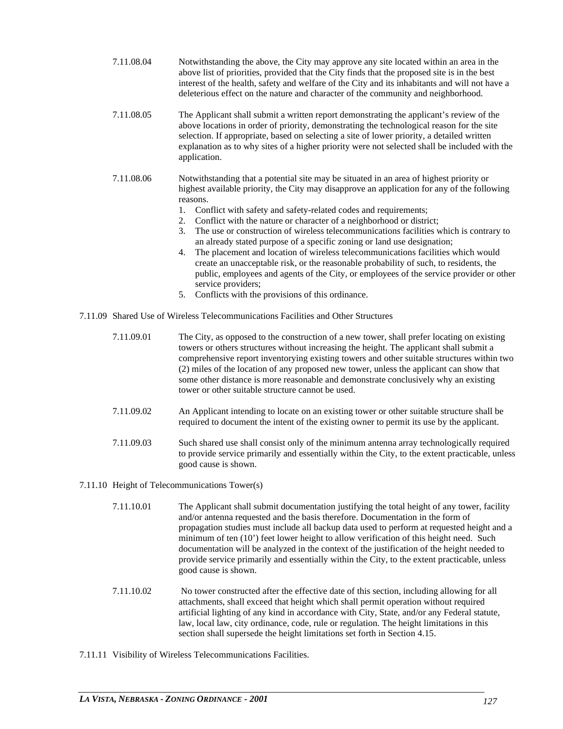- 7.11.08.04 Notwithstanding the above, the City may approve any site located within an area in the above list of priorities, provided that the City finds that the proposed site is in the best interest of the health, safety and welfare of the City and its inhabitants and will not have a deleterious effect on the nature and character of the community and neighborhood.
- 7.11.08.05 The Applicant shall submit a written report demonstrating the applicant's review of the above locations in order of priority, demonstrating the technological reason for the site selection. If appropriate, based on selecting a site of lower priority, a detailed written explanation as to why sites of a higher priority were not selected shall be included with the application.
- 7.11.08.06 Notwithstanding that a potential site may be situated in an area of highest priority or highest available priority, the City may disapprove an application for any of the following reasons.
	- 1. Conflict with safety and safety-related codes and requirements;
	- 2. Conflict with the nature or character of a neighborhood or district;
	- 3. The use or construction of wireless telecommunications facilities which is contrary to an already stated purpose of a specific zoning or land use designation;
	- 4. The placement and location of wireless telecommunications facilities which would create an unacceptable risk, or the reasonable probability of such, to residents, the public, employees and agents of the City, or employees of the service provider or other service providers;
	- 5. Conflicts with the provisions of this ordinance.
- 7.11.09 Shared Use of Wireless Telecommunications Facilities and Other Structures
	- 7.11.09.01 The City, as opposed to the construction of a new tower, shall prefer locating on existing towers or others structures without increasing the height. The applicant shall submit a comprehensive report inventorying existing towers and other suitable structures within two (2) miles of the location of any proposed new tower, unless the applicant can show that some other distance is more reasonable and demonstrate conclusively why an existing tower or other suitable structure cannot be used.
	- 7.11.09.02 An Applicant intending to locate on an existing tower or other suitable structure shall be required to document the intent of the existing owner to permit its use by the applicant.
	- 7.11.09.03 Such shared use shall consist only of the minimum antenna array technologically required to provide service primarily and essentially within the City, to the extent practicable, unless good cause is shown.

# 7.11.10 Height of Telecommunications Tower(s)

- 7.11.10.01 The Applicant shall submit documentation justifying the total height of any tower, facility and/or antenna requested and the basis therefore. Documentation in the form of propagation studies must include all backup data used to perform at requested height and a minimum of ten (10') feet lower height to allow verification of this height need. Such documentation will be analyzed in the context of the justification of the height needed to provide service primarily and essentially within the City, to the extent practicable, unless good cause is shown.
- 7.11.10.02 No tower constructed after the effective date of this section, including allowing for all attachments, shall exceed that height which shall permit operation without required artificial lighting of any kind in accordance with City, State, and/or any Federal statute, law, local law, city ordinance, code, rule or regulation. The height limitations in this section shall supersede the height limitations set forth in Section 4.15.
- 7.11.11 Visibility of Wireless Telecommunications Facilities.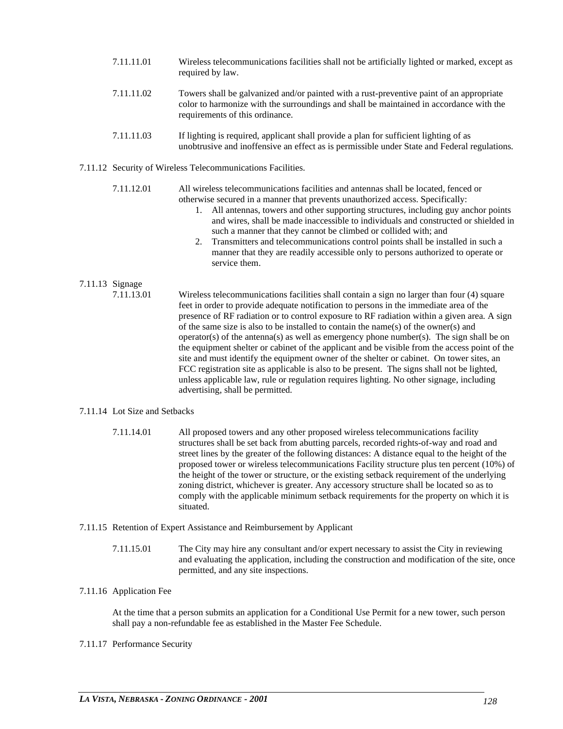- 7.11.11.01 Wireless telecommunications facilities shall not be artificially lighted or marked, except as required by law. 7.11.11.02 Towers shall be galvanized and/or painted with a rust-preventive paint of an appropriate color to harmonize with the surroundings and shall be maintained in accordance with the
- 7.11.11.03 If lighting is required, applicant shall provide a plan for sufficient lighting of as unobtrusive and inoffensive an effect as is permissible under State and Federal regulations.
- 7.11.12 Security of Wireless Telecommunications Facilities.

requirements of this ordinance.

7.11.12.01 All wireless telecommunications facilities and antennas shall be located, fenced or otherwise secured in a manner that prevents unauthorized access. Specifically:

- 1. All antennas, towers and other supporting structures, including guy anchor points and wires, shall be made inaccessible to individuals and constructed or shielded in such a manner that they cannot be climbed or collided with; and
- 2. Transmitters and telecommunications control points shall be installed in such a manner that they are readily accessible only to persons authorized to operate or service them.

# 7.11.13 Signage

7.11.13.01 Wireless telecommunications facilities shall contain a sign no larger than four (4) square feet in order to provide adequate notification to persons in the immediate area of the presence of RF radiation or to control exposure to RF radiation within a given area. A sign of the same size is also to be installed to contain the name(s) of the owner(s) and operator(s) of the antenna(s) as well as emergency phone number(s). The sign shall be on the equipment shelter or cabinet of the applicant and be visible from the access point of the site and must identify the equipment owner of the shelter or cabinet. On tower sites, an FCC registration site as applicable is also to be present. The signs shall not be lighted, unless applicable law, rule or regulation requires lighting. No other signage, including advertising, shall be permitted.

# 7.11.14 Lot Size and Setbacks

- 7.11.14.01 All proposed towers and any other proposed wireless telecommunications facility structures shall be set back from abutting parcels, recorded rights-of-way and road and street lines by the greater of the following distances: A distance equal to the height of the proposed tower or wireless telecommunications Facility structure plus ten percent (10%) of the height of the tower or structure, or the existing setback requirement of the underlying zoning district, whichever is greater. Any accessory structure shall be located so as to comply with the applicable minimum setback requirements for the property on which it is situated.
- 7.11.15 Retention of Expert Assistance and Reimbursement by Applicant
	- 7.11.15.01 The City may hire any consultant and/or expert necessary to assist the City in reviewing and evaluating the application, including the construction and modification of the site, once permitted, and any site inspections.

# 7.11.16 Application Fee

At the time that a person submits an application for a Conditional Use Permit for a new tower, such person shall pay a non-refundable fee as established in the Master Fee Schedule.

# 7.11.17 Performance Security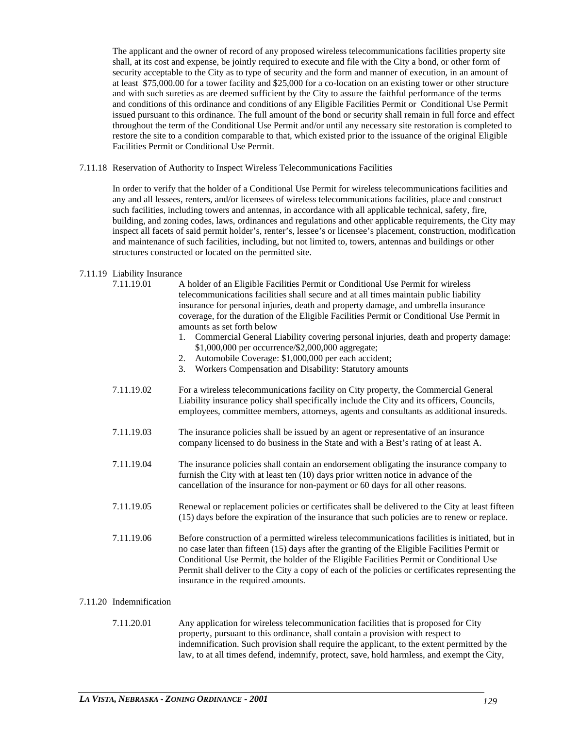The applicant and the owner of record of any proposed wireless telecommunications facilities property site shall, at its cost and expense, be jointly required to execute and file with the City a bond, or other form of security acceptable to the City as to type of security and the form and manner of execution, in an amount of at least \$75,000.00 for a tower facility and \$25,000 for a co-location on an existing tower or other structure and with such sureties as are deemed sufficient by the City to assure the faithful performance of the terms and conditions of this ordinance and conditions of any Eligible Facilities Permit or Conditional Use Permit issued pursuant to this ordinance. The full amount of the bond or security shall remain in full force and effect throughout the term of the Conditional Use Permit and/or until any necessary site restoration is completed to restore the site to a condition comparable to that, which existed prior to the issuance of the original Eligible Facilities Permit or Conditional Use Permit.

7.11.18 Reservation of Authority to Inspect Wireless Telecommunications Facilities

In order to verify that the holder of a Conditional Use Permit for wireless telecommunications facilities and any and all lessees, renters, and/or licensees of wireless telecommunications facilities, place and construct such facilities, including towers and antennas, in accordance with all applicable technical, safety, fire, building, and zoning codes, laws, ordinances and regulations and other applicable requirements, the City may inspect all facets of said permit holder's, renter's, lessee's or licensee's placement, construction, modification and maintenance of such facilities, including, but not limited to, towers, antennas and buildings or other structures constructed or located on the permitted site.

# 7.11.19 Liability Insurance

| A holder of an Eligible Facilities Permit or Conditional Use Permit for wireless<br>telecommunications facilities shall secure and at all times maintain public liability<br>insurance for personal injuries, death and property damage, and umbrella insurance<br>coverage, for the duration of the Eligible Facilities Permit or Conditional Use Permit in<br>amounts as set forth below<br>1. Commercial General Liability covering personal injuries, death and property damage:<br>\$1,000,000 per occurrence/\$2,000,000 aggregate;<br>Automobile Coverage: \$1,000,000 per each accident;<br>2.<br>3. Workers Compensation and Disability: Statutory amounts |
|---------------------------------------------------------------------------------------------------------------------------------------------------------------------------------------------------------------------------------------------------------------------------------------------------------------------------------------------------------------------------------------------------------------------------------------------------------------------------------------------------------------------------------------------------------------------------------------------------------------------------------------------------------------------|
| For a wireless telecommunications facility on City property, the Commercial General<br>Liability insurance policy shall specifically include the City and its officers, Councils,<br>employees, committee members, attorneys, agents and consultants as additional insureds.                                                                                                                                                                                                                                                                                                                                                                                        |
| The insurance policies shall be issued by an agent or representative of an insurance<br>company licensed to do business in the State and with a Best's rating of at least A.                                                                                                                                                                                                                                                                                                                                                                                                                                                                                        |
| The insurance policies shall contain an endorsement obligating the insurance company to<br>furnish the City with at least ten $(10)$ days prior written notice in advance of the<br>cancellation of the insurance for non-payment or 60 days for all other reasons.                                                                                                                                                                                                                                                                                                                                                                                                 |
| Renewal or replacement policies or certificates shall be delivered to the City at least fifteen<br>(15) days before the expiration of the insurance that such policies are to renew or replace.                                                                                                                                                                                                                                                                                                                                                                                                                                                                     |
| Before construction of a permitted wireless telecommunications facilities is initiated, but in<br>no case later than fifteen (15) days after the granting of the Eligible Facilities Permit or<br>Conditional Use Permit, the holder of the Eligible Facilities Permit or Conditional Use<br>Permit shall deliver to the City a copy of each of the policies or certificates representing the<br>insurance in the required amounts.                                                                                                                                                                                                                                 |
|                                                                                                                                                                                                                                                                                                                                                                                                                                                                                                                                                                                                                                                                     |

# 7.11.20 Indemnification

7.11.20.01 Any application for wireless telecommunication facilities that is proposed for City property, pursuant to this ordinance, shall contain a provision with respect to indemnification. Such provision shall require the applicant, to the extent permitted by the law, to at all times defend, indemnify, protect, save, hold harmless, and exempt the City,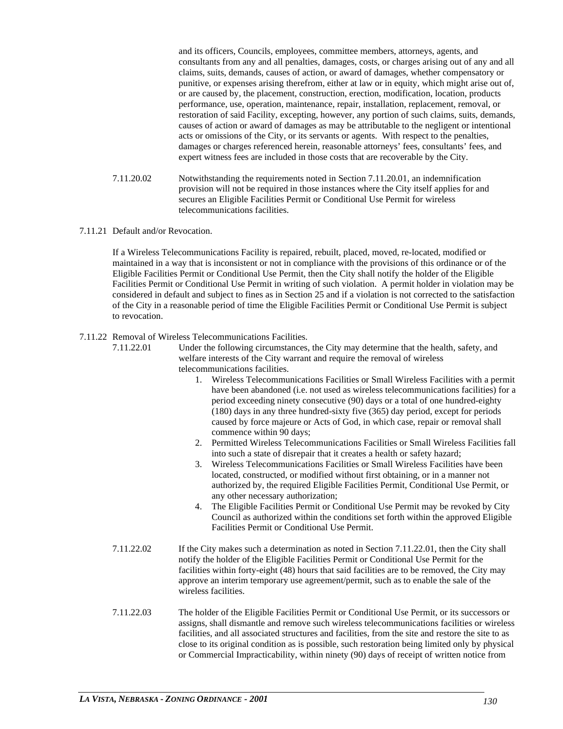and its officers, Councils, employees, committee members, attorneys, agents, and consultants from any and all penalties, damages, costs, or charges arising out of any and all claims, suits, demands, causes of action, or award of damages, whether compensatory or punitive, or expenses arising therefrom, either at law or in equity, which might arise out of, or are caused by, the placement, construction, erection, modification, location, products performance, use, operation, maintenance, repair, installation, replacement, removal, or restoration of said Facility, excepting, however, any portion of such claims, suits, demands, causes of action or award of damages as may be attributable to the negligent or intentional acts or omissions of the City, or its servants or agents. With respect to the penalties, damages or charges referenced herein, reasonable attorneys' fees, consultants' fees, and expert witness fees are included in those costs that are recoverable by the City.

- 7.11.20.02 Notwithstanding the requirements noted in Section 7.11.20.01, an indemnification provision will not be required in those instances where the City itself applies for and secures an Eligible Facilities Permit or Conditional Use Permit for wireless telecommunications facilities.
- 7.11.21 Default and/or Revocation.

If a Wireless Telecommunications Facility is repaired, rebuilt, placed, moved, re-located, modified or maintained in a way that is inconsistent or not in compliance with the provisions of this ordinance or of the Eligible Facilities Permit or Conditional Use Permit, then the City shall notify the holder of the Eligible Facilities Permit or Conditional Use Permit in writing of such violation. A permit holder in violation may be considered in default and subject to fines as in Section 25 and if a violation is not corrected to the satisfaction of the City in a reasonable period of time the Eligible Facilities Permit or Conditional Use Permit is subject to revocation.

7.11.22 Removal of Wireless Telecommunications Facilities.

7.11.22.01 Under the following circumstances, the City may determine that the health, safety, and welfare interests of the City warrant and require the removal of wireless telecommunications facilities.

- 1. Wireless Telecommunications Facilities or Small Wireless Facilities with a permit have been abandoned (i.e. not used as wireless telecommunications facilities) for a period exceeding ninety consecutive (90) days or a total of one hundred-eighty (180) days in any three hundred-sixty five (365) day period, except for periods caused by force majeure or Acts of God, in which case, repair or removal shall commence within 90 days;
- 2. Permitted Wireless Telecommunications Facilities or Small Wireless Facilities fall into such a state of disrepair that it creates a health or safety hazard;
- 3. Wireless Telecommunications Facilities or Small Wireless Facilities have been located, constructed, or modified without first obtaining, or in a manner not authorized by, the required Eligible Facilities Permit, Conditional Use Permit, or any other necessary authorization;
- 4. The Eligible Facilities Permit or Conditional Use Permit may be revoked by City Council as authorized within the conditions set forth within the approved Eligible Facilities Permit or Conditional Use Permit.
- 7.11.22.02 If the City makes such a determination as noted in Section 7.11.22.01, then the City shall notify the holder of the Eligible Facilities Permit or Conditional Use Permit for the facilities within forty-eight (48) hours that said facilities are to be removed, the City may approve an interim temporary use agreement/permit, such as to enable the sale of the wireless facilities.
- 7.11.22.03 The holder of the Eligible Facilities Permit or Conditional Use Permit, or its successors or assigns, shall dismantle and remove such wireless telecommunications facilities or wireless facilities, and all associated structures and facilities, from the site and restore the site to as close to its original condition as is possible, such restoration being limited only by physical or Commercial Impracticability, within ninety (90) days of receipt of written notice from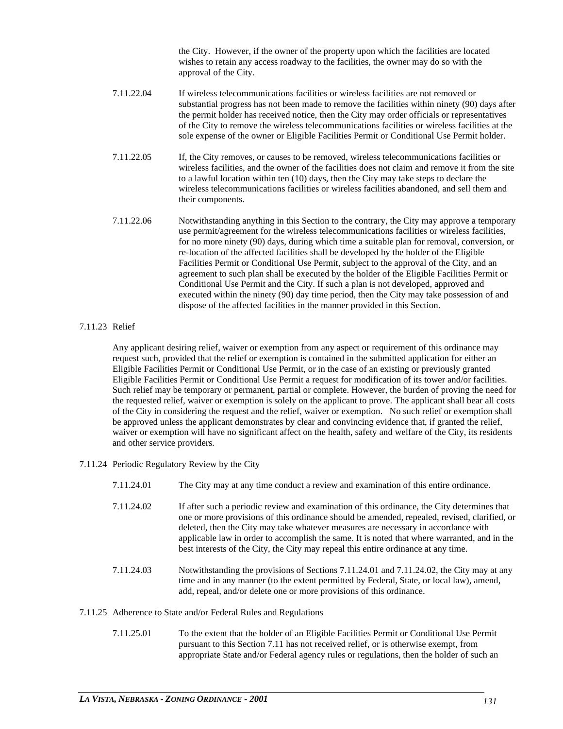the City. However, if the owner of the property upon which the facilities are located wishes to retain any access roadway to the facilities, the owner may do so with the approval of the City.

- 7.11.22.04 If wireless telecommunications facilities or wireless facilities are not removed or substantial progress has not been made to remove the facilities within ninety (90) days after the permit holder has received notice, then the City may order officials or representatives of the City to remove the wireless telecommunications facilities or wireless facilities at the sole expense of the owner or Eligible Facilities Permit or Conditional Use Permit holder.
- 7.11.22.05 If, the City removes, or causes to be removed, wireless telecommunications facilities or wireless facilities, and the owner of the facilities does not claim and remove it from the site to a lawful location within ten (10) days, then the City may take steps to declare the wireless telecommunications facilities or wireless facilities abandoned, and sell them and their components.
- 7.11.22.06 Notwithstanding anything in this Section to the contrary, the City may approve a temporary use permit/agreement for the wireless telecommunications facilities or wireless facilities, for no more ninety (90) days, during which time a suitable plan for removal, conversion, or re-location of the affected facilities shall be developed by the holder of the Eligible Facilities Permit or Conditional Use Permit, subject to the approval of the City, and an agreement to such plan shall be executed by the holder of the Eligible Facilities Permit or Conditional Use Permit and the City. If such a plan is not developed, approved and executed within the ninety (90) day time period, then the City may take possession of and dispose of the affected facilities in the manner provided in this Section.

# 7.11.23 Relief

Any applicant desiring relief, waiver or exemption from any aspect or requirement of this ordinance may request such, provided that the relief or exemption is contained in the submitted application for either an Eligible Facilities Permit or Conditional Use Permit, or in the case of an existing or previously granted Eligible Facilities Permit or Conditional Use Permit a request for modification of its tower and/or facilities. Such relief may be temporary or permanent, partial or complete. However, the burden of proving the need for the requested relief, waiver or exemption is solely on the applicant to prove. The applicant shall bear all costs of the City in considering the request and the relief, waiver or exemption. No such relief or exemption shall be approved unless the applicant demonstrates by clear and convincing evidence that, if granted the relief, waiver or exemption will have no significant affect on the health, safety and welfare of the City, its residents and other service providers.

7.11.24 Periodic Regulatory Review by the City

- 7.11.24.01 The City may at any time conduct a review and examination of this entire ordinance.
- 7.11.24.02 If after such a periodic review and examination of this ordinance, the City determines that one or more provisions of this ordinance should be amended, repealed, revised, clarified, or deleted, then the City may take whatever measures are necessary in accordance with applicable law in order to accomplish the same. It is noted that where warranted, and in the best interests of the City, the City may repeal this entire ordinance at any time.
- 7.11.24.03 Notwithstanding the provisions of Sections 7.11.24.01 and 7.11.24.02, the City may at any time and in any manner (to the extent permitted by Federal, State, or local law), amend, add, repeal, and/or delete one or more provisions of this ordinance.

# 7.11.25 Adherence to State and/or Federal Rules and Regulations

7.11.25.01 To the extent that the holder of an Eligible Facilities Permit or Conditional Use Permit pursuant to this Section 7.11 has not received relief, or is otherwise exempt, from appropriate State and/or Federal agency rules or regulations, then the holder of such an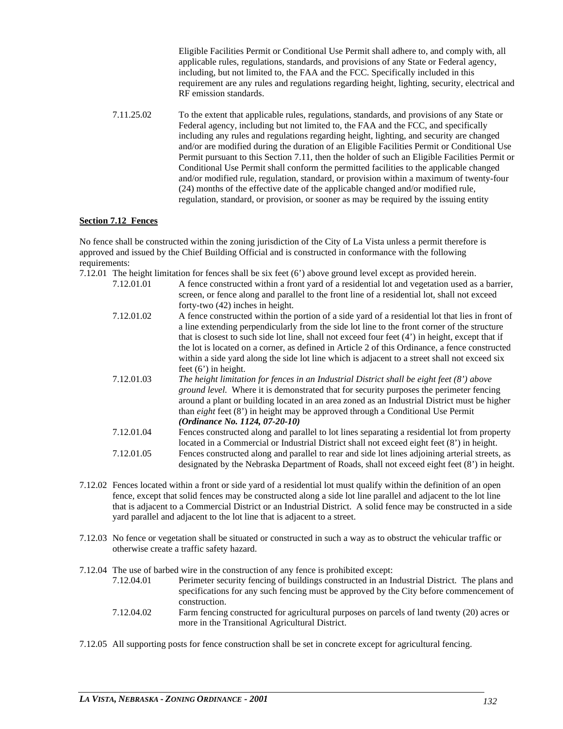Eligible Facilities Permit or Conditional Use Permit shall adhere to, and comply with, all applicable rules, regulations, standards, and provisions of any State or Federal agency, including, but not limited to, the FAA and the FCC. Specifically included in this requirement are any rules and regulations regarding height, lighting, security, electrical and RF emission standards.

7.11.25.02 To the extent that applicable rules, regulations, standards, and provisions of any State or Federal agency, including but not limited to, the FAA and the FCC, and specifically including any rules and regulations regarding height, lighting, and security are changed and/or are modified during the duration of an Eligible Facilities Permit or Conditional Use Permit pursuant to this Section 7.11, then the holder of such an Eligible Facilities Permit or Conditional Use Permit shall conform the permitted facilities to the applicable changed and/or modified rule, regulation, standard, or provision within a maximum of twenty-four (24) months of the effective date of the applicable changed and/or modified rule, regulation, standard, or provision, or sooner as may be required by the issuing entity

# **Section 7.12 Fences**

No fence shall be constructed within the zoning jurisdiction of the City of La Vista unless a permit therefore is approved and issued by the Chief Building Official and is constructed in conformance with the following requirements:

- 7.12.01 The height limitation for fences shall be six feet (6') above ground level except as provided herein.
	- 7.12.01.01 A fence constructed within a front yard of a residential lot and vegetation used as a barrier, screen, or fence along and parallel to the front line of a residential lot, shall not exceed forty-two (42) inches in height. 7.12.01.02 A fence constructed within the portion of a side yard of a residential lot that lies in front of a line extending perpendicularly from the side lot line to the front corner of the structure
		- that is closest to such side lot line, shall not exceed four feet (4') in height, except that if the lot is located on a corner, as defined in Article 2 of this Ordinance, a fence constructed within a side yard along the side lot line which is adjacent to a street shall not exceed six feet (6') in height.
	- 7.12.01.03 *The height limitation for fences in an Industrial District shall be eight feet (8') above ground level.* Where it is demonstrated that for security purposes the perimeter fencing around a plant or building located in an area zoned as an Industrial District must be higher than *eight* feet (8') in height may be approved through a Conditional Use Permit *(Ordinance No. 1124, 07-20-10)*
	- 7.12.01.04 Fences constructed along and parallel to lot lines separating a residential lot from property located in a Commercial or Industrial District shall not exceed eight feet (8') in height. 7.12.01.05 Fences constructed along and parallel to rear and side lot lines adjoining arterial streets, as designated by the Nebraska Department of Roads, shall not exceed eight feet (8') in height.
- 7.12.02 Fences located within a front or side yard of a residential lot must qualify within the definition of an open fence, except that solid fences may be constructed along a side lot line parallel and adjacent to the lot line that is adjacent to a Commercial District or an Industrial District. A solid fence may be constructed in a side yard parallel and adjacent to the lot line that is adjacent to a street.
- 7.12.03 No fence or vegetation shall be situated or constructed in such a way as to obstruct the vehicular traffic or otherwise create a traffic safety hazard.
- 7.12.04 The use of barbed wire in the construction of any fence is prohibited except:
	- 7.12.04.01 Perimeter security fencing of buildings constructed in an Industrial District. The plans and specifications for any such fencing must be approved by the City before commencement of construction.
	- 7.12.04.02 Farm fencing constructed for agricultural purposes on parcels of land twenty (20) acres or more in the Transitional Agricultural District.
- 7.12.05 All supporting posts for fence construction shall be set in concrete except for agricultural fencing.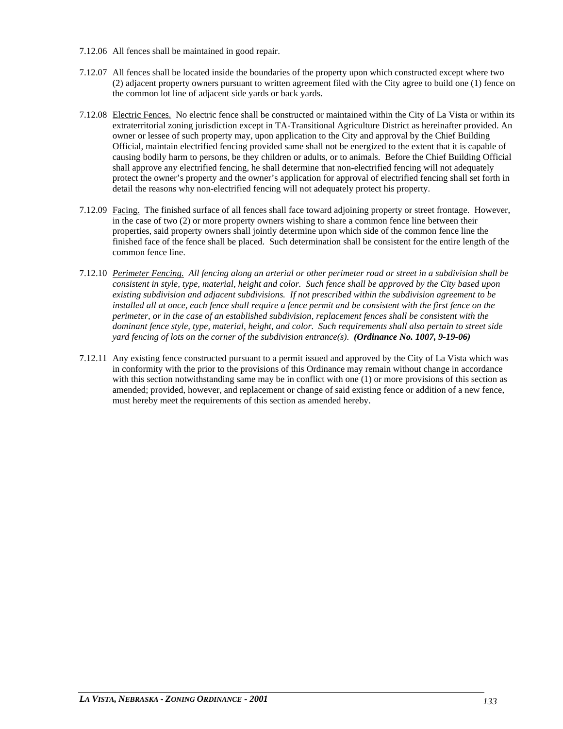- 7.12.06 All fences shall be maintained in good repair.
- 7.12.07 All fences shall be located inside the boundaries of the property upon which constructed except where two (2) adjacent property owners pursuant to written agreement filed with the City agree to build one (1) fence on the common lot line of adjacent side yards or back yards.
- 7.12.08 Electric Fences. No electric fence shall be constructed or maintained within the City of La Vista or within its extraterritorial zoning jurisdiction except in TA-Transitional Agriculture District as hereinafter provided. An owner or lessee of such property may, upon application to the City and approval by the Chief Building Official, maintain electrified fencing provided same shall not be energized to the extent that it is capable of causing bodily harm to persons, be they children or adults, or to animals. Before the Chief Building Official shall approve any electrified fencing, he shall determine that non-electrified fencing will not adequately protect the owner's property and the owner's application for approval of electrified fencing shall set forth in detail the reasons why non-electrified fencing will not adequately protect his property.
- 7.12.09 Facing. The finished surface of all fences shall face toward adjoining property or street frontage. However, in the case of two (2) or more property owners wishing to share a common fence line between their properties, said property owners shall jointly determine upon which side of the common fence line the finished face of the fence shall be placed. Such determination shall be consistent for the entire length of the common fence line.
- 7.12.10 *Perimeter Fencing. All fencing along an arterial or other perimeter road or street in a subdivision shall be consistent in style, type, material, height and color. Such fence shall be approved by the City based upon existing subdivision and adjacent subdivisions. If not prescribed within the subdivision agreement to be installed all at once, each fence shall require a fence permit and be consistent with the first fence on the perimeter, or in the case of an established subdivision, replacement fences shall be consistent with the dominant fence style, type, material, height, and color. Such requirements shall also pertain to street side yard fencing of lots on the corner of the subdivision entrance(s). (Ordinance No. 1007, 9-19-06)*
- 7.12.11 Any existing fence constructed pursuant to a permit issued and approved by the City of La Vista which was in conformity with the prior to the provisions of this Ordinance may remain without change in accordance with this section notwithstanding same may be in conflict with one (1) or more provisions of this section as amended; provided, however, and replacement or change of said existing fence or addition of a new fence, must hereby meet the requirements of this section as amended hereby.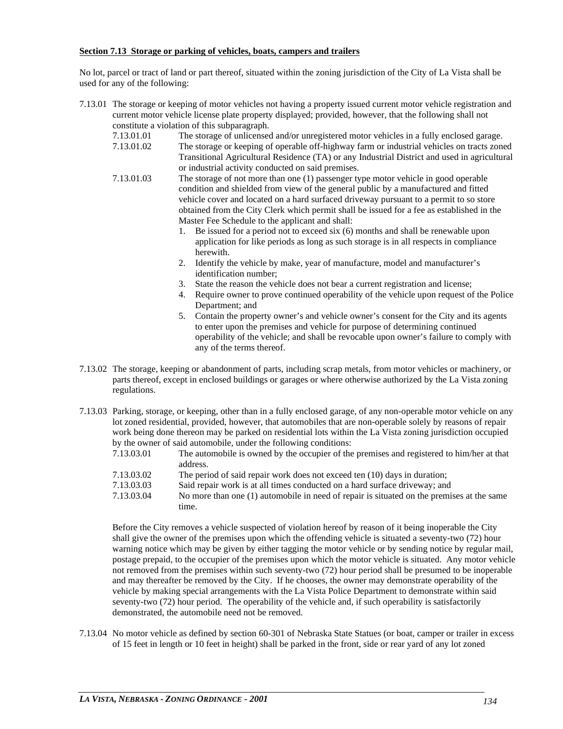#### **Section 7.13 Storage or parking of vehicles, boats, campers and trailers**

No lot, parcel or tract of land or part thereof, situated within the zoning jurisdiction of the City of La Vista shall be used for any of the following:

- 7.13.01 The storage or keeping of motor vehicles not having a property issued current motor vehicle registration and current motor vehicle license plate property displayed; provided, however, that the following shall not constitute a violation of this subparagraph.
	- 7.13.01.01 The storage of unlicensed and/or unregistered motor vehicles in a fully enclosed garage.
	- 7.13.01.02 The storage or keeping of operable off-highway farm or industrial vehicles on tracts zoned Transitional Agricultural Residence (TA) or any Industrial District and used in agricultural or industrial activity conducted on said premises.
	- 7.13.01.03 The storage of not more than one (1) passenger type motor vehicle in good operable condition and shielded from view of the general public by a manufactured and fitted vehicle cover and located on a hard surfaced driveway pursuant to a permit to so store obtained from the City Clerk which permit shall be issued for a fee as established in the Master Fee Schedule to the applicant and shall:
		- 1. Be issued for a period not to exceed six (6) months and shall be renewable upon application for like periods as long as such storage is in all respects in compliance herewith.
		- 2. Identify the vehicle by make, year of manufacture, model and manufacturer's identification number;
		- 3. State the reason the vehicle does not bear a current registration and license;
		- 4. Require owner to prove continued operability of the vehicle upon request of the Police Department; and
		- 5. Contain the property owner's and vehicle owner's consent for the City and its agents to enter upon the premises and vehicle for purpose of determining continued operability of the vehicle; and shall be revocable upon owner's failure to comply with any of the terms thereof.
- 7.13.02 The storage, keeping or abandonment of parts, including scrap metals, from motor vehicles or machinery, or parts thereof, except in enclosed buildings or garages or where otherwise authorized by the La Vista zoning regulations.
- 7.13.03 Parking, storage, or keeping, other than in a fully enclosed garage, of any non-operable motor vehicle on any lot zoned residential, provided, however, that automobiles that are non-operable solely by reasons of repair work being done thereon may be parked on residential lots within the La Vista zoning jurisdiction occupied by the owner of said automobile, under the following conditions:<br>7.13.03.01 The automobile is owned by the occupier of the
	- The automobile is owned by the occupier of the premises and registered to him/her at that address.
	- 7.13.03.02 The period of said repair work does not exceed ten (10) days in duration;<br>7.13.03.03 Said repair work is at all times conducted on a hard surface driveway: and
	- Said repair work is at all times conducted on a hard surface driveway; and
	- 7.13.03.04 No more than one (1) automobile in need of repair is situated on the premises at the same time.

Before the City removes a vehicle suspected of violation hereof by reason of it being inoperable the City shall give the owner of the premises upon which the offending vehicle is situated a seventy-two (72) hour warning notice which may be given by either tagging the motor vehicle or by sending notice by regular mail, postage prepaid, to the occupier of the premises upon which the motor vehicle is situated. Any motor vehicle not removed from the premises within such seventy-two (72) hour period shall be presumed to be inoperable and may thereafter be removed by the City. If he chooses, the owner may demonstrate operability of the vehicle by making special arrangements with the La Vista Police Department to demonstrate within said seventy-two (72) hour period. The operability of the vehicle and, if such operability is satisfactorily demonstrated, the automobile need not be removed.

7.13.04 No motor vehicle as defined by section 60-301 of Nebraska State Statues (or boat, camper or trailer in excess of 15 feet in length or 10 feet in height) shall be parked in the front, side or rear yard of any lot zoned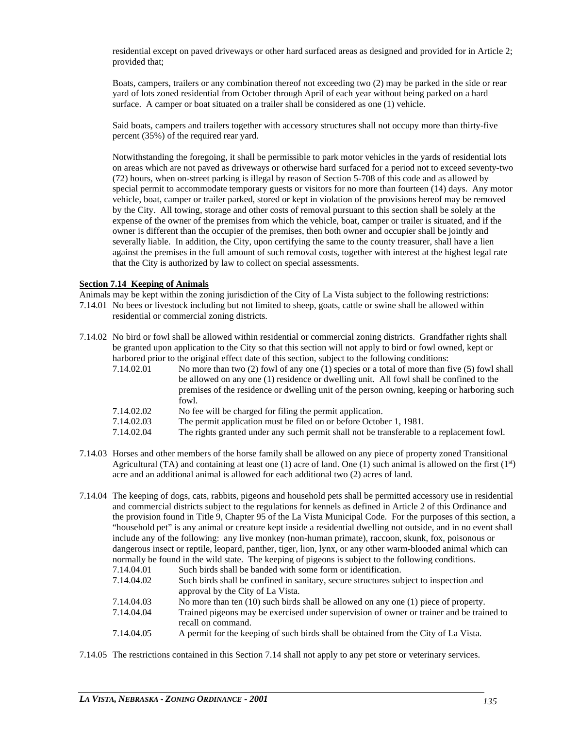residential except on paved driveways or other hard surfaced areas as designed and provided for in Article 2; provided that;

Boats, campers, trailers or any combination thereof not exceeding two (2) may be parked in the side or rear yard of lots zoned residential from October through April of each year without being parked on a hard surface. A camper or boat situated on a trailer shall be considered as one (1) vehicle.

Said boats, campers and trailers together with accessory structures shall not occupy more than thirty-five percent (35%) of the required rear yard.

Notwithstanding the foregoing, it shall be permissible to park motor vehicles in the yards of residential lots on areas which are not paved as driveways or otherwise hard surfaced for a period not to exceed seventy-two (72) hours, when on-street parking is illegal by reason of Section 5-708 of this code and as allowed by special permit to accommodate temporary guests or visitors for no more than fourteen (14) days. Any motor vehicle, boat, camper or trailer parked, stored or kept in violation of the provisions hereof may be removed by the City. All towing, storage and other costs of removal pursuant to this section shall be solely at the expense of the owner of the premises from which the vehicle, boat, camper or trailer is situated, and if the owner is different than the occupier of the premises, then both owner and occupier shall be jointly and severally liable. In addition, the City, upon certifying the same to the county treasurer, shall have a lien against the premises in the full amount of such removal costs, together with interest at the highest legal rate that the City is authorized by law to collect on special assessments.

# **Section 7.14 Keeping of Animals**

Animals may be kept within the zoning jurisdiction of the City of La Vista subject to the following restrictions:

- 7.14.01 No bees or livestock including but not limited to sheep, goats, cattle or swine shall be allowed within residential or commercial zoning districts.
- 7.14.02 No bird or fowl shall be allowed within residential or commercial zoning districts. Grandfather rights shall be granted upon application to the City so that this section will not apply to bird or fowl owned, kept or harbored prior to the original effect date of this section, subject to the following conditions:
	- 7.14.02.01 No more than two (2) fowl of any one (1) species or a total of more than five (5) fowl shall be allowed on any one (1) residence or dwelling unit. All fowl shall be confined to the premises of the residence or dwelling unit of the person owning, keeping or harboring such fowl.
	- 7.14.02.02 No fee will be charged for filing the permit application.
	- 7.14.02.03 The permit application must be filed on or before October 1, 1981.
	- 7.14.02.04 The rights granted under any such permit shall not be transferable to a replacement fowl.
- 7.14.03 Horses and other members of the horse family shall be allowed on any piece of property zoned Transitional Agricultural (TA) and containing at least one (1) acre of land. One (1) such animal is allowed on the first  $(1<sup>st</sup>)$ acre and an additional animal is allowed for each additional two (2) acres of land.
- 7.14.04 The keeping of dogs, cats, rabbits, pigeons and household pets shall be permitted accessory use in residential and commercial districts subject to the regulations for kennels as defined in Article 2 of this Ordinance and the provision found in Title 9, Chapter 95 of the La Vista Municipal Code. For the purposes of this section, a "household pet" is any animal or creature kept inside a residential dwelling not outside, and in no event shall include any of the following: any live monkey (non-human primate), raccoon, skunk, fox, poisonous or dangerous insect or reptile, leopard, panther, tiger, lion, lynx, or any other warm-blooded animal which can normally be found in the wild state. The keeping of pigeons is subject to the following conditions. 7.14.04.01 Such birds shall be banded with some form or identification.
	- 7.14.04.02 Such birds shall be confined in sanitary, secure structures subject to inspection and approval by the City of La Vista.
	- 7.14.04.03 No more than ten (10) such birds shall be allowed on any one (1) piece of property.
	- 7.14.04.04 Trained pigeons may be exercised under supervision of owner or trainer and be trained to recall on command.
	- 7.14.04.05 A permit for the keeping of such birds shall be obtained from the City of La Vista.

7.14.05 The restrictions contained in this Section 7.14 shall not apply to any pet store or veterinary services.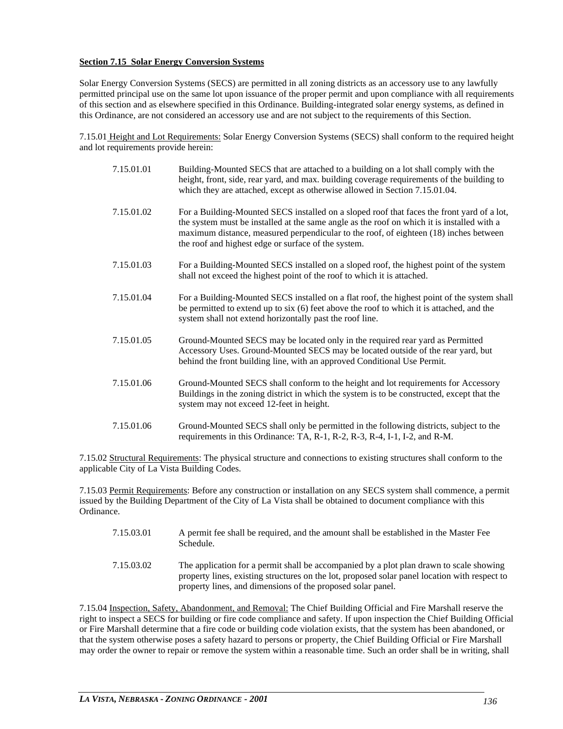# **Section 7.15 Solar Energy Conversion Systems**

Solar Energy Conversion Systems (SECS) are permitted in all zoning districts as an accessory use to any lawfully permitted principal use on the same lot upon issuance of the proper permit and upon compliance with all requirements of this section and as elsewhere specified in this Ordinance. Building-integrated solar energy systems, as defined in this Ordinance, are not considered an accessory use and are not subject to the requirements of this Section.

7.15.01 Height and Lot Requirements: Solar Energy Conversion Systems (SECS) shall conform to the required height and lot requirements provide herein:

| 7.15.01.01 | Building-Mounted SECS that are attached to a building on a lot shall comply with the<br>height, front, side, rear yard, and max. building coverage requirements of the building to<br>which they are attached, except as otherwise allowed in Section 7.15.01.04.                                                                        |
|------------|------------------------------------------------------------------------------------------------------------------------------------------------------------------------------------------------------------------------------------------------------------------------------------------------------------------------------------------|
| 7.15.01.02 | For a Building-Mounted SECS installed on a sloped roof that faces the front yard of a lot,<br>the system must be installed at the same angle as the roof on which it is installed with a<br>maximum distance, measured perpendicular to the roof, of eighteen (18) inches between<br>the roof and highest edge or surface of the system. |
| 7.15.01.03 | For a Building-Mounted SECS installed on a sloped roof, the highest point of the system<br>shall not exceed the highest point of the roof to which it is attached.                                                                                                                                                                       |
| 7.15.01.04 | For a Building-Mounted SECS installed on a flat roof, the highest point of the system shall<br>be permitted to extend up to six (6) feet above the roof to which it is attached, and the<br>system shall not extend horizontally past the roof line.                                                                                     |
| 7.15.01.05 | Ground-Mounted SECS may be located only in the required rear yard as Permitted<br>Accessory Uses. Ground-Mounted SECS may be located outside of the rear yard, but<br>behind the front building line, with an approved Conditional Use Permit.                                                                                           |
| 7.15.01.06 | Ground-Mounted SECS shall conform to the height and lot requirements for Accessory<br>Buildings in the zoning district in which the system is to be constructed, except that the<br>system may not exceed 12-feet in height.                                                                                                             |
| 7.15.01.06 | Ground-Mounted SECS shall only be permitted in the following districts, subject to the<br>requirements in this Ordinance: TA, R-1, R-2, R-3, R-4, I-1, I-2, and R-M.                                                                                                                                                                     |

7.15.02 Structural Requirements: The physical structure and connections to existing structures shall conform to the applicable City of La Vista Building Codes.

7.15.03 Permit Requirements: Before any construction or installation on any SECS system shall commence, a permit issued by the Building Department of the City of La Vista shall be obtained to document compliance with this Ordinance.

| 7.15.03.01 | A permit fee shall be required, and the amount shall be established in the Master Fee<br>Schedule.                                                                                                                                                      |
|------------|---------------------------------------------------------------------------------------------------------------------------------------------------------------------------------------------------------------------------------------------------------|
| 7.15.03.02 | The application for a permit shall be accompanied by a plot plan drawn to scale showing<br>property lines, existing structures on the lot, proposed solar panel location with respect to<br>property lines, and dimensions of the proposed solar panel. |

7.15.04 Inspection, Safety, Abandonment, and Removal: The Chief Building Official and Fire Marshall reserve the right to inspect a SECS for building or fire code compliance and safety. If upon inspection the Chief Building Official or Fire Marshall determine that a fire code or building code violation exists, that the system has been abandoned, or that the system otherwise poses a safety hazard to persons or property, the Chief Building Official or Fire Marshall may order the owner to repair or remove the system within a reasonable time. Such an order shall be in writing, shall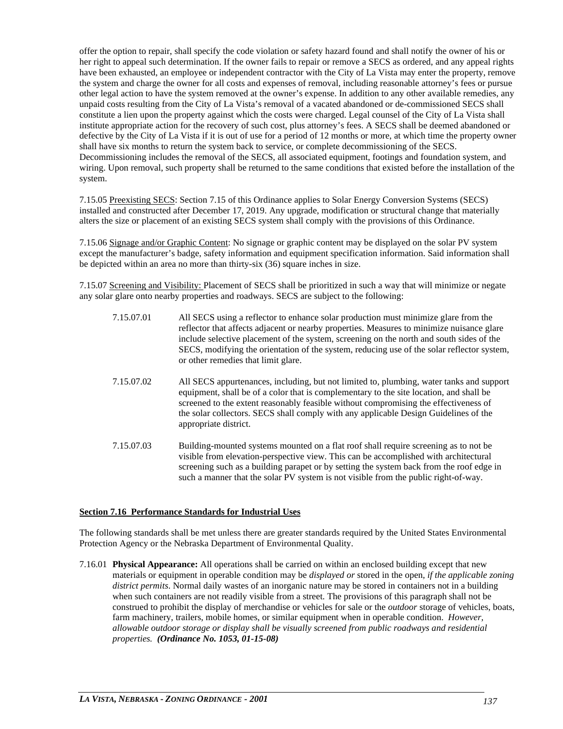offer the option to repair, shall specify the code violation or safety hazard found and shall notify the owner of his or her right to appeal such determination. If the owner fails to repair or remove a SECS as ordered, and any appeal rights have been exhausted, an employee or independent contractor with the City of La Vista may enter the property, remove the system and charge the owner for all costs and expenses of removal, including reasonable attorney's fees or pursue other legal action to have the system removed at the owner's expense. In addition to any other available remedies, any unpaid costs resulting from the City of La Vista's removal of a vacated abandoned or de-commissioned SECS shall constitute a lien upon the property against which the costs were charged. Legal counsel of the City of La Vista shall institute appropriate action for the recovery of such cost, plus attorney's fees. A SECS shall be deemed abandoned or defective by the City of La Vista if it is out of use for a period of 12 months or more, at which time the property owner shall have six months to return the system back to service, or complete decommissioning of the SECS. Decommissioning includes the removal of the SECS, all associated equipment, footings and foundation system, and wiring. Upon removal, such property shall be returned to the same conditions that existed before the installation of the system.

7.15.05 Preexisting SECS: Section 7.15 of this Ordinance applies to Solar Energy Conversion Systems (SECS) installed and constructed after December 17, 2019. Any upgrade, modification or structural change that materially alters the size or placement of an existing SECS system shall comply with the provisions of this Ordinance.

7.15.06 Signage and/or Graphic Content: No signage or graphic content may be displayed on the solar PV system except the manufacturer's badge, safety information and equipment specification information. Said information shall be depicted within an area no more than thirty-six (36) square inches in size.

7.15.07 Screening and Visibility: Placement of SECS shall be prioritized in such a way that will minimize or negate any solar glare onto nearby properties and roadways. SECS are subject to the following:

| 7.15.07.01 | All SECS using a reflector to enhance solar production must minimize glare from the<br>reflector that affects adjacent or nearby properties. Measures to minimize nuisance glare<br>include selective placement of the system, screening on the north and south sides of the<br>SECS, modifying the orientation of the system, reducing use of the solar reflector system,<br>or other remedies that limit glare. |
|------------|-------------------------------------------------------------------------------------------------------------------------------------------------------------------------------------------------------------------------------------------------------------------------------------------------------------------------------------------------------------------------------------------------------------------|
| 7.15.07.02 | All SECS appurtenances, including, but not limited to, plumbing, water tanks and support<br>equipment, shall be of a color that is complementary to the site location, and shall be<br>screened to the extent reasonably feasible without compromising the effectiveness of<br>the solar collectors. SECS shall comply with any applicable Design Guidelines of the<br>appropriate district.                      |
| 7.15.07.03 | Building-mounted systems mounted on a flat roof shall require screening as to not be<br>visible from elevation-perspective view. This can be accomplished with architectural<br>screening such as a building parapet or by setting the system back from the roof edge in<br>such a manner that the solar PV system is not visible from the public right-of-way.                                                   |

# **Section 7.16 Performance Standards for Industrial Uses**

The following standards shall be met unless there are greater standards required by the United States Environmental Protection Agency or the Nebraska Department of Environmental Quality.

7.16.01 **Physical Appearance:** All operations shall be carried on within an enclosed building except that new materials or equipment in operable condition may be *displayed or* stored in the open*, if the applicable zoning district permits*. Normal daily wastes of an inorganic nature may be stored in containers not in a building when such containers are not readily visible from a street. The provisions of this paragraph shall not be construed to prohibit the display of merchandise or vehicles for sale or the *outdoor* storage of vehicles, boats, farm machinery, trailers, mobile homes, or similar equipment when in operable condition. *However, allowable outdoor storage or display shall be visually screened from public roadways and residential properties. (Ordinance No. 1053, 01-15-08)*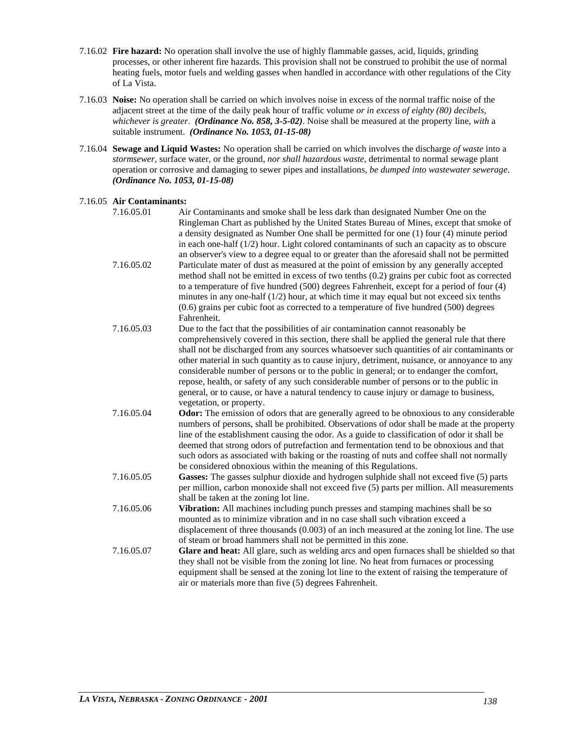- 7.16.02 **Fire hazard:** No operation shall involve the use of highly flammable gasses, acid, liquids, grinding processes, or other inherent fire hazards. This provision shall not be construed to prohibit the use of normal heating fuels, motor fuels and welding gasses when handled in accordance with other regulations of the City of La Vista.
- 7.16.03 **Noise:** No operation shall be carried on which involves noise in excess of the normal traffic noise of the adjacent street at the time of the daily peak hour of traffic volume *or in excess of eighty (80) decibels, whichever is greater*. *(Ordinance No. 858, 3-5-02)*. Noise shall be measured at the property line, *with* a suitable instrument. *(Ordinance No. 1053, 01-15-08)*
- 7.16.04 **Sewage and Liquid Wastes:** No operation shall be carried on which involves the discharge *of waste* into a *stormsewer*, surface water, or the ground, *nor shall hazardous waste*, detrimental to normal sewage plant operation or corrosive and damaging to sewer pipes and installations*, be dumped into wastewater sewerage*. *(Ordinance No. 1053, 01-15-08)*

# 7.16.05 **Air Contaminants:**

| 7.16.05.01 | Air Contaminants and smoke shall be less dark than designated Number One on the<br>Ringleman Chart as published by the United States Bureau of Mines, except that smoke of<br>a density designated as Number One shall be permitted for one (1) four (4) minute period<br>in each one-half $(1/2)$ hour. Light colored contaminants of such an capacity as to obscure<br>an observer's view to a degree equal to or greater than the aforesaid shall not be permitted                                                                                                                                                                                                                       |
|------------|---------------------------------------------------------------------------------------------------------------------------------------------------------------------------------------------------------------------------------------------------------------------------------------------------------------------------------------------------------------------------------------------------------------------------------------------------------------------------------------------------------------------------------------------------------------------------------------------------------------------------------------------------------------------------------------------|
| 7.16.05.02 | Particulate mater of dust as measured at the point of emission by any generally accepted<br>method shall not be emitted in excess of two tenths (0.2) grains per cubic foot as corrected<br>to a temperature of five hundred (500) degrees Fahrenheit, except for a period of four (4)<br>minutes in any one-half $(1/2)$ hour, at which time it may equal but not exceed six tenths<br>$(0.6)$ grains per cubic foot as corrected to a temperature of five hundred $(500)$ degrees<br>Fahrenheit.                                                                                                                                                                                          |
| 7.16.05.03 | Due to the fact that the possibilities of air contamination cannot reasonably be<br>comprehensively covered in this section, there shall be applied the general rule that there<br>shall not be discharged from any sources whatsoever such quantities of air contaminants or<br>other material in such quantity as to cause injury, detriment, nuisance, or annoyance to any<br>considerable number of persons or to the public in general; or to endanger the comfort,<br>repose, health, or safety of any such considerable number of persons or to the public in<br>general, or to cause, or have a natural tendency to cause injury or damage to business,<br>vegetation, or property. |
| 7.16.05.04 | <b>Odor:</b> The emission of odors that are generally agreed to be obnoxious to any considerable<br>numbers of persons, shall be prohibited. Observations of odor shall be made at the property<br>line of the establishment causing the odor. As a guide to classification of odor it shall be<br>deemed that strong odors of putrefaction and fermentation tend to be obnoxious and that<br>such odors as associated with baking or the roasting of nuts and coffee shall not normally<br>be considered obnoxious within the meaning of this Regulations.                                                                                                                                 |
| 7.16.05.05 | Gasses: The gasses sulphur dioxide and hydrogen sulphide shall not exceed five (5) parts<br>per million, carbon monoxide shall not exceed five (5) parts per million. All measurements<br>shall be taken at the zoning lot line.                                                                                                                                                                                                                                                                                                                                                                                                                                                            |
| 7.16.05.06 | Vibration: All machines including punch presses and stamping machines shall be so<br>mounted as to minimize vibration and in no case shall such vibration exceed a<br>displacement of three thousands (0.003) of an inch measured at the zoning lot line. The use<br>of steam or broad hammers shall not be permitted in this zone.                                                                                                                                                                                                                                                                                                                                                         |
| 7.16.05.07 | Glare and heat: All glare, such as welding arcs and open furnaces shall be shielded so that<br>they shall not be visible from the zoning lot line. No heat from furnaces or processing<br>equipment shall be sensed at the zoning lot line to the extent of raising the temperature of<br>air or materials more than five (5) degrees Fahrenheit.                                                                                                                                                                                                                                                                                                                                           |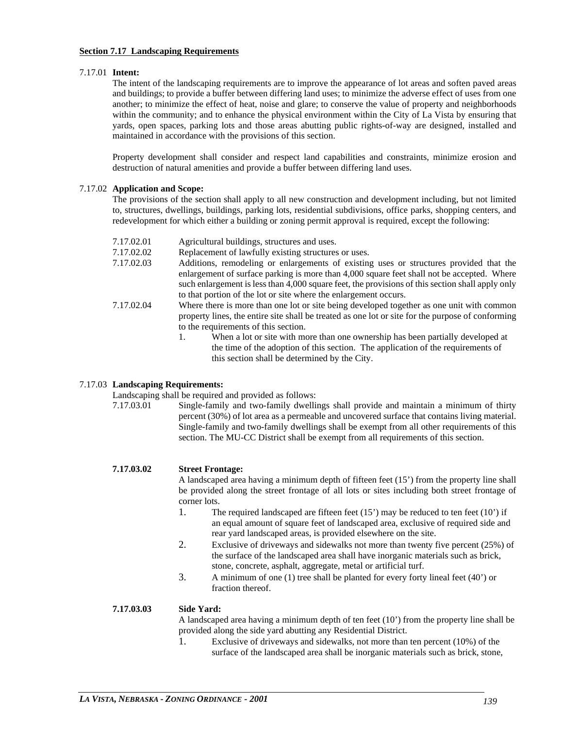#### **Section 7.17 Landscaping Requirements**

#### 7.17.01 **Intent:**

The intent of the landscaping requirements are to improve the appearance of lot areas and soften paved areas and buildings; to provide a buffer between differing land uses; to minimize the adverse effect of uses from one another; to minimize the effect of heat, noise and glare; to conserve the value of property and neighborhoods within the community; and to enhance the physical environment within the City of La Vista by ensuring that yards, open spaces, parking lots and those areas abutting public rights-of-way are designed, installed and maintained in accordance with the provisions of this section.

Property development shall consider and respect land capabilities and constraints, minimize erosion and destruction of natural amenities and provide a buffer between differing land uses.

#### 7.17.02 **Application and Scope:**

The provisions of the section shall apply to all new construction and development including, but not limited to, structures, dwellings, buildings, parking lots, residential subdivisions, office parks, shopping centers, and redevelopment for which either a building or zoning permit approval is required, except the following:

- 7.17.02.01 Agricultural buildings, structures and uses.
- 7.17.02.02 Replacement of lawfully existing structures or uses.<br>7.17.02.03 Additions, remodeling or enlargements of existing
- Additions, remodeling or enlargements of existing uses or structures provided that the enlargement of surface parking is more than 4,000 square feet shall not be accepted. Where such enlargement is less than 4,000 square feet, the provisions of this section shall apply only to that portion of the lot or site where the enlargement occurs.
- 7.17.02.04 Where there is more than one lot or site being developed together as one unit with common property lines, the entire site shall be treated as one lot or site for the purpose of conforming to the requirements of this section.
	- 1. When a lot or site with more than one ownership has been partially developed at the time of the adoption of this section. The application of the requirements of this section shall be determined by the City.

# 7.17.03 **Landscaping Requirements:**

Landscaping shall be required and provided as follows:

7.17.03.01 Single-family and two-family dwellings shall provide and maintain a minimum of thirty percent (30%) of lot area as a permeable and uncovered surface that contains living material. Single-family and two-family dwellings shall be exempt from all other requirements of this section. The MU-CC District shall be exempt from all requirements of this section.

#### **7.17.03.02 Street Frontage:**

A landscaped area having a minimum depth of fifteen feet (15') from the property line shall be provided along the street frontage of all lots or sites including both street frontage of corner lots.

- 1. The required landscaped are fifteen feet (15') may be reduced to ten feet (10') if an equal amount of square feet of landscaped area, exclusive of required side and rear yard landscaped areas, is provided elsewhere on the site.
- 2. Exclusive of driveways and sidewalks not more than twenty five percent (25%) of the surface of the landscaped area shall have inorganic materials such as brick, stone, concrete, asphalt, aggregate, metal or artificial turf.
- 3. A minimum of one (1) tree shall be planted for every forty lineal feet (40') or fraction thereof.

#### **7.17.03.03 Side Yard:**

A landscaped area having a minimum depth of ten feet (10') from the property line shall be provided along the side yard abutting any Residential District.

1. Exclusive of driveways and sidewalks, not more than ten percent (10%) of the surface of the landscaped area shall be inorganic materials such as brick, stone,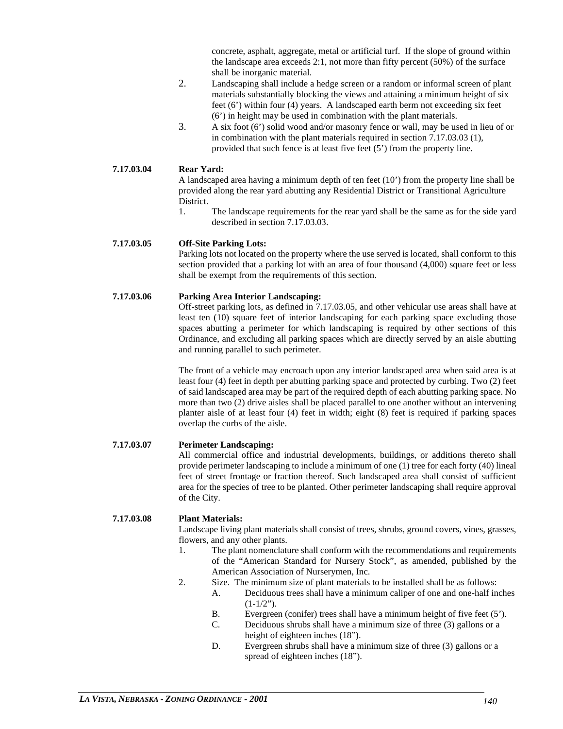concrete, asphalt, aggregate, metal or artificial turf. If the slope of ground within the landscape area exceeds 2:1, not more than fifty percent (50%) of the surface shall be inorganic material.

- 2. Landscaping shall include a hedge screen or a random or informal screen of plant materials substantially blocking the views and attaining a minimum height of six feet (6') within four (4) years. A landscaped earth berm not exceeding six feet (6') in height may be used in combination with the plant materials.
- 3. A six foot (6') solid wood and/or masonry fence or wall, may be used in lieu of or in combination with the plant materials required in section 7.17.03.03 (1), provided that such fence is at least five feet (5') from the property line.

# **7.17.03.04 Rear Yard:**

A landscaped area having a minimum depth of ten feet (10') from the property line shall be provided along the rear yard abutting any Residential District or Transitional Agriculture District.

1. The landscape requirements for the rear yard shall be the same as for the side yard described in section 7.17.03.03.

# **7.17.03.05 Off-Site Parking Lots:**

Parking lots not located on the property where the use served is located, shall conform to this section provided that a parking lot with an area of four thousand (4,000) square feet or less shall be exempt from the requirements of this section.

#### **7.17.03.06 Parking Area Interior Landscaping:**

Off-street parking lots, as defined in 7.17.03.05, and other vehicular use areas shall have at least ten (10) square feet of interior landscaping for each parking space excluding those spaces abutting a perimeter for which landscaping is required by other sections of this Ordinance, and excluding all parking spaces which are directly served by an aisle abutting and running parallel to such perimeter.

The front of a vehicle may encroach upon any interior landscaped area when said area is at least four (4) feet in depth per abutting parking space and protected by curbing. Two (2) feet of said landscaped area may be part of the required depth of each abutting parking space. No more than two (2) drive aisles shall be placed parallel to one another without an intervening planter aisle of at least four (4) feet in width; eight (8) feet is required if parking spaces overlap the curbs of the aisle.

# **7.17.03.07 Perimeter Landscaping:**

All commercial office and industrial developments, buildings, or additions thereto shall provide perimeter landscaping to include a minimum of one (1) tree for each forty (40) lineal feet of street frontage or fraction thereof. Such landscaped area shall consist of sufficient area for the species of tree to be planted. Other perimeter landscaping shall require approval of the City.

#### **7.17.03.08 Plant Materials:**

Landscape living plant materials shall consist of trees, shrubs, ground covers, vines, grasses, flowers, and any other plants.

- 1. The plant nomenclature shall conform with the recommendations and requirements of the "American Standard for Nursery Stock", as amended, published by the American Association of Nurserymen, Inc.
- 2. Size. The minimum size of plant materials to be installed shall be as follows:
	- A. Deciduous trees shall have a minimum caliper of one and one-half inches  $(1-1/2")$ .
	- B. Evergreen (conifer) trees shall have a minimum height of five feet (5').
	- C. Deciduous shrubs shall have a minimum size of three (3) gallons or a height of eighteen inches (18").
	- D. Evergreen shrubs shall have a minimum size of three (3) gallons or a spread of eighteen inches (18").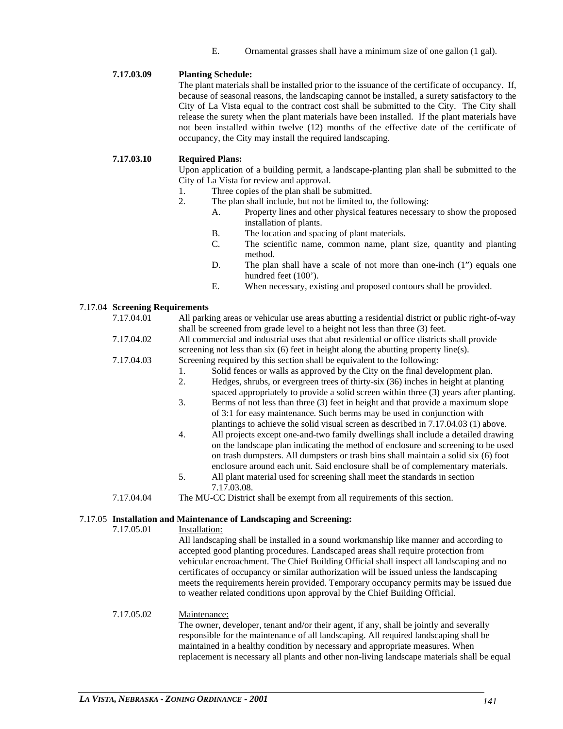E. Ornamental grasses shall have a minimum size of one gallon (1 gal).

# **7.17.03.09 Planting Schedule:**

The plant materials shall be installed prior to the issuance of the certificate of occupancy. If, because of seasonal reasons, the landscaping cannot be installed, a surety satisfactory to the City of La Vista equal to the contract cost shall be submitted to the City. The City shall release the surety when the plant materials have been installed. If the plant materials have not been installed within twelve (12) months of the effective date of the certificate of occupancy, the City may install the required landscaping.

#### **7.17.03.10 Required Plans:**

Upon application of a building permit, a landscape-planting plan shall be submitted to the City of La Vista for review and approval.

- 1. Three copies of the plan shall be submitted.
- 2. The plan shall include, but not be limited to, the following:
	- A. Property lines and other physical features necessary to show the proposed installation of plants.
		- B. The location and spacing of plant materials.
	- C. The scientific name, common name, plant size, quantity and planting method.
	- D. The plan shall have a scale of not more than one-inch (1") equals one hundred feet (100').
	- E. When necessary, existing and proposed contours shall be provided.

#### 7.17.04 **Screening Requirements**

| 7.17.04.01                                                                        | All parking areas or vehicular use areas abutting a residential district or public right-of-way |  |  |  |
|-----------------------------------------------------------------------------------|-------------------------------------------------------------------------------------------------|--|--|--|
|                                                                                   | shall be screened from grade level to a height not less than three (3) feet.                    |  |  |  |
| 7.17.04.02                                                                        | All commercial and industrial uses that abut residential or office districts shall provide      |  |  |  |
|                                                                                   | screening not less than six $(6)$ feet in height along the abutting property line(s).           |  |  |  |
| 7.17.04.03                                                                        | Screening required by this section shall be equivalent to the following:                        |  |  |  |
|                                                                                   | Solid fences or walls as approved by the City on the final development plan.<br>1.              |  |  |  |
|                                                                                   | 2.<br>Hedges, shrubs, or evergreen trees of thirty-six (36) inches in height at planting        |  |  |  |
|                                                                                   | spaced appropriately to provide a solid screen within three (3) years after planting.           |  |  |  |
|                                                                                   | 3.<br>Berms of not less than three (3) feet in height and that provide a maximum slope          |  |  |  |
|                                                                                   | of 3:1 for easy maintenance. Such berms may be used in conjunction with                         |  |  |  |
|                                                                                   | plantings to achieve the solid visual screen as described in 7.17.04.03 (1) above.              |  |  |  |
|                                                                                   | All projects except one-and-two family dwellings shall include a detailed drawing<br>4.         |  |  |  |
|                                                                                   | on the landscape plan indicating the method of enclosure and screening to be used               |  |  |  |
|                                                                                   | on trash dumpsters. All dumpsters or trash bins shall maintain a solid six (6) foot             |  |  |  |
|                                                                                   | enclosure around each unit. Said enclosure shall be of complementary materials.                 |  |  |  |
|                                                                                   | 5.<br>All plant material used for screening shall meet the standards in section                 |  |  |  |
|                                                                                   | 7.17.03.08.                                                                                     |  |  |  |
| 7.17.04.04                                                                        | The MU-CC District shall be exempt from all requirements of this section.                       |  |  |  |
|                                                                                   |                                                                                                 |  |  |  |
| 7.17.05 Installation and Maintenance of Landscaping and Screening:                |                                                                                                 |  |  |  |
| 7.17.05.01                                                                        | Installation:                                                                                   |  |  |  |
|                                                                                   | All landscaping shall be installed in a sound workmanship like manner and according to          |  |  |  |
| accepted good planting procedures. Landscaped areas shall require protection from |                                                                                                 |  |  |  |

accepted good planting procedures. Landscaped areas shall require protection from vehicular encroachment. The Chief Building Official shall inspect all landscaping and no certificates of occupancy or similar authorization will be issued unless the landscaping meets the requirements herein provided. Temporary occupancy permits may be issued due to weather related conditions upon approval by the Chief Building Official.

#### 7.17.05.02 Maintenance:

The owner, developer, tenant and/or their agent, if any, shall be jointly and severally responsible for the maintenance of all landscaping. All required landscaping shall be maintained in a healthy condition by necessary and appropriate measures. When replacement is necessary all plants and other non-living landscape materials shall be equal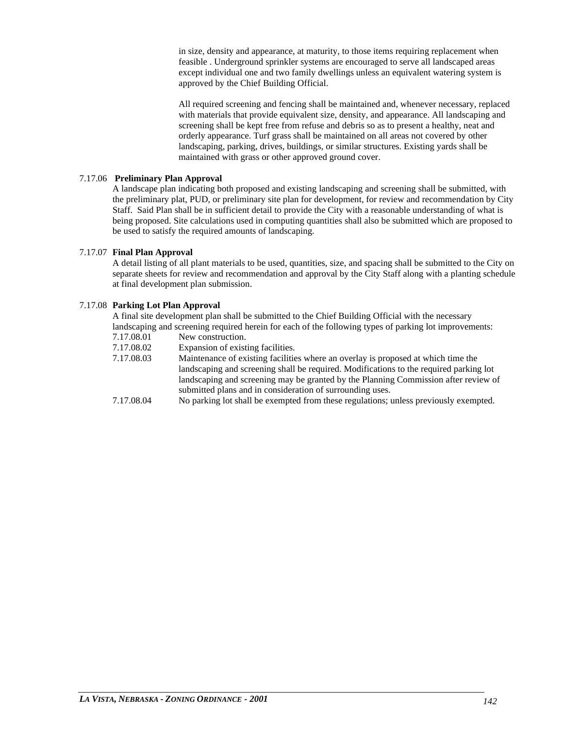in size, density and appearance, at maturity, to those items requiring replacement when feasible . Underground sprinkler systems are encouraged to serve all landscaped areas except individual one and two family dwellings unless an equivalent watering system is approved by the Chief Building Official.

All required screening and fencing shall be maintained and, whenever necessary, replaced with materials that provide equivalent size, density, and appearance. All landscaping and screening shall be kept free from refuse and debris so as to present a healthy, neat and orderly appearance. Turf grass shall be maintained on all areas not covered by other landscaping, parking, drives, buildings, or similar structures. Existing yards shall be maintained with grass or other approved ground cover.

#### 7.17.06 **Preliminary Plan Approval**

A landscape plan indicating both proposed and existing landscaping and screening shall be submitted, with the preliminary plat, PUD, or preliminary site plan for development, for review and recommendation by City Staff. Said Plan shall be in sufficient detail to provide the City with a reasonable understanding of what is being proposed. Site calculations used in computing quantities shall also be submitted which are proposed to be used to satisfy the required amounts of landscaping.

# 7.17.07 **Final Plan Approval**

A detail listing of all plant materials to be used, quantities, size, and spacing shall be submitted to the City on separate sheets for review and recommendation and approval by the City Staff along with a planting schedule at final development plan submission.

# 7.17.08 **Parking Lot Plan Approval**

A final site development plan shall be submitted to the Chief Building Official with the necessary landscaping and screening required herein for each of the following types of parking lot improvements:

- 7.17.08.01 New construction.
- 7.17.08.02 Expansion of existing facilities.
- 7.17.08.03 Maintenance of existing facilities where an overlay is proposed at which time the landscaping and screening shall be required. Modifications to the required parking lot landscaping and screening may be granted by the Planning Commission after review of submitted plans and in consideration of surrounding uses.
- 7.17.08.04 No parking lot shall be exempted from these regulations; unless previously exempted.